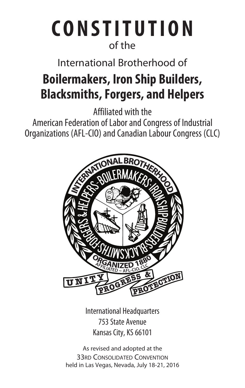# **CONSTITUTION** of the

# International Brotherhood of **Boilermakers, Iron Ship Builders, Blacksmiths, Forgers, and Helpers**

Affiliated with the American Federation of Labor and Congress of Industrial Organizations (AFL-CIO) and Canadian Labour Congress (CLC)



International Headquarters 753 State Avenue Kansas City, KS 66101

As revised and adopted at the 33rd Consolidated Convention held in Las Vegas, Nevada, July 18-21, 2016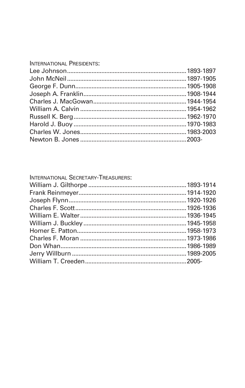| INTERNATIONAL PRESIDENTS: |  |
|---------------------------|--|
|                           |  |
|                           |  |
|                           |  |
|                           |  |
|                           |  |
|                           |  |
|                           |  |
|                           |  |
|                           |  |
|                           |  |
|                           |  |

| INTERNATIONAL SECRETARY-TREASURERS: |  |
|-------------------------------------|--|
|                                     |  |
|                                     |  |
|                                     |  |
|                                     |  |
|                                     |  |
|                                     |  |
|                                     |  |
|                                     |  |
|                                     |  |
|                                     |  |
|                                     |  |
|                                     |  |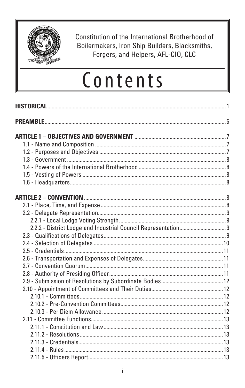

Constitution of the International Brotherhood of Boilermakers, Iron Ship Builders, Blacksmiths, Forgers, and Helpers, AFL-CIO, CLC

# Contents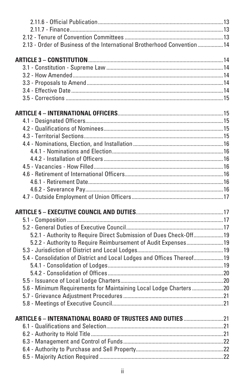| 2.13 - Order of Business of the International Brotherhood Convention  14 |  |
|--------------------------------------------------------------------------|--|
|                                                                          |  |
|                                                                          |  |
|                                                                          |  |
|                                                                          |  |
|                                                                          |  |
|                                                                          |  |
|                                                                          |  |
|                                                                          |  |
|                                                                          |  |
|                                                                          |  |
|                                                                          |  |
|                                                                          |  |
|                                                                          |  |
|                                                                          |  |
|                                                                          |  |
|                                                                          |  |
|                                                                          |  |
|                                                                          |  |
|                                                                          |  |
|                                                                          |  |
|                                                                          |  |
|                                                                          |  |
|                                                                          |  |
|                                                                          |  |
|                                                                          |  |
| 5.2.1 - Authority to Require Direct Submission of Dues Check-Off 19      |  |
| 5.2.2 - Authority to Require Reimbursement of Audit Expenses 19          |  |
|                                                                          |  |
| 5.4 - Consolidation of District and Local Lodges and Offices Thereof 19  |  |
|                                                                          |  |
|                                                                          |  |
|                                                                          |  |
| 5.6 - Minimum Requirements for Maintaining Local Lodge Charters 20       |  |
|                                                                          |  |
|                                                                          |  |
|                                                                          |  |
| ARTICLE 6 - INTERNATIONAL BOARD OF TRUSTEES AND DUTIES 21                |  |
|                                                                          |  |
|                                                                          |  |
|                                                                          |  |
|                                                                          |  |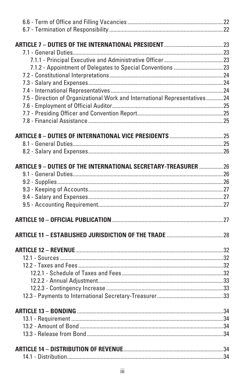| 7.5 - Direction of Organizational Work and International Representatives24 |  |
|----------------------------------------------------------------------------|--|
|                                                                            |  |
|                                                                            |  |
|                                                                            |  |
|                                                                            |  |
|                                                                            |  |
|                                                                            |  |
|                                                                            |  |
|                                                                            |  |
| ARTICLE 9 - DUTIES OF THE INTERNATIONAL SECRETARY-TREASURER 26             |  |
|                                                                            |  |
|                                                                            |  |
|                                                                            |  |
|                                                                            |  |
|                                                                            |  |
|                                                                            |  |
|                                                                            |  |
|                                                                            |  |
|                                                                            |  |
|                                                                            |  |
|                                                                            |  |
|                                                                            |  |
|                                                                            |  |
|                                                                            |  |
|                                                                            |  |
|                                                                            |  |
|                                                                            |  |
|                                                                            |  |
|                                                                            |  |
|                                                                            |  |
|                                                                            |  |
|                                                                            |  |
|                                                                            |  |
|                                                                            |  |
|                                                                            |  |
|                                                                            |  |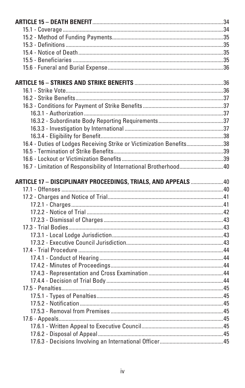| 16.4 - Duties of Lodges Receiving Strike or Victimization Benefits38 |  |
|----------------------------------------------------------------------|--|
|                                                                      |  |
|                                                                      |  |
| 16.7 - Limitation of Responsibility of International Brotherhood40   |  |
| ARTICLE 17 - DISCIPLINARY PROCEEDINGS, TRIALS, AND APPEALS  40       |  |
|                                                                      |  |
|                                                                      |  |
|                                                                      |  |
|                                                                      |  |
|                                                                      |  |
|                                                                      |  |
|                                                                      |  |
|                                                                      |  |
|                                                                      |  |
|                                                                      |  |
|                                                                      |  |
|                                                                      |  |
|                                                                      |  |
|                                                                      |  |
|                                                                      |  |
|                                                                      |  |
|                                                                      |  |
|                                                                      |  |
|                                                                      |  |
|                                                                      |  |
|                                                                      |  |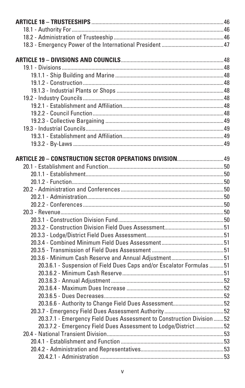| 20.3.6.1 - Suspension of Field Dues Caps and/or Escalator Formulas  51  |  |
|-------------------------------------------------------------------------|--|
|                                                                         |  |
|                                                                         |  |
|                                                                         |  |
|                                                                         |  |
| 20.3.6.6 - Authority to Change Field Dues Assessment52                  |  |
|                                                                         |  |
| 20.3.7.1 - Emergency Field Dues Assessment to Construction Division  52 |  |
| 20.3.7.2 - Emergency Field Dues Assessment to Lodge/District52          |  |
|                                                                         |  |
|                                                                         |  |
|                                                                         |  |
|                                                                         |  |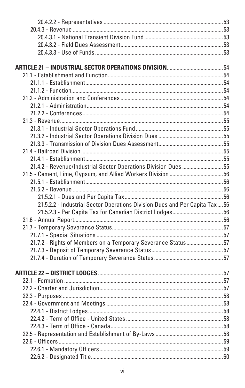| 21.4.2 - Revenue/Industrial Sector Operations Division Dues 55             |  |
|----------------------------------------------------------------------------|--|
| 21.5 - Cement, Lime, Gypsum, and Allied Workers Division 56                |  |
|                                                                            |  |
|                                                                            |  |
| 21.5.2.2 - Industrial Sector Operations Division Dues and Per Capita Tax56 |  |
| 21.5.2.3 - Per Capita Tax for Canadian District Lodges56                   |  |
|                                                                            |  |
|                                                                            |  |
|                                                                            |  |
| 21.7.2 - Rights of Members on a Temporary Severance Status57               |  |
|                                                                            |  |
|                                                                            |  |
|                                                                            |  |
|                                                                            |  |
|                                                                            |  |
|                                                                            |  |
|                                                                            |  |
|                                                                            |  |
|                                                                            |  |
|                                                                            |  |
|                                                                            |  |
|                                                                            |  |
|                                                                            |  |
|                                                                            |  |
|                                                                            |  |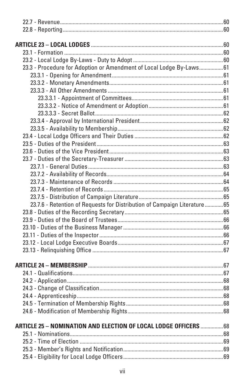| 23.3 - Procedure for Adoption or Amendment of Local Lodge By-Laws61       |  |
|---------------------------------------------------------------------------|--|
|                                                                           |  |
|                                                                           |  |
|                                                                           |  |
|                                                                           |  |
|                                                                           |  |
|                                                                           |  |
|                                                                           |  |
|                                                                           |  |
|                                                                           |  |
|                                                                           |  |
|                                                                           |  |
|                                                                           |  |
|                                                                           |  |
|                                                                           |  |
|                                                                           |  |
|                                                                           |  |
|                                                                           |  |
| 23.7.6 - Retention of Requests for Distribution of Campaign Literature 65 |  |
|                                                                           |  |
|                                                                           |  |
|                                                                           |  |
|                                                                           |  |
|                                                                           |  |
|                                                                           |  |
|                                                                           |  |
|                                                                           |  |
|                                                                           |  |
|                                                                           |  |
|                                                                           |  |
|                                                                           |  |
|                                                                           |  |
|                                                                           |  |
| ARTICLE 25 - NOMINATION AND ELECTION OF LOCAL LODGE OFFICERS  68          |  |
|                                                                           |  |
|                                                                           |  |
|                                                                           |  |
|                                                                           |  |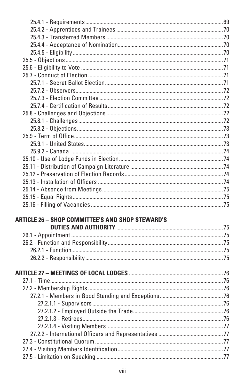| <b>ARTICLE 26 - SHOP COMMITTEE'S AND SHOP STEWARD'S</b> |  |
|---------------------------------------------------------|--|
|                                                         |  |
|                                                         |  |
|                                                         |  |
|                                                         |  |
|                                                         |  |
|                                                         |  |
|                                                         |  |
|                                                         |  |
|                                                         |  |
|                                                         |  |
|                                                         |  |
|                                                         |  |
|                                                         |  |
|                                                         |  |
|                                                         |  |
|                                                         |  |
|                                                         |  |
|                                                         |  |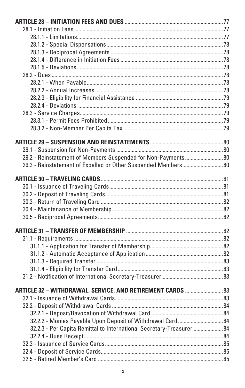| 29.2 - Reinstatement of Members Suspended for Non-Payments 80         |  |
|-----------------------------------------------------------------------|--|
| 29.3 - Reinstatement of Expelled or Other Suspended Members 80        |  |
|                                                                       |  |
|                                                                       |  |
|                                                                       |  |
|                                                                       |  |
|                                                                       |  |
|                                                                       |  |
|                                                                       |  |
|                                                                       |  |
|                                                                       |  |
|                                                                       |  |
|                                                                       |  |
|                                                                       |  |
|                                                                       |  |
|                                                                       |  |
| ARTICLE 32 - WITHDRAWAL, SERVICE, AND RETIREMENT CARDS  83            |  |
|                                                                       |  |
|                                                                       |  |
|                                                                       |  |
| 32.2.2 - Monies Payable Upon Deposit of Withdrawal Card 84            |  |
| 32.2.3 - Per Capita Remittal to International Secretary-Treasurer  84 |  |
|                                                                       |  |
|                                                                       |  |
|                                                                       |  |
|                                                                       |  |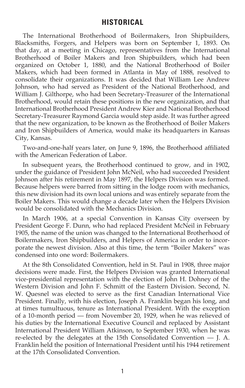The International Brotherhood of Boilermakers, Iron Shipbuilders, Blacksmiths, Forgers, and Helpers was born on September 1, 1893. On that day, at a meeting in Chicago, representatives from the International Brotherhood of Boiler Makers and Iron Shipbuilders, which had been organized on October 1, 1880, and the National Brotherhood of Boiler Makers, which had been formed in Atlanta in May of 1888, resolved to consolidate their organizations. It was decided that William Lee Andrew Johnson, who had served as President of the National Brotherhood, and William J. Gilthorpe, who had been Secretary-Treasurer of the International Brotherhood, would retain these positions in the new organization, and that International Brotherhood President Andrew Kier and National Brotherhood Secretary-Treasurer Raymond Garcia would step aside. It was further agreed that the new organization, to be known as the Brotherhood of Boiler Makers and Iron Shipbuilders of America, would make its headquarters in Kansas City, Kansas.

Two-and-one-half years later, on June 9, 1896, the Brotherhood affiliated with the American Federation of Labor.

In subsequent years, the Brotherhood continued to grow, and in 1902, under the guidance of President John McNeil, who had succeeded President Johnson after his retirement in May 1897, the Helpers Division was formed. Because helpers were barred from sitting in the lodge room with mechanics, this new division had its own local unions and was entirely separate from the Boiler Makers. This would change a decade later when the Helpers Division would be consolidated with the Mechanics Division.

In March 1906, at a special Convention in Kansas City overseen by President George F. Dunn, who had replaced President McNeil in February 1905, the name of the union was changed to the International Brotherhood of Boilermakers, Iron Shipbuilders, and Helpers of America in order to incorporate the newest division. Also at this time, the term "Boiler Makers" was condensed into one word: Boilermakers.

At the 8th Consolidated Convention, held in St. Paul in 1908, three major decisions were made. First, the Helpers Division was granted International vice-presidential representation with the election of John H. Dohney of the Western Division and John F. Schmitt of the Eastern Division. Second, N. W. Quesnel was elected to serve as the first Canadian International Vice President. Finally, with his election, Joseph A. Franklin began his long, and at times tumultuous, tenure as International President. With the exception of a 10-month period — from November 20, 1929, when he was relieved of his duties by the International Executive Council and replaced by Assistant International President William Atkinson, to September 1930, when he was re-elected by the delegates at the 15th Consolidated Convention — J. A. Franklin held the position of International President until his 1944 retirement at the 17th Consolidated Convention.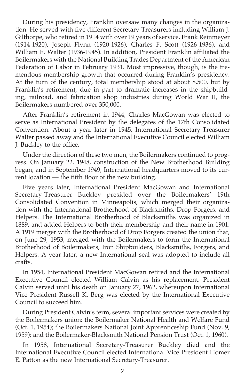During his presidency, Franklin oversaw many changes in the organization. He served with five different Secretary-Treasurers including William J. Gilthorpe, who retired in 1914 with over 19 years of service, Frank Reinmeyer (1914-1920), Joseph Flynn (1920-1926), Charles F. Scott (1926-1936), and William E. Walter (1936-1945). In addition, President Franklin affiliated the Boilermakers with the National Building Trades Department of the American Federation of Labor in February 1931. Most impressive, though, is the tremendous membership growth that occurred during Franklin's presidency. At the turn of the century, total membership stood at about 8,500, but by Franklin's retirement, due in part to dramatic increases in the shipbuilding, railroad, and fabrication shop industries during World War II, the Boilermakers numbered over 350,000.

After Franklin's retirement in 1944, Charles MacGowan was elected to serve as International President by the delegates of the 17th Consolidated Convention. About a year later in 1945, International Secretary-Treasurer Walter passed away and the International Executive Council elected William J. Buckley to the office.

Under the direction of these two men, the Boilermakers continued to progress. On January 22, 1948, construction of the New Brotherhood Building began, and in September 1949, International headquarters moved to its current location — the fifth floor of the new building.

Five years later, International President MacGowan and International Secretary-Treasurer Buckley presided over the Boilermakers' 19th Consolidated Convention in Minneapolis, which merged their organization with the International Brotherhood of Blacksmiths, Drop Forgers, and Helpers. The International Brotherhood of Blacksmiths was organized in 1889, and added Helpers to both their membership and their name in 1901. A 1919 merger with the Brotherhood of Drop Forgers created the union that, on June 29, 1953, merged with the Boilermakers to form the International Brotherhood of Boilermakers, Iron Shipbuilders, Blacksmiths, Forgers, and Helpers. A year later, a new International seal was adopted to include all crafts.

In 1954, International President MacGowan retired and the International Executive Council elected William Calvin as his replacement. President Calvin served until his death on January 27, 1962, whereupon International Vice President Russell K. Berg was elected by the International Executive Council to succeed him.

During President Calvin's term, several important services were created by the Boilermakers union: the Boilermaker National Health and Welfare Fund (Oct. 1, 1954); the Boilermakers National Joint Apprenticeship Fund (Nov. 9, 1959); and the Boilermaker-Blacksmith National Pension Trust (Oct. 1, 1960).

In 1958, International Secretary-Treasurer Buckley died and the International Executive Council elected International Vice President Homer E. Patton as the new International Secretary-Treasurer.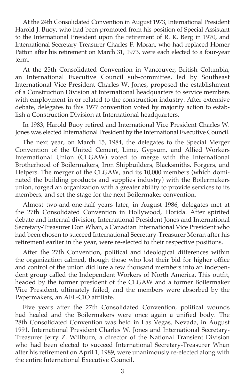At the 24th Consolidated Convention in August 1973, International President Harold J. Buoy, who had been promoted from his position of Special Assistant to the International President upon the retirement of R. K. Berg in 1970, and International Secretary-Treasurer Charles F. Moran, who had replaced Homer Patton after his retirement on March 31, 1973, were each elected to a four-year term.

At the 25th Consolidated Convention in Vancouver, British Columbia, an International Executive Council sub-committee, led by Southeast International Vice President Charles W. Jones, proposed the establishment of a Construction Division at International headquarters to service members with employment in or related to the construction industry. After extensive debate, delegates to this 1977 convention voted by majority action to establish a Construction Division at International headquarters.

In 1983, Harold Buoy retired and International Vice President Charles W. Jones was elected International President by the International Executive Council.

The next year, on March 15, 1984, the delegates to the Special Merger Convention of the United Cement, Lime, Gypsum, and Allied Workers International Union (CLGAW) voted to merge with the International Brotherhood of Boilermakers, Iron Shipbuilders, Blacksmiths, Forgers, and Helpers. The merger of the CLGAW, and its 10,000 members (which dominated the building products and supplies industry) with the Boilermakers union, forged an organization with a greater ability to provide services to its members, and set the stage for the next Boilermaker convention.

Almost two-and-one-half years later, in August 1986, delegates met at the 27th Consolidated Convention in Hollywood, Florida. After spirited debate and internal division, International President Jones and International Secretary-Treasurer Don Whan, a Canadian International Vice President who had been chosen to succeed International Secretary-Treasurer Moran after his retirement earlier in the year, were re-elected to their respective positions.

After the 27th Convention, political and ideological differences within the organization calmed, though those who lost their bid for higher office and control of the union did lure a few thousand members into an independent group called the Independent Workers of North America. This outfit, headed by the former president of the CLGAW and a former Boilermaker Vice President, ultimately failed, and the members were absorbed by the Papermakers, an AFL-CIO affiliate.

Five years after the 27th Consolidated Convention, political wounds had healed and the Boilermakers were once again a unified body. The 28th Consolidated Convention was held in Las Vegas, Nevada, in August 1991. International President Charles W. Jones and International Secretary-Treasurer Jerry Z. Willburn, a director of the National Transient Division who had been elected to succeed International Secretary-Treasurer Whan after his retirement on April 1, 1989, were unanimously re-elected along with the entire International Executive Council.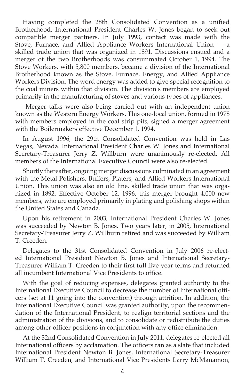Having completed the 28th Consolidated Convention as a unified Brotherhood, International President Charles W. Jones began to seek out compatible merger partners. In July 1993, contact was made with the Stove, Furnace, and Allied Appliance Workers International Union — a skilled trade union that was organized in 1891. Discussions ensued and a merger of the two Brotherhoods was consummated October 1, 1994. The Stove Workers, with 5,800 members, became a division of the International Brotherhood known as the Stove, Furnace, Energy, and Allied Appliance Workers Division. The word energy was added to give special recognition to the coal miners within that division. The division's members are employed primarily in the manufacturing of stoves and various types of appliances.

 Merger talks were also being carried out with an independent union known as the Western Energy Workers. This one-local union, formed in 1978 with members employed in the coal strip pits, signed a merger agreement with the Boilermakers effective December 1, 1994.

In August 1996, the 29th Consolidated Convention was held in Las Vegas, Nevada. International President Charles W. Jones and International Secretary-Treasurer Jerry Z. Willburn were unanimously re-elected. All members of the International Executive Council were also re-elected.

Shortly thereafter, ongoing merger discussions culminated in an agreement with the Metal Polishers, Buffers, Platers, and Allied Workers International Union. This union was also an old line, skilled trade union that was organized in 1892. Effective October 12, 1996, this merger brought 4,000 new members, who are employed primarily in plating and polishing shops within the United States and Canada.

Upon his retirement in 2003, International President Charles W. Jones was succeeded by Newton B. Jones. Two years later, in 2005, International Secretary-Treasurer Jerry Z. Willburn retired and was succeeded by William T. Creeden.

Delegates to the 31st Consolidated Convention in July 2006 re-elected International President Newton B. Jones and International Secretary-Treasurer William T. Creeden to their first full five-year terms and returned all incumbent International Vice Presidents to office.

With the goal of reducing expenses, delegates granted authority to the International Executive Council to decrease the number of International officers (set at 11 going into the convention) through attrition. In addition, the International Executive Council was granted authority, upon the recommendation of the International President, to realign territorial sections and the administration of the divisions, and to consolidate or redistribute the duties among other officer positions in conjunction with any office elimination.

At the 32nd Consolidated Convention in July 2011, delegates re-elected all International officers by acclamation. The officers ran as a slate that included International President Newton B. Jones, International Secretary-Treasurer William T. Creeden, and International Vice Presidents Larry McManamon,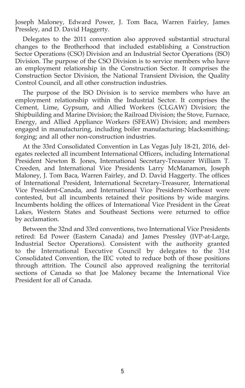Joseph Maloney, Edward Power, J. Tom Baca, Warren Fairley, James Pressley, and D. David Haggerty.

Delegates to the 2011 convention also approved substantial structural changes to the Brotherhood that included establishing a Construction Sector Operations (CSO) Division and an Industrial Sector Operations (ISO) Division. The purpose of the CSO Division is to service members who have an employment relationship in the Construction Sector. It comprises the Construction Sector Division, the National Transient Division, the Quality Control Council, and all other construction industries.

The purpose of the ISO Division is to service members who have an employment relationship within the Industrial Sector. It comprises the Cement, Lime, Gypsum, and Allied Workers (CLGAW) Division; the Shipbuilding and Marine Division; the Railroad Division; the Stove, Furnace, Energy, and Allied Appliance Workers (SFEAW) Division; and members engaged in manufacturing, including boiler manufacturing; blacksmithing; forging; and all other non-construction industries.

At the 33rd Consolidated Convention in Las Vegas July 18-21, 2016, delegates reelected all incumbent International Officers, including International President Newton B. Jones, International Secretary-Treasurer William T. Creeden, and International Vice Presidents Larry McManamon, Joseph Maloney, J. Tom Baca, Warren Fairley, and D. David Haggerty. The offices of International President, International Secretary-Treasurer, International Vice President-Canada, and International Vice President-Northeast were contested, but all incumbents retained their positions by wide margins. Incumbents holding the offices of International Vice President in the Great Lakes, Western States and Southeast Sections were returned to office by acclamation.

Between the 32nd and 33rd conventions, two International Vice Presidents retired: Ed Power (Eastern Canada) and James Pressley (IVP-at-Large, Industrial Sector Operations). Consistent with the authority granted to the International Executive Council by delegates to the 31st Consolidated Convention, the IEC voted to reduce both of those positions through attrition. The Council also approved realigning the territorial sections of Canada so that Joe Maloney became the International Vice President for all of Canada.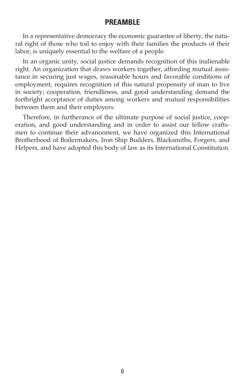# **PREAMBLE**

In a representative democracy the economic guarantee of liberty, the natural right of those who toil to enjoy with their families the products of their labor, is uniquely essential to the welfare of a people.

In an organic unity, social justice demands recognition of this inalienable right. An organization that draws workers together, affording mutual assistance in securing just wages, reasonable hours and favorable conditions of employment, requires recognition of this natural propensity of man to live in society; cooperation, friendliness, and good understanding demand the forthright acceptance of duties among workers and mutual responsibilities between them and their employers.

Therefore, in furtherance of the ultimate purpose of social justice, cooperation, and good understanding and in order to assist our fellow craftsmen to continue their advancement, we have organized this International Brotherhood of Boilermakers, Iron Ship Builders, Blacksmiths, Forgers, and Helpers, and have adopted this body of law as its International Constitution.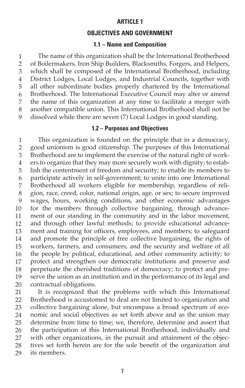#### **ARTICLE 1**

#### **OBJECTIVES AND GOVERNMENT**

# **1.1 – Name and Composition**

The name of this organization shall be the International Brotherhood of Boilermakers, Iron Ship Builders, Blacksmiths, Forgers, and Helpers, which shall be composed of the International Brotherhood, including District Lodges, Local Lodges, and Industrial Councils, together with all other subordinate bodies properly chartered by the International Brotherhood. The International Executive Council may alter or amend the name of this organization at any time to facilitate a merger with another compatible union. This International Brotherhood shall not be dissolved while there are seven (7) Local Lodges in good standing. 1 2 3 4 5 6 7 8 9

# **1.2 – Purposes and Objectives**

This organization is founded on the principle that in a democracy, good unionism is good citizenship. The purposes of this International Brotherhood are to implement the exercise of the natural right of workers to organize that they may more securely work with dignity; to establish the contentment of freedom and security; to enable its members to participate actively in self-government; to unite into one International Brotherhood all workers eligible for membership, regardless of religion, race, creed, color, national origin, age, or sex; to secure improved wages, hours, working conditions, and other economic advantages for the members through collective bargaining, through advancement of our standing in the community and in the labor movement, and through other lawful methods; to provide educational advancement and training for officers, employees, and members; to safeguard and promote the principle of free collective bargaining, the rights of workers, farmers, and consumers, and the security and welfare of all the people by political, educational, and other community activity; to protect and strengthen our democratic institutions and preserve and perpetuate the cherished traditions of democracy; to protect and preserve the union as an institution and in the performance of its legal and contractual obligations. 1 2 3 4 5 6 7 8 9 10 11 12 13 14 15 16 17 18 19 20

It is recognized that the problems with which this International Brotherhood is accustomed to deal are not limited to organization and collective bargaining alone, but encompass a broad spectrum of economic and social objectives as set forth above and as the union may determine from time to time; we, therefore, determine and assert that the participation of this International Brotherhood, individually and with other organizations, in the pursuit and attainment of the objectives set forth herein are for the sole benefit of the organization and its members. 21 22 23 24 25 26 27 28 29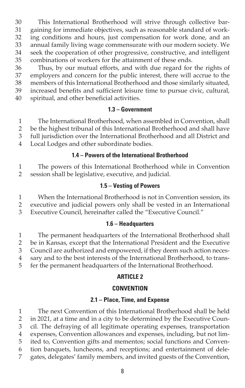This International Brotherhood will strive through collective bargaining for immediate objectives, such as reasonable standard of working conditions and hours, just compensation for work done, and an annual family living wage commensurate with our modern society. We seek the cooperation of other progressive, constructive, and intelligent combinations of workers for the attainment of these ends. 30 31 32 33 34 35

Thus, by our mutual efforts, and with due regard for the rights of employers and concern for the public interest, there will accrue to the members of this International Brotherhood and those similarly situated, increased benefits and sufficient leisure time to pursue civic, cultural, spiritual, and other beneficial activities. 36 37 38 39 40

#### **1.3 – Government**

The International Brotherhood, when assembled in Convention, shall 1

be the highest tribunal of this International Brotherhood and shall have 2

full jurisdiction over the International Brotherhood and all District and 3

Local Lodges and other subordinate bodies. 4

#### **1.4 – Powers of the International Brotherhood**

The powers of this International Brotherhood while in Convention session shall be legislative, executive, and judicial. 1 2

#### **1.5 – Vesting of Powers**

When the International Brotherhood is not in Convention session, its executive and judicial powers only shall be vested in an International Executive Council, hereinafter called the "Executive Council." 1 2 3

#### **1.6 – Headquarters**

The permanent headquarters of the International Brotherhood shall be in Kansas, except that the International President and the Executive Council are authorized and empowered, if they deem such action necessary and to the best interests of the International Brotherhood, to trans- 1 2 3 4

fer the permanent headquarters of the International Brotherhood. 5

# **ARTICLE 2**

#### **CONVENTION**

#### **2.1 – Place, Time, and Expense**

The next Convention of this International Brotherhood shall be held in 2021, at a time and in a city to be determined by the Executive Council. The defraying of all legitimate operating expenses, transportation expenses, Convention allowances and expenses, including, but not limited to, Convention gifts and mementos; social functions and Convention banquets, luncheons, and receptions; and entertainment of delegates, delegates' family members, and invited guests of the Convention, 1 2 3 4 5 6 7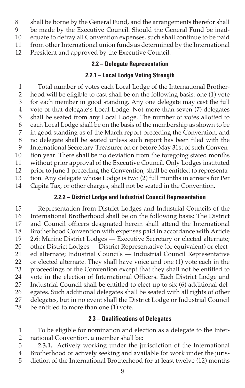- shall be borne by the General Fund, and the arrangements therefor shall 8
- be made by the Executive Council. Should the General Fund be inad-9
- equate to defray all Convention expenses, such shall continue to be paid 10
- from other International union funds as determined by the International 11
- President and approved by the Executive Council. 12

# **2.2 – Delegate Representation**

# **2.2.1 – Local Lodge Voting Strength**

Total number of votes each Local Lodge of the International Brotherhood will be eligible to cast shall be on the following basis: one (1) vote for each member in good standing. Any one delegate may cast the full vote of that delegate's Local Lodge. Not more than seven (7) delegates shall be seated from any Local Lodge. The number of votes allotted to each Local Lodge shall be on the basis of the membership as shown to be in good standing as of the March report preceding the Convention, and no delegate shall be seated unless such report has been filed with the International Secretary-Treasurer on or before May 31st of such Convention year. There shall be no deviation from the foregoing stated months without prior approval of the Executive Council. Only Lodges instituted prior to June 1 preceding the Convention, shall be entitled to representation. Any delegate whose Lodge is two (2) full months in arrears for Per Capita Tax, or other charges, shall not be seated in the Convention. 1 2 3 4 5 6 7 8 9 10 11 12 13 14

# **2.2.2 – District Lodge and Industrial Council Representation**

Representation from District Lodges and Industrial Councils of the International Brotherhood shall be on the following basis: The District and Council officers designated herein shall attend the International Brotherhood Convention with expenses paid in accordance with Article 2.6: Marine District Lodges — Executive Secretary or elected alternate; other District Lodges — District Representative (or equivalent) or elected alternate; Industrial Councils — Industrial Council Representative or elected alternate. They shall have voice and one (1) vote each in the proceedings of the Convention except that they shall not be entitled to vote in the election of International Officers. Each District Lodge and Industrial Council shall be entitled to elect up to six (6) additional delegates. Such additional delegates shall be seated with all rights of other delegates, but in no event shall the District Lodge or Industrial Council be entitled to more than one (1) vote. 15 16 17 18 19 20 21 22 23 24 25 26 27 28

# **2.3 – Qualifications of Delegates**

To be eligible for nomination and election as a delegate to the International Convention, a member shall be: 1 2

- **2.3.1.** Actively working under the jurisdiction of the International 3
- Brotherhood or actively seeking and available for work under the juris-4
- diction of the International Brotherhood for at least twelve (12) months 5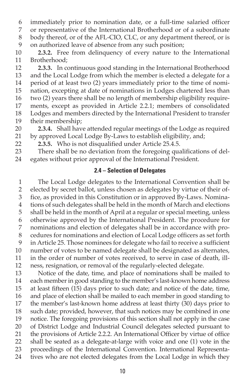immediately prior to nomination date, or a full-time salaried officer or representative of the International Brotherhood or of a subordinate body thereof, or of the AFL-CIO, CLC, or any department thereof, or is 6 7 8

on authorized leave of absence from any such position; 9

**2.3.2.** Free from delinquency of every nature to the International Brotherhood; 10 11

**2.3.3.** In continuous good standing in the International Brotherhood and the Local Lodge from which the member is elected a delegate for a period of at least two (2) years immediately prior to the time of nomination, excepting at date of nominations in Lodges chartered less than two (2) years there shall be no length of membership eligibility requirements, except as provided in Article 2.2.1; members of consolidated Lodges and members directed by the International President to transfer their membership; 12 13 14 15 16 17 18 19

**2.3.4.** Shall have attended regular meetings of the Lodge as required by approved Local Lodge By-Laws to establish eligibility, and; 20 21

**2.3.5.** Who is not disqualified under Article 25.4.5. 22

There shall be no deviation from the foregoing qualifications of delegates without prior approval of the International President. 23 24

# **2.4 – Selection of Delegates**

The Local Lodge delegates to the International Convention shall be elected by secret ballot, unless chosen as delegates by virtue of their office, as provided in this Constitution or in approved By-Laws. Nominations of such delegates shall be held in the month of March and elections shall be held in the month of April at a regular or special meeting, unless otherwise approved by the International President. The procedure for nominations and election of delegates shall be in accordance with procedures for nominations and election of Local Lodge officers as set forth in Article 25. Those nominees for delegate who fail to receive a sufficient number of votes to be named delegate shall be designated as alternates, in the order of number of votes received, to serve in case of death, illness, resignation, or removal of the regularly-elected delegate. 1 2 3 4 5 6 7 8 9 10 11 12

Notice of the date, time, and place of nominations shall be mailed to each member in good standing to the member's last-known home address at least fifteen (15) days prior to such date; and notice of the date, time, and place of election shall be mailed to each member in good standing to the member's last-known home address at least thirty (30) days prior to such date; provided, however, that such notices may be combined in one notice. The foregoing provisions of this section shall not apply in the case of District Lodge and Industrial Council delegates selected pursuant to the provisions of Article 2.2.2. An International Officer by virtue of office shall be seated as a delegate-at-large with voice and one (1) vote in the proceedings of the International Convention. International Representatives who are not elected delegates from the Local Lodge in which they 13 14 15 16 17 18 19 20 21 22 23 24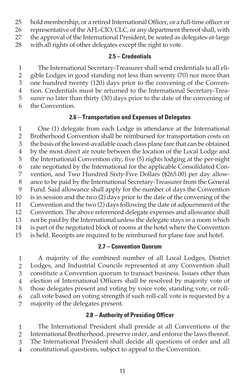hold membership, or a retired International Officer, or a full-time officer or representative of the AFL-CIO, CLC, or any department thereof shall, with the approval of the International President, be seated as delegates-at-large with all rights of other delegates except the right to vote. 25 26 27 28

# **2.5 – Credentials**

The International Secretary-Treasurer shall send credentials to all eligible Lodges in good standing not less than seventy (70) nor more than one hundred twenty (120) days prior to the convening of the Convention. Credentials must be returned to the International Secretary-Treasurer no later than thirty (30) days prior to the date of the convening of the Convention. 1 2 3 4 5 6

# **2.6 – Transportation and Expenses of Delegates**

One (1) delegate from each Lodge in attendance at the International Brotherhood Convention shall be reimbursed for transportation costs on the basis of the lowest-available coach class plane fare that can be obtained by the most direct air route between the location of the Local Lodge and the International Convention city, five (5) nights lodging at the per-night rate negotiated by the International for the applicable Consolidated Convention, and Two Hundred Sixty-Five Dollars (\$265.00) per day allowance to be paid by the International Secretary-Treasurer from the General Fund. Said allowance shall apply for the number of days the Convention is in session and the two (2) days prior to the date of the convening of the Convention and the two (2) days following the date of adjournment of the Convention. The above referenced delegate expenses and allowance shall not be paid by the International unless the delegate stays in a room which is part of the negotiated block of rooms at the hotel where the Convention is held. Receipts are required to be reimbursed for plane fare and hotel. 1 2 3 4 5 6 7 8 9 10 11 12 13 14 15

# **2.7 – Convention Quorum**

A majority of the combined number of all Local Lodges, District Lodges, and Industrial Councils represented at any Convention shall constitute a Convention quorum to transact business. Issues other than election of International Officers shall be resolved by majority vote of those delegates present and voting by voice vote, standing vote, or rollcall vote based on voting strength if such roll-call vote is requested by a majority of the delegates present. 1 2 3 4 5 6 7

# **2.8 – Authority of Presiding Officer**

The International President shall preside at all Conventions of the International Brotherhood, preserve order, and enforce the laws thereof. The International President shall decide all questions of order and all constitutional questions, subject to appeal to the Convention. 1 2 3 4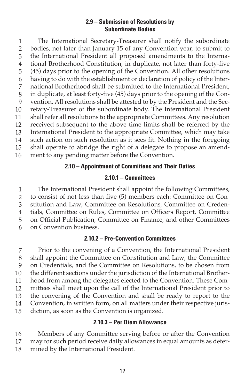#### **2.9 – Submission of Resolutions by Subordinate Bodies**

The International Secretary-Treasurer shall notify the subordinate bodies, not later than January 15 of any Convention year, to submit to the International President all proposed amendments to the International Brotherhood Constitution, in duplicate, not later than forty-five (45) days prior to the opening of the Convention. All other resolutions having to do with the establishment or declaration of policy of the International Brotherhood shall be submitted to the International President, in duplicate, at least forty-five (45) days prior to the opening of the Convention. All resolutions shall be attested to by the President and the Secretary-Treasurer of the subordinate body. The International President shall refer all resolutions to the appropriate Committees. Any resolution received subsequent to the above time limits shall be referred by the International President to the appropriate Committee, which may take such action on such resolution as it sees fit. Nothing in the foregoing shall operate to abridge the right of a delegate to propose an amendment to any pending matter before the Convention. 1 2 3 4 5 6 7 8 9 10 11 12 13 14 15 16

# **2.10 – Appointment of Committees and Their Duties**

#### **2.10.1 – Committees**

The International President shall appoint the following Committees, to consist of not less than five (5) members each: Committee on Constitution and Law, Committee on Resolutions, Committee on Credentials, Committee on Rules, Committee on Officers Report, Committee on Official Publication, Committee on Finance, and other Committees on Convention business. 1 2 3 4 5 6

#### **2.10.2 – Pre-Convention Committees**

Prior to the convening of a Convention, the International President shall appoint the Committee on Constitution and Law, the Committee on Credentials, and the Committee on Resolutions, to be chosen from the different sections under the jurisdiction of the International Brotherhood from among the delegates elected to the Convention. These Committees shall meet upon the call of the International President prior to the convening of the Convention and shall be ready to report to the Convention, in written form, on all matters under their respective jurisdiction, as soon as the Convention is organized. 7 8 9 10 11 12 13 14 15

# **2.10.3 – Per Diem Allowance**

Members of any Committee serving before or after the Convention may for such period receive daily allowances in equal amounts as determined by the International President. 16 17 18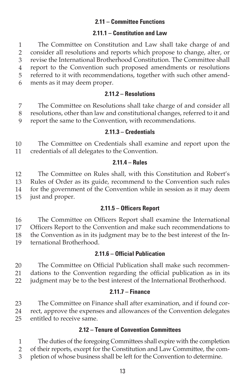# **2.11 – Committee Functions**

# **2.11.1 – Constitution and Law**

The Committee on Constitution and Law shall take charge of and consider all resolutions and reports which propose to change, alter, or revise the International Brotherhood Constitution. The Committee shall report to the Convention such proposed amendments or resolutions referred to it with recommendations, together with such other amendments as it may deem proper. 1 2 3 4 5 6

#### **2.11.2 – Resolutions**

The Committee on Resolutions shall take charge of and consider all resolutions, other than law and constitutional changes, referred to it and report the same to the Convention, with recommendations. 7 8 9

#### **2.11.3 – Credentials**

The Committee on Credentials shall examine and report upon the credentials of all delegates to the Convention. 10 11

#### **2.11.4 – Rules**

The Committee on Rules shall, with this Constitution and Robert's Rules of Order as its guide, recommend to the Convention such rules 12 13

for the government of the Convention while in session as it may deem 14

just and proper. 15

#### **2.11.5 – Officers Report**

The Committee on Officers Report shall examine the International 16

Officers Report to the Convention and make such recommendations to 17

the Convention as in its judgment may be to the best interest of the In-18

ternational Brotherhood. 19

# **2.11.6 – Official Publication**

The Committee on Official Publication shall make such recommen-20

- dations to the Convention regarding the official publication as in its 21
- judgment may be to the best interest of the International Brotherhood. 22

#### **2.11.7 – Finance**

The Committee on Finance shall after examination, and if found cor-23

- rect, approve the expenses and allowances of the Convention delegates 24
- entitled to receive same. 25

# **2.12 – Tenure of Convention Committees**

The duties of the foregoing Committees shall expire with the completion 1

of their reports, except for the Constitution and Law Committee, the com-2

pletion of whose business shall be left for the Convention to determine. 3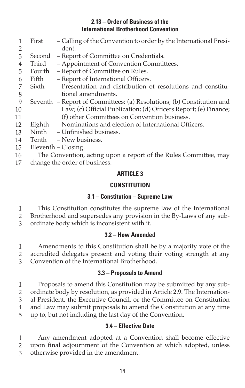# **2.13 – Order of Business of the International Brotherhood Convention**

|    | First  | - Calling of the Convention to order by the International Presi-      |
|----|--------|-----------------------------------------------------------------------|
| 2  |        | dent.                                                                 |
| 3  | Second | - Report of Committee on Credentials.                                 |
| 4  | Third  | - Appointment of Convention Committees.                               |
| 5  | Fourth | - Report of Committee on Rules.                                       |
| 6  | Fifth  | - Report of International Officers.                                   |
| 7  | Sixth  | - Presentation and distribution of resolutions and constitu-          |
| 8  |        | tional amendments.                                                    |
| 9  |        | Seventh – Report of Committees: (a) Resolutions; (b) Constitution and |
| 10 |        | Law; (c) Official Publication; (d) Officers Report; (e) Finance;      |
| 11 |        | (f) other Committees on Convention business.                          |
| 12 | Eighth | - Nominations and election of International Officers.                 |
| 13 | Ninth  | - Unfinished business.                                                |
| 14 | Tenth  | - New business.                                                       |
|    |        |                                                                       |

Eleventh – Closing. 15

The Convention, acting upon a report of the Rules Committee, may 16

change the order of business. 17

# **ARTICLE 3**

# **CONSTITUTION**

# **3.1 – Constitution – Supreme Law**

This Constitution constitutes the supreme law of the International 1

Brotherhood and supersedes any provision in the By-Laws of any sub-2

ordinate body which is inconsistent with it. 3

# **3.2 – How Amended**

Amendments to this Constitution shall be by a majority vote of the accredited delegates present and voting their voting strength at any 1 2

Convention of the International Brotherhood. 3

# **3.3 – Proposals to Amend**

Proposals to amend this Constitution may be submitted by any subordinate body by resolution, as provided in Article 2.9. The International President, the Executive Council, or the Committee on Constitution and Law may submit proposals to amend the Constitution at any time up to, but not including the last day of the Convention. 1 2 3 4 5

# **3.4 – Effective Date**

Any amendment adopted at a Convention shall become effective upon final adjournment of the Convention at which adopted, unless otherwise provided in the amendment. 1 2 3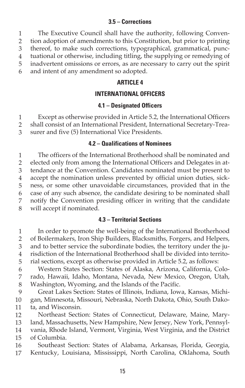#### **3.5 – Corrections**

The Executive Council shall have the authority, following Convention adoption of amendments to this Constitution, but prior to printing thereof, to make such corrections, typographical, grammatical, punctuational or otherwise, including titling, the supplying or remedying of inadvertent omissions or errors, as are necessary to carry out the spirit and intent of any amendment so adopted. 1 2 3 4 5 6

#### **ARTICLE 4**

#### **INTERNATIONAL OFFICERS**

#### **4.1 – Designated Officers**

Except as otherwise provided in Article 5.2, the International Officers shall consist of an International President, International Secretary-Treasurer and five (5) International Vice Presidents. 1 2 3

#### **4.2 – Qualifications of Nominees**

The officers of the International Brotherhood shall be nominated and elected only from among the International Officers and Delegates in attendance at the Convention. Candidates nominated must be present to accept the nomination unless prevented by official union duties, sickness, or some other unavoidable circumstances, provided that in the case of any such absence, the candidate desiring to be nominated shall notify the Convention presiding officer in writing that the candidate will accept if nominated. 1 2 3 4 5 6 7 8

#### **4.3 – Territorial Sections**

In order to promote the well-being of the International Brotherhood of Boilermakers, Iron Ship Builders, Blacksmiths, Forgers, and Helpers, and to better service the subordinate bodies, the territory under the jurisdiction of the International Brotherhood shall be divided into territorial sections, except as otherwise provided in Article 5.2, as follows: 1 2 3 4 5

Western States Section: States of Alaska, Arizona, California, Colorado, Hawaii, Idaho, Montana, Nevada, New Mexico, Oregon, Utah, Washington, Wyoming, and the Islands of the Pacific. 6 7 8

Great Lakes Section: States of Illinois, Indiana, Iowa, Kansas, Michigan, Minnesota, Missouri, Nebraska, North Dakota, Ohio, South Dakota, and Wisconsin. 9 10 11

Northeast Section: States of Connecticut, Delaware, Maine, Maryland, Massachusetts, New Hampshire, New Jersey, New York, Pennsylvania, Rhode Island, Vermont, Virginia, West Virginia, and the District of Columbia. 12 13 14 15

Southeast Section: States of Alabama, Arkansas, Florida, Georgia, Kentucky, Louisiana, Mississippi, North Carolina, Oklahoma, South 16 17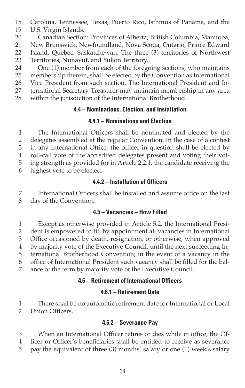Carolina, Tennessee, Texas, Puerto Rico, Isthmus of Panama, and the 18

U.S. Virgin Islands. 19

Canadian Section: Provinces of Alberta, British Columbia, Manitoba, New Brunswick, Newfoundland, Nova Scotia, Ontario, Prince Edward Island, Quebec, Saskatchewan. The three (3) territories of Northwest Territories, Nunavut, and Yukon Territory. 20 21 22 23

One (1) member from each of the foregoing sections, who maintains membership therein, shall be elected by the Convention as International Vice President from such section. The International President and International Secretary-Treasurer may maintain membership in any area 24 25 26 27

within the jurisdiction of the International Brotherhood. 28

# **4.4 – Nominations, Election, and Installation**

# **4.4.1 – Nominations and Election**

The International Officers shall be nominated and elected by the delegates assembled at the regular Convention. In the case of a contest in any International Office, the officer in question shall be elected by roll-call vote of the accredited delegates present and voting their voting strength as provided for in Article 2.2.1, the candidate receiving the highest vote to be elected. 1 2 3 4 5 6

# **4.4.2 – Installation of Officers**

International Officers shall be installed and assume office on the last day of the Convention. 7 8

# **4.5 – Vacancies – How Filled**

Except as otherwise provided in Article 5.2, the International President is empowered to fill by appointment all vacancies in International Office occasioned by death, resignation, or otherwise, when approved by majority vote of the Executive Council, until the next succeeding International Brotherhood Convention; in the event of a vacancy in the office of International President such vacancy shall be filled for the balance of the term by majority vote of the Executive Council. 1 2 3 4 5 6 7

# **4.6 – Retirement of International Officers**

# **4.6.1 – Retirement Date**

There shall be no automatic retirement date for International or Local Union Officers. 1 2

# **4.6.2 – Severance Pay**

When an International Officer retires or dies while in office, the Officer or Officer's beneficiaries shall be entitled to receive as severance pay the equivalent of three (3) months' salary or one (1) week's salary 3 4 5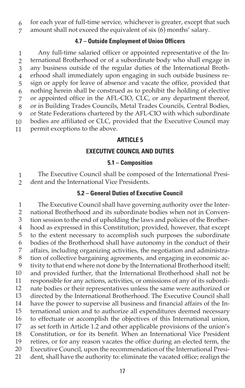for each year of full-time service, whichever is greater, except that such 6

amount shall not exceed the equivalent of six (6) months' salary. 7

# **4.7 – Outside Employment of Union Officers**

Any full-time salaried officer or appointed representative of the International Brotherhood or of a subordinate body who shall engage in any business outside of the regular duties of the International Brotherhood shall immediately upon engaging in such outside business resign or apply for leave of absence and vacate the office, provided that nothing herein shall be construed as to prohibit the holding of elective or appointed office in the AFL-CIO, CLC, or any department thereof, or in Building Trades Councils, Metal Trades Councils, Central Bodies, or State Federations chartered by the AFL-CIO with which subordinate bodies are affiliated or CLC, provided that the Executive Council may permit exceptions to the above. 1 2 3 4 5 6 7 8 9 10 11

#### **ARTICLE 5**

#### **EXECUTIVE COUNCIL AND DUTIES**

#### **5.1 – Composition**

The Executive Council shall be composed of the International President and the International Vice Presidents. 1 2

#### **5.2 – General Duties of Executive Council**

The Executive Council shall have governing authority over the International Brotherhood and its subordinate bodies when not in Convention session to the end of upholding the laws and policies of the Brotherhood as expressed in this Constitution; provided, however, that except to the extent necessary to accomplish such purposes the subordinate bodies of the Brotherhood shall have autonomy in the conduct of their affairs, including organizing activities, the negotiation and administration of collective bargaining agreements, and engaging in economic activity to that end where not done by the International Brotherhood itself; and provided further, that the International Brotherhood shall not be responsible for any actions, activities, or omissions of any of its subordinate bodies or their representatives unless the same were authorized or directed by the International Brotherhood. The Executive Council shall have the power to supervise all business and financial affairs of the International union and to authorize all expenditures deemed necessary to effectuate or accomplish the objectives of this International union, as set forth in Article 1.2 and other applicable provisions of the union's Constitution, or for its benefit. When an International Vice President retires, or for any reason vacates the office during an elected term, the Executive Council, upon the recommendation of the International President, shall have the authority to: eliminate the vacated office; realign the 1 2 3 4 5 6 7 8 9 10 11 12 13 14 15 16 17 18 19 20 21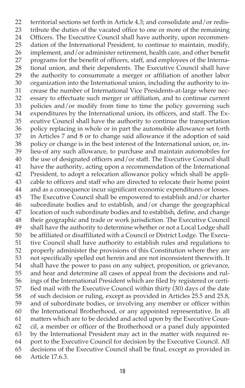territorial sections set forth in Article 4.3; and consolidate and/or redistribute the duties of the vacated office to one or more of the remaining Officers. The Executive Council shall have authority, upon recommendation of the International President, to continue to maintain, modify, implement, and/or administer retirement, health care, and other benefit programs for the benefit of officers, staff, and employees of the International union, and their dependents. The Executive Council shall have the authority to consummate a merger or affiliation of another labor organization into the International union, including the authority to increase the number of International Vice Presidents-at-large where necessary to effectuate such merger or affiliation, and to continue current policies and/or modify from time to time the policy governing such expenditures by the International union, its officers, and staff. The Executive Council shall have the authority to continue the transportation policy replacing in whole or in part the automobile allowance set forth in Articles 7 and 8 or to change said allowance if the adoption of said policy or change is in the best interest of the International union, or, inlieu-of any such allowance, to purchase and maintain automobiles for the use of designated officers and/or staff. The Executive Council shall have the authority, acting upon a recommendation of the International President, to adopt a relocation allowance policy which shall be applicable to officers and staff who are directed to relocate their home point and as a consequence incur significant economic expenditures or losses. The Executive Council shall be empowered to establish and/or charter subordinate bodies and to establish, and/or change the geographical location of such subordinate bodies and to establish, define, and change their geographic and trade or work jurisdiction. The Executive Council shall have the authority to determine whether or not a Local Lodge shall be affiliated or disaffiliated with a Council or District Lodge. The Executive Council shall have authority to establish rules and regulations to properly administer the provisions of this Constitution where they are not specifically spelled out herein and are not inconsistent therewith. It shall have the power to pass on any subject, proposition, or grievance, and hear and determine all cases of appeal from the decisions and rulings of the International President which are filed by registered or certified mail with the Executive Council within thirty (30) days of the date of such decision or ruling, except as provided in Articles 25.5 and 25.8, and of subordinate bodies, or involving any member or officer within the International Brotherhood, or any appointed representative. In all matters which are to be decided and acted upon by the Executive Council, a member or officer of the Brotherhood or a panel duly appointed by the International President may act in the matter with required report to the Executive Council for decision by the Executive Council. All decisions of the Executive Council shall be final, except as provided in Article 17.6.3. 22 23 24 25 26 27 28 29 30 31 32 33 34 35 36 37 38 39 40 41 42 43 44 45 46 47 48 49 50 51 52 53 54 55 56 57 58 59 60 61 62 63 64 65 66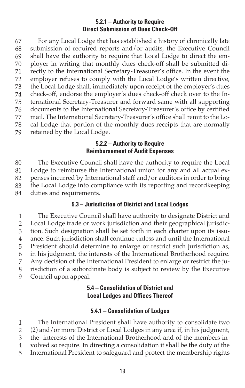#### **5.2.1 – Authority to Require Direct Submission of Dues Check-Off**

For any Local Lodge that has established a history of chronically late submission of required reports and/or audits, the Executive Council shall have the authority to require that Local Lodge to direct the employer in writing that monthly dues check-off shall be submitted directly to the International Secretary-Treasurer's office. In the event the employer refuses to comply with the Local Lodge's written directive, the Local Lodge shall, immediately upon receipt of the employer's dues check-off, endorse the employer's dues check-off check over to the International Secretary-Treasurer and forward same with all supporting documents to the International Secretary-Treasurer's office by certified mail. The International Secretary-Treasurer's office shall remit to the Local Lodge that portion of the monthly dues receipts that are normally retained by the Local Lodge. 67 68 69 70 71 72 73 74 75 76 77 78 79

# **5.2.2 – Authority to Require Reimbursement of Audit Expenses**

The Executive Council shall have the authority to require the Local Lodge to reimburse the International union for any and all actual expenses incurred by International staff and/or auditors in order to bring the Local Lodge into compliance with its reporting and recordkeeping duties and requirements. 80 81 82 83 84

# **5.3 – Jurisdiction of District and Local Lodges**

The Executive Council shall have authority to designate District and Local Lodge trade or work jurisdiction and their geographical jurisdiction. Such designation shall be set forth in each charter upon its issuance. Such jurisdiction shall continue unless and until the International President should determine to enlarge or restrict such jurisdiction as, in his judgment, the interests of the International Brotherhood require. Any decision of the International President to enlarge or restrict the jurisdiction of a subordinate body is subject to review by the Executive Council upon appeal. 1 2 3 4 5 6 7 8 9

# **5.4 – Consolidation of District and Local Lodges and Offices Thereof**

# **5.4.1 – Consolidation of Lodges**

The International President shall have authority to consolidate two (2) and/or more District or Local Lodges in any area if, in his judgment, the interests of the International Brotherhood and of the members involved so require. In directing a consolidation it shall be the duty of the International President to safeguard and protect the membership rights 1 2 3 4 5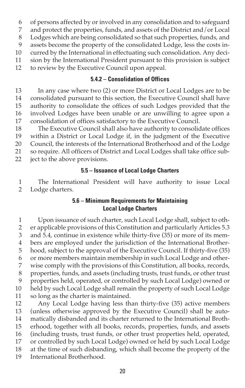of persons affected by or involved in any consolidation and to safeguard 6

- and protect the properties, funds, and assets of the District and/or Local 7
- Lodges which are being consolidated so that such properties, funds, and 8
- assets become the property of the consolidated Lodge, less the costs in-9
- curred by the International in effectuating such consolidation. Any deci-10
- sion by the International President pursuant to this provision is subject 11
- to review by the Executive Council upon appeal. 12

# **5.4.2 – Consolidation of Offices**

In any case where two (2) or more District or Local Lodges are to be consolidated pursuant to this section, the Executive Council shall have authority to consolidate the offices of such Lodges provided that the involved Lodges have been unable or are unwilling to agree upon a consolidation of offices satisfactory to the Executive Council. 13 14 15 16 17

The Executive Council shall also have authority to consolidate offices within a District or Local Lodge if, in the judgment of the Executive Council, the interests of the International Brotherhood and of the Lodge so require. All officers of District and Local Lodges shall take office sub-18 19 20 21

ject to the above provisions. 22

# **5.5 – Issuance of Local Lodge Charters**

The International President will have authority to issue Local Lodge charters. 1 2

# **5.6 – Minimum Requirements for Maintaining Local Lodge Charters**

Upon issuance of such charter, such Local Lodge shall, subject to other applicable provisions of this Constitution and particularly Articles 5.3 and 5.4, continue in existence while thirty-five (35) or more of its members are employed under the jurisdiction of the International Brotherhood, subject to the approval of the Executive Council. If thirty-five (35) or more members maintain membership in such Local Lodge and otherwise comply with the provisions of this Constitution, all books, records, properties, funds, and assets (including trusts, trust funds, or other trust properties held, operated, or controlled by such Local Lodge) owned or held by such Local Lodge shall remain the property of such Local Lodge so long as the charter is maintained. Any Local Lodge having less than thirty-five (35) active members (unless otherwise approved by the Executive Council) shall be automatically disbanded and its charter returned to the International Brotherhood, together with all books, records, properties, funds, and assets 1 2 3 4 5 6 7 8 9 10 11 12 13 14 15

(including trusts, trust funds, or other trust properties held, operated, 16

- or controlled by such Local Lodge) owned or held by such Local Lodge 17
- at the time of such disbanding, which shall become the property of the 18
- International Brotherhood. 19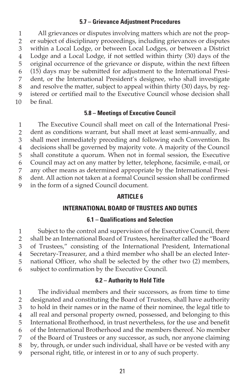#### **5.7 – Grievance Adjustment Procedures**

All grievances or disputes involving matters which are not the proper subject of disciplinary proceedings, including grievances or disputes within a Local Lodge, or between Local Lodges, or between a District Lodge and a Local Lodge, if not settled within thirty (30) days of the original occurrence of the grievance or dispute, within the next fifteen (15) days may be submitted for adjustment to the International President, or the International President's designee, who shall investigate and resolve the matter, subject to appeal within thirty (30) days, by registered or certified mail to the Executive Council whose decision shall be final. 1 2 3 4 5 6 7 8 9 10

#### **5.8 – Meetings of Executive Council**

The Executive Council shall meet on call of the International President as conditions warrant, but shall meet at least semi-annually, and shall meet immediately preceding and following each Convention. Its decisions shall be governed by majority vote. A majority of the Council shall constitute a quorum. When not in formal session, the Executive Council may act on any matter by letter, telephone, facsimile, e-mail, or any other means as determined appropriate by the International President. All action not taken at a formal Council session shall be confirmed in the form of a signed Council document. 1 2 3 4 5 6 7 8 9

# **ARTICLE 6**

# **INTERNATIONAL BOARD OF TRUSTEES AND DUTIES**

# **6.1 – Qualifications and Selection**

Subject to the control and supervision of the Executive Council, there shall be an International Board of Trustees, hereinafter called the "Board of Trustees," consisting of the International President, International Secretary-Treasurer, and a third member who shall be an elected International Officer, who shall be selected by the other two (2) members, subject to confirmation by the Executive Council. 1 2 3 4 5 6

#### **6.2 – Authority to Hold Title**

The individual members and their successors, as from time to time designated and constituting the Board of Trustees, shall have authority to hold in their names or in the name of their nominee, the legal title to all real and personal property owned, possessed, and belonging to this International Brotherhood, in trust nevertheless, for the use and benefit of the International Brotherhood and the members thereof. No member of the Board of Trustees or any successor, as such, nor anyone claiming by, through, or under such individual, shall have or be vested with any personal right, title, or interest in or to any of such property. 1 2 3 4 5 6 7 8 9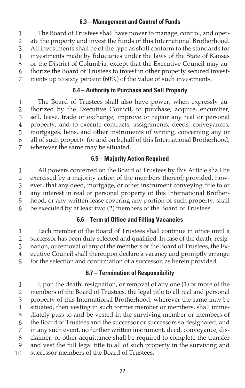# **6.3 – Management and Control of Funds**

The Board of Trustees shall have power to manage, control, and operate the property and invest the funds of this International Brotherhood. All investments shall be of the type as shall conform to the standards for investments made by fiduciaries under the laws of the State of Kansas or the District of Columbia, except that the Executive Council may authorize the Board of Trustees to invest in other properly secured investments up to sixty percent (60%) of the value of such investments. 1 2 3 4 5 6 7

# **6.4 – Authority to Purchase and Sell Property**

The Board of Trustees shall also have power, when expressly authorized by the Executive Council, to purchase, acquire, encumber, sell, lease, trade or exchange, improve or repair any real or personal property, and to execute contracts, assignments, deeds, conveyances, mortgages, liens, and other instruments of writing, concerning any or all of such property for and on behalf of this International Brotherhood, wherever the same may be situated. 1 2 3 4 5 6 7

# **6.5 – Majority Action Required**

All powers conferred on the Board of Trustees by this Article shall be exercised by a majority action of the members thereof; provided, however, that any deed, mortgage, or other instrument conveying title to or any interest in real or personal property of this International Brotherhood, or any written lease covering any portion of such property, shall be executed by at least two (2) members of the Board of Trustees. 1 2 3 4 5 6

# **6.6 – Term of Office and Filling Vacancies**

Each member of the Board of Trustees shall continue in office until a successor has been duly selected and qualified. In case of the death, resignation, or removal of any of the members of the Board of Trustees, the Executive Council shall thereupon declare a vacancy and promptly arrange for the selection and confirmation of a successor, as herein provided. 1 2 3 4 5

# **6.7 – Termination of Responsibility**

Upon the death, resignation, or removal of any one (1) or more of the members of the Board of Trustees, the legal title to all real and personal property of this International Brotherhood, wherever the same may be situated, then vesting in such former member or members, shall immediately pass to and be vested in the surviving member or members of the Board of Trustees and the successor or successors so designated; and in any such event, no further written instrument, deed, conveyance, disclaimer, or other acquittance shall be required to complete the transfer and vest the full legal title to all of such property in the surviving and successor members of the Board of Trustees. 1 2 3 4 5 6 7 8 9 10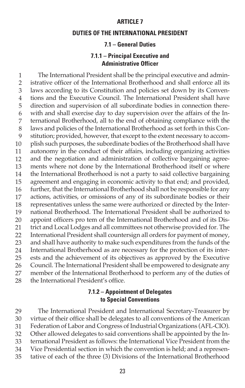#### **ARTICLE 7**

#### **DUTIES OF THE INTERNATIONAL PRESIDENT**

#### **7.1 – General Duties**

#### **7.1.1 – Principal Executive and Administrative Officer**

The International President shall be the principal executive and administrative officer of the International Brotherhood and shall enforce all its laws according to its Constitution and policies set down by its Conventions and the Executive Council. The International President shall have direction and supervision of all subordinate bodies in connection therewith and shall exercise day to day supervision over the affairs of the International Brotherhood, all to the end of obtaining compliance with the laws and policies of the International Brotherhood as set forth in this Constitution; provided, however, that except to the extent necessary to accomplish such purposes, the subordinate bodies of the Brotherhood shall have autonomy in the conduct of their affairs, including organizing activities and the negotiation and administration of collective bargaining agreements where not done by the International Brotherhood itself or where the International Brotherhood is not a party to said collective bargaining agreement and engaging in economic activity to that end; and provided, further, that the International Brotherhood shall not be responsible for any actions, activities, or omissions of any of its subordinate bodies or their representatives unless the same were authorized or directed by the International Brotherhood. The International President shall be authorized to appoint officers pro tem of the International Brotherhood and of its District and Local Lodges and all committees not otherwise provided for. The International President shall countersign all orders for payment of money, and shall have authority to make such expenditures from the funds of the International Brotherhood as are necessary for the protection of its interests and the achievement of its objectives as approved by the Executive Council. The International President shall be empowered to designate any member of the International Brotherhood to perform any of the duties of the International President's office. 1 2 3 4 5 6 7 8 9 10 11 12 13 14 15 16 17 18 19 20 21 22 23 24 25 26 27 28

## **7.1.2 – Appointment of Delegates to Special Conventions**

The International President and International Secretary-Treasurer by virtue of their office shall be delegates to all conventions of the American Federation of Labor and Congress of Industrial Organizations (AFL-CIO). Other allowed delegates to said conventions shall be appointed by the International President as follows: the International Vice President from the Vice Presidential section in which the convention is held; and a representative of each of the three (3) Divisions of the International Brotherhood 29 30 31 32 33 34 35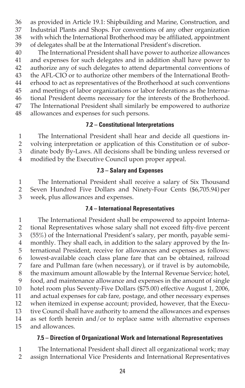as provided in Article 19.1: Shipbuilding and Marine, Construction, and Industrial Plants and Shops. For conventions of any other organization with which the International Brotherhood may be affiliated, appointment of delegates shall be at the International President's discretion. 36 37 38 39

The International President shall have power to authorize allowances and expenses for such delegates and in addition shall have power to authorize any of such delegates to attend departmental conventions of the AFL-CIO or to authorize other members of the International Brotherhood to act as representatives of the Brotherhood at such conventions and meetings of labor organizations or labor federations as the International President deems necessary for the interests of the Brotherhood. The International President shall similarly be empowered to authorize allowances and expenses for such persons. 40 41 42 43 44 45 46 47 48

# **7.2 – Constitutional Interpretations**

The International President shall hear and decide all questions involving interpretation or application of this Constitution or of subordinate body By-Laws. All decisions shall be binding unless reversed or modified by the Executive Council upon proper appeal. 1 2 3 4

# **7.3 – Salary and Expenses**

The International President shall receive a salary of Six Thousand Seven Hundred Five Dollars and Ninety-Four Cents (\$6,705.94) per week, plus allowances and expenses. 1 2 3

# **7.4 – International Representatives**

The International President shall be empowered to appoint International Representatives whose salary shall not exceed fifty-five percent (55%) of the International President's salary, per month, payable semimonthly. They shall each, in addition to the salary approved by the International President, receive for allowances and expenses as follows: lowest-available coach class plane fare that can be obtained, railroad fare and Pullman fare (when necessary), or if travel is by automobile, the maximum amount allowable by the Internal Revenue Service; hotel, food, and maintenance allowance and expenses in the amount of single hotel room plus Seventy-Five Dollars (\$75.00) effective August 1, 2006, and actual expenses for cab fare, postage, and other necessary expenses when itemized in expense account; provided, however, that the Executive Council shall have authority to amend the allowances and expenses as set forth herein and/or to replace same with alternative expenses and allowances. 1 2 3 4 5 6 7 8 9 10 11 12 13 14 15

# **7.5 – Direction of Organizational Work and International Representatives**

The International President shall direct all organizational work; may assign International Vice Presidents and International Representatives 1 2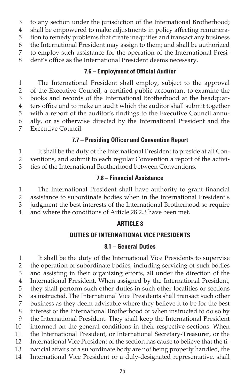to any section under the jurisdiction of the International Brotherhood; 3

shall be empowered to make adjustments in policy affecting remunera-4

tion to remedy problems that create inequities and transact any business 5

the International President may assign to them; and shall be authorized to employ such assistance for the operation of the International Presi- 6 7

dent's office as the International President deems necessary. 8

## **7.6 – Employment of Official Auditor**

The International President shall employ, subject to the approval of the Executive Council, a certified public accountant to examine the books and records of the International Brotherhood at the headquarters office and to make an audit which the auditor shall submit together with a report of the auditor's findings to the Executive Council annually, or as otherwise directed by the International President and the Executive Council. 1 2 3 4 5 6 7

## **7.7 – Presiding Officer and Convention Report**

It shall be the duty of the International President to preside at all Con-1

ventions, and submit to each regular Convention a report of the activi-2

ties of the International Brotherhood between Conventions. 3

## **7.8 – Financial Assistance**

The International President shall have authority to grant financial 1

assistance to subordinate bodies when in the International President's 2

judgment the best interests of the International Brotherhood so require 3

and where the conditions of Article 28.2.3 have been met. 4

## **ARTICLE 8**

## **DUTIES OF INTERNATIONAL VICE PRESIDENTS**

## **8.1 – General Duties**

It shall be the duty of the International Vice Presidents to supervise the operation of subordinate bodies, including servicing of such bodies and assisting in their organizing efforts, all under the direction of the International President. When assigned by the International President, they shall perform such other duties in such other localities or sections as instructed. The International Vice Presidents shall transact such other business as they deem advisable where they believe it to be for the best interest of the International Brotherhood or when instructed to do so by the International President. They shall keep the International President informed on the general conditions in their respective sections. When the International President, or International Secretary-Treasurer, or the International Vice President of the section has cause to believe that the financial affairs of a subordinate body are not being properly handled, the International Vice President or a duly-designated representative, shall 1 2 3 4 5 6 7 8 9 10 11 12 13 14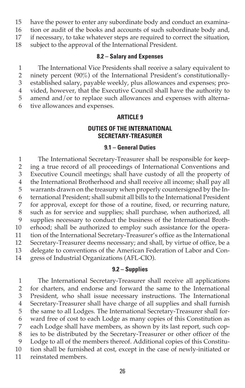- have the power to enter any subordinate body and conduct an examina-15
- tion or audit of the books and accounts of such subordinate body and, 16
- if necessary, to take whatever steps are required to correct the situation, 17
- subject to the approval of the International President. 18

# **8.2 – Salary and Expenses**

The International Vice Presidents shall receive a salary equivalent to ninety percent (90%) of the International President's constitutionallyestablished salary, payable weekly, plus allowances and expenses; provided, however, that the Executive Council shall have the authority to amend and/or to replace such allowances and expenses with alternative allowances and expenses. 1 2 3 4 5 6

#### **ARTICLE 9**

#### **DUTIES OF THE INTERNATIONAL SECRETARY-TREASURER**

#### **9.1 – General Duties**

The International Secretary-Treasurer shall be responsible for keeping a true record of all proceedings of International Conventions and Executive Council meetings; shall have custody of all the property of the International Brotherhood and shall receive all income; shall pay all warrants drawn on the treasury when properly countersigned by the International President; shall submit all bills to the International President for approval, except for those of a routine, fixed, or recurring nature, such as for service and supplies; shall purchase, when authorized, all supplies necessary to conduct the business of the International Brotherhood; shall be authorized to employ such assistance for the operation of the International Secretary-Treasurer's office as the International Secretary-Treasurer deems necessary; and shall, by virtue of office, be a delegate to conventions of the American Federation of Labor and Congress of Industrial Organizations (AFL-CIO). 1 2 3 4 5 6 7 8 9 10 11 12 13 14

#### **9.2 – Supplies**

The International Secretary-Treasurer shall receive all applications for charters, and endorse and forward the same to the International President, who shall issue necessary instructions. The International Secretary-Treasurer shall have charge of all supplies and shall furnish the same to all Lodges. The International Secretary-Treasurer shall forward free of cost to each Lodge as many copies of this Constitution as each Lodge shall have members, as shown by its last report, such copies to be distributed by the Secretary-Treasurer or other officer of the Lodge to all of the members thereof. Additional copies of this Constitution shall be furnished at cost, except in the case of newly-initiated or reinstated members. 1 2 3 4 5 6 7 8 9 10 11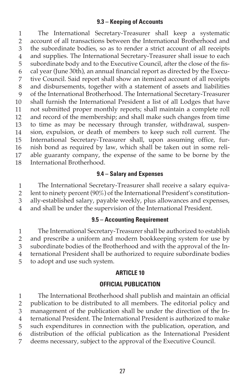### **9.3 – Keeping of Accounts**

The International Secretary-Treasurer shall keep a systematic account of all transactions between the International Brotherhood and the subordinate bodies, so as to render a strict account of all receipts and supplies. The International Secretary-Treasurer shall issue to each subordinate body and to the Executive Council, after the close of the fiscal year (June 30th), an annual financial report as directed by the Executive Council. Said report shall show an itemized account of all receipts and disbursements, together with a statement of assets and liabilities of the International Brotherhood. The International Secretary-Treasurer shall furnish the International President a list of all Lodges that have not submitted proper monthly reports; shall maintain a complete roll and record of the membership; and shall make such changes from time to time as may be necessary through transfer, withdrawal, suspension, expulsion, or death of members to keep such roll current. The International Secretary-Treasurer shall, upon assuming office, furnish bond as required by law, which shall be taken out in some reliable guaranty company, the expense of the same to be borne by the International Brotherhood. 1 2 3 4 5 6 7 8 9 10 11 12 13 14 15 16 17 18

#### **9.4 – Salary and Expenses**

The International Secretary-Treasurer shall receive a salary equiva-1

lent to ninety percent (90%) of the International President's constitution-2

ally-established salary, payable weekly, plus allowances and expenses, 3

and shall be under the supervision of the International President. 4

## **9.5 – Accounting Requirement**

The International Secretary-Treasurer shall be authorized to establish and prescribe a uniform and modern bookkeeping system for use by subordinate bodies of the Brotherhood and with the approval of the International President shall be authorized to require subordinate bodies to adopt and use such system. 1 2 3 4 5

#### **ARTICLE 10**

#### **OFFICIAL PUBLICATION**

The International Brotherhood shall publish and maintain an official publication to be distributed to all members. The editorial policy and management of the publication shall be under the direction of the International President. The International President is authorized to make such expenditures in connection with the publication, operation, and distribution of the official publication as the International President deems necessary, subject to the approval of the Executive Council. 1 2 3 4 5 6 7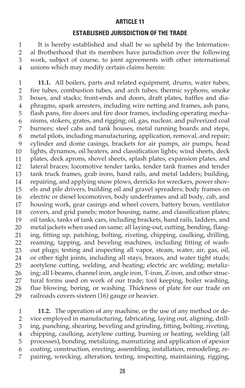## **ARTICLE 11**

#### **ESTABLISHED JURISDICTION OF THE TRADE**

It is hereby established and shall be so upheld by the International Brotherhood that its members have jurisdiction over the following work, subject of course, to joint agreements with other international unions which may modify certain claims herein: 1 2 3 4

**11.1.** All boilers, parts and related equipment, drums, water tubes, fire tubes, combustion tubes, and arch tubes; thermic syphons, smoke boxes, and stacks; front-ends and doors, draft plates, baffles and diaphragms, spark arresters, including wire netting and frames, ash pans, flash pans, fire doors and fire door frames, including operating mechanisms, stokers, grates, and rigging; oil, gas, nuclear, and pulverized coal burners; steel cabs and tank houses, metal running boards and steps, metal pilots, including manufacturing, application, removal, and repair; cylinder and dome casings, brackets for air pumps, air pumps, head lights, dynamos, oil heaters, and classification lights; wind sheets, deck plates, deck aprons, shovel sheets, splash plates, expansion plates, and lateral braces; locomotive tender tanks, tender tank frames and tender tank truck frames, grab irons, hand rails, and metal ladders; building, repairing, and applying snow plows, derricks for wreckers, power shovels and pile drivers, building oil and gravel spreaders; body frames on electric or diesel locomotives, body underframes and all body, cab, and housing work, gear casings and wheel covers, battery boxes, ventilator covers, and grid panels; motor housing, name, and classification plates; oil tanks, tanks of tank cars, including brackets, hand rails, ladders, and metal jackets when used on same; all laying-out, cutting, bending, flanging, fitting up, patching, bolting, riveting, chipping, caulking, drilling, reaming, tapping, and beveling machines, including fitting of washout plugs; testing and inspecting all vapor, steam, water, air, gas, oil, or other tight joints, including all stays, braces, and water tight studs; acetylene cutting, welding, and heating; electric arc welding; metalizing; all I-beams, channel iron, angle iron, T-iron, Z-iron, and other structural forms used on work of our trade; tool keeping, boiler washing, flue blowing, boring, or washing. Thickness of plate for our trade on railroads covers sixteen (16) gauge or heavier. 1 2 3 4 5 6 7 8 9 10 11 12 13 14 15 16 17 18 19 20 21 22 23 24 25 26 27 28 29

**11.2.** The operation of any machine, or the use of any method or device employed in manufacturing, fabricating, laying out, aligning, drilling, punching, shearing, beveling and grinding, fitting, bolting, riveting, chipping, caulking, acetylene cutting, burning or heating, welding (all processes), bonding, metalizing, mamutizing and application of apexior coating, construction, erecting, assembling, installation, remodeling, repairing, wrecking, alteration, testing, inspecting, maintaining, rigging, 1 2 3 4 5 6 7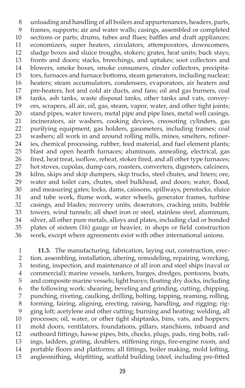unloading and handling of all boilers and appurtenances, headers, parts, frames, supports; air and water walls; casings, assembled or completed sections or parts; drums, tubes and flues; baffles and draft appliances; economizers, super heaters, circulators, attemporators, downcomers, sludge boxes and sluice troughs, stokers; grates, heat units; buck stays; fronts and doors; stacks, breechings, and uptakes; soot collectors and blowers, smoke boxes, smoke consumers, cinder collectors, precipitators, furnaces and furnace bottoms, steam generators, including nuclear; heaters; steam accumulators, condensers, evaporators, air heaters and pre-heaters, hot and cold air ducts, and fans; oil and gas burners, coal tanks, ash tanks, waste disposal tanks, other tanks and vats, conveyors, scrapers, all air, oil, gas, steam, vapor, water, and other tight joints; stand pipes, water towers, metal pipe and pipe lines, metal well casings, incinerators, air washers, cooking devices, creosoting cylinders, gas purifying equipment, gas holders, gasometers, including frames; coal washers; all work in and around rolling mills, mines, smelters, refineries, chemical processing, rubber, feed material, and fuel element plants; blast and open hearth furnaces; aluminum, annealing, electrical, gas fired, heat treat, isoflow, reheat, stoker fired, and all other type furnaces; hot stoves, cupolas, dump cars, roasters, converters, digesters, calciners, kilns, skips and skip dumpers, skip trucks, steel chutes, and liners; ore, water and toilet cars, chutes, steel bulkhead, and doors; water, flood, and measuring gates; locks, dams, caissons, spillways, penstocks, sluice and tube work, flume work, water wheels, generator frames, turbine casings, and blades; recovery units, deaerators, cracking units, bubble towers, wind tunnels; all sheet iron or steel, stainless steel, aluminum, silver, all other pure metals, alloys and plates, including clad or bonded plates of sixteen (16) gauge or heavier, in shops or field construction work, except where agreements exist with other international unions. 8 9 10 11 12 13 14 15 16 17 18 19 20 21 22 23 24 25 26 27 28 29 30 31 32 33 34 35 36

**11.3.** The manufacturing, fabrication, laying out, construction, erection, assembling, installation, altering, remodeling, repairing, wrecking, testing, inspection, and maintenance of all iron and steel ships (naval or commercial); marine vessels, tankers, barges, dredges, pontoons, boats, and composite marine vessels; light buoys; floating dry docks, including the following work: shearing, beveling and grinding, cutting, chipping, punching, riveting, caulking, drilling, bolting, tapping, reaming, rolling, forming, fairing, aligning, erecting, raising, handling, and rigging; rigging loft; acetylene and other cutting; burning and heating; welding, all processes; oil, water, or other tight shiptanks, bins, vats, and hoppers; mold doors, ventilators, foundations, pillars, stanchions, inboard and outboard fittings, hawse pipes, bits, chocks, plugs, pads, ring bolts, railings, ladders, grating, doublers, stiffening rings, fire-engine room, and portable floors and platforms; all fittings, boiler making, mold lofting, anglesmithing, shipfitting, scaffold building (steel, including pre-fitted 1 2 3 4 5 6 7 8 9 10 11 12 13 14 15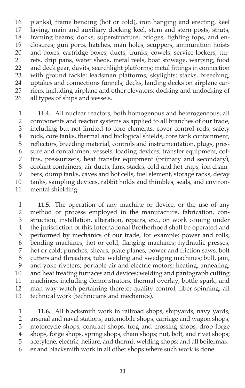planks), frame bending (hot or cold), iron hanging and erecting, keel laying, main and auxiliary docking keel, stem and stern posts, struts, framing beams; docks, superstructure, bridges, fighting tops, and enclosures; gun ports, hatches, man holes, scuppers, ammunition hoists and boxes, cartridge boxes, ducts, trunks, cowels, service lockers, turrets, drip pans, water sheds, metal reels, boat stowage, warping, food and deck gear, davits, searchlight platforms; metal fittings in connection with ground tackle; leadsman platforms, skylights; stacks, breeching, uptakes and connections funnels, decks, landing decks on airplane carriers, including airplane and other elevators; docking and undocking of all types of ships and vessels. 16 17 18 19 20 21 22 23 24 25 26

**11.4.** All nuclear reactors, both homogenous and heterogeneous, all components and reactor systems as applied to all branches of our trade, including but not limited to core elements, cover control rods, safety rods, core tanks, thermal and biological shields, core tank containment, reflectors, breeding material, controls and instrumentation, plugs, pressure and containment vessels, loading devices, transfer equipment, coffins, pressurizers, heat transfer equipment (primary and secondary), coolant containers, air ducts, fans, stacks, cold and hot traps, ion chambers, dump tanks, caves and hot cells, fuel element, storage racks, decay tanks, sampling devices, rabbit holds and thimbles, seals, and environmental shielding. 1 2 3 4 5 6 7 8 9 10 11

**11.5.** The operation of any machine or device, or the use of any method or process employed in the manufacture, fabrication, construction, installation, alteration, repairs, etc., on work coming under the jurisdiction of this International Brotherhood shall be operated and performed by mechanics of our trade, for example: power and rolls; bending machines, hot or cold; flanging machines; hydraulic presses, hot or cold; punches, shears, plate planes, power and friction saws, bolt cutters and threaders, tube welding and swedging machines; bull, jam, and yoke riveters; portable air and electric motors; heating, annealing, and heat treating furnaces and devices; welding and pantograph cutting machines, including demonstrators, thermal overlay, bottle spark, and man way watch pertaining thereto; quality control; fiber spinning; all technical work (technicians and mechanics). 1 2 3 4 5 6 7 8 9 10 11 12 13

**11.6.** All blacksmith work in railroad shops, shipyards, navy yards, arsenal and naval stations, automobile shops, carriage and wagon shops, motorcycle shops, contract shops, frog and crossing shops, drop forge shops, forge shops, spring shops, chain shops; nut, bolt, and rivet shops; acetylene, electric, heliarc, and thermit welding shops; and all boilermaker and blacksmith work in all other shops where such work is done. 1 2 3 4 5 6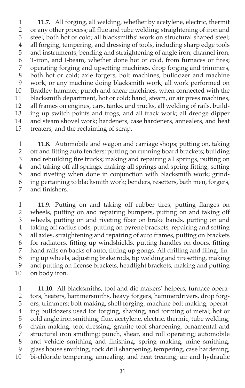**11.7.** All forging, all welding, whether by acetylene, electric, thermit or any other process; all flue and tube welding; straightening of iron and steel, both hot or cold; all blacksmiths' work on structural shaped steel; all forging, tempering, and dressing of tools, including sharp edge tools and instruments; bending and straightening of angle iron, channel iron, T-iron, and I-beam, whether done hot or cold, from furnaces or fires; operating forging and upsetting machines, drop forging and trimmers, both hot or cold; axle forgers, bolt machines, bulldozer and machine work, or any machine doing blacksmith work; all work performed on Bradley hammer; punch and shear machines, when connected with the blacksmith department, hot or cold; hand, steam, or air press machines, all frames on engines, cars, tanks, and trucks, all welding of rails, building up switch points and frogs, and all track work; all dredge dipper and steam shovel work; hardeners, case hardeners, annealers, and heat treaters, and the reclaiming of scrap. 1 2 3 4 5 6 7 8 9 10 11 12 13 14 15

**11.8.** Automobile and wagon and carriage shops; putting on, taking off and fitting auto fenders; putting on running board brackets; building and rebuilding fire trucks; making and repairing all springs, putting on and taking off all springs, making all springs and spring fitting, setting and riveting when done in conjunction with blacksmith work; grinding pertaining to blacksmith work; benders, resetters, bath men, forgers, and finishers. 1 2 3 4 5 6 7

**11.9.** Putting on and taking off rubber tires, putting flanges on wheels, putting on and repairing bumpers, putting on and taking off wheels, putting on and riveting fiber on brake bands, putting on and taking off radius rods, putting on pyrene brackets, repairing and setting all axles, straightening and repairing of auto frames, putting on brackets for radiators, fitting up windshields, putting handles on doors, fitting hand rails on backs of auto, fitting up gongs. All drilling and filing, lining up wheels, adjusting brake rods, tip welding and tiresetting, making and putting on license brackets, headlight brackets, making and putting on body iron. 1 2 3 4 5 6 7 8 9 10

**11.10.** All blacksmiths, tool and die makers' helpers, furnace operators, heaters, hammersmiths, heavy forgers, hammerdrivers, drop forgers, trimmers; bolt making, shell forging, machine bolt making; operating bulldozers used for forging, shaping, and forming of metal; hot or cold angle iron smithing; flue, acetylene, electric, thermic, tube welding; chain making, tool dressing, granite tool sharpening, ornamental and structural iron smithing; punch, shear, and roll operating; automobile and vehicle smithing and finishing; spring making, mine smithing, glass house smithing, rock drill sharpening, tempering, case hardening, bi-chloride tempering, annealing, and heat treating; air and hydraulic 1 2 3 4 5 6 7 8 9 10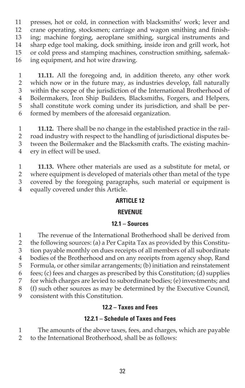presses, hot or cold, in connection with blacksmiths' work; lever and crane operating, stocksmen; carriage and wagon smithing and finishing; machine forging, aeroplane smithing, surgical instruments and sharp edge tool making, dock smithing, inside iron and grill work, hot or cold press and stamping machines, construction smithing, safemaking equipment, and hot wire drawing. 11 12 13 14 15 16

**11.11.** All the foregoing and, in addition thereto, any other work which now or in the future may, as industries develop, fall naturally within the scope of the jurisdiction of the International Brotherhood of Boilermakers, Iron Ship Builders, Blacksmiths, Forgers, and Helpers, shall constitute work coming under its jurisdiction, and shall be performed by members of the aforesaid organization. 1 2 3 4 5 6

**11.12.** There shall be no change in the established practice in the railroad industry with respect to the handling of jurisdictional disputes between the Boilermaker and the Blacksmith crafts. The existing machinery in effect will be used. 1 2 3 4

**11.13.** Where other materials are used as a substitute for metal, or where equipment is developed of materials other than metal of the type covered by the foregoing paragraphs, such material or equipment is equally covered under this Article. 1 2 3 4

## **ARTICLE 12**

## **REVENUE**

# **12.1 – Sources**

The revenue of the International Brotherhood shall be derived from the following sources: (a) a Per Capita Tax as provided by this Constitution payable monthly on dues receipts of all members of all subordinate bodies of the Brotherhood and on any receipts from agency shop, Rand Formula, or other similar arrangements; (b) initiation and reinstatement fees; (c) fees and charges as prescribed by this Constitution; (d) supplies for which charges are levied to subordinate bodies; (e) investments; and (f) such other sources as may be determined by the Executive Council, consistent with this Constitution. 1 2 3 4 5 6 7 8 9

# **12.2 – Taxes and Fees**

## **12.2.1 – Schedule of Taxes and Fees**

The amounts of the above taxes, fees, and charges, which are payable 1

to the International Brotherhood, shall be as follows: 2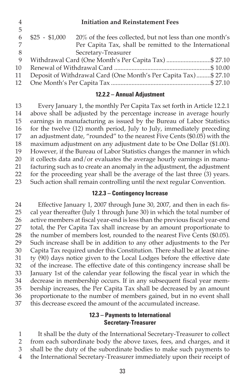### **Initiation and Reinstatement Fees**

| -6  | $$25 - $1,000$ | 20% of the fees collected, but not less than one month's        |  |
|-----|----------------|-----------------------------------------------------------------|--|
|     |                | Per Capita Tax, shall be remitted to the International          |  |
| -8  |                | Secretary-Treasurer                                             |  |
| - 9 |                | Withdrawal Card (One Month's Per Capita Tax) \$ 27.10           |  |
| 10  |                |                                                                 |  |
| 11  |                | Deposit of Withdrawal Card (One Month's Per Capita Tax) \$27.10 |  |
|     |                |                                                                 |  |
|     |                |                                                                 |  |

 4 5

### **12.2.2 – Annual Adjustment**

Every January 1, the monthly Per Capita Tax set forth in Article 12.2.1 above shall be adjusted by the percentage increase in average hourly earnings in manufacturing as issued by the Bureau of Labor Statistics for the twelve (12) month period, July to July, immediately preceding an adjustment date, "rounded" to the nearest Five Cents (\$0.05) with the maximum adjustment on any adjustment date to be One Dollar (\$1.00). However, if the Bureau of Labor Statistics changes the manner in which it collects data and/or evaluates the average hourly earnings in manufacturing such as to create an anomaly in the adjustment, the adjustment for the proceeding year shall be the average of the last three (3) years. Such action shall remain controlling until the next regular Convention. 13 14 15 16 17 18 19 20 21 22 23

## **12.2.3 – Contingency Increase**

Effective January 1, 2007 through June 30, 2007, and then in each fiscal year thereafter (July 1 through June 30) in which the total number of active members at fiscal year-end is less than the previous fiscal year-end total, the Per Capita Tax shall increase by an amount proportionate to the number of members lost, rounded to the nearest Five Cents (\$0.05). Such increase shall be in addition to any other adjustments to the Per Capita Tax required under this Constitution. There shall be at least ninety (90) days notice given to the Local Lodges before the effective date of the increase. The effective date of this contingency increase shall be January 1st of the calendar year following the fiscal year in which the decrease in membership occurs. If in any subsequent fiscal year membership increases, the Per Capita Tax shall be decreased by an amount proportionate to the number of members gained, but in no event shall this decrease exceed the amount of the accumulated increase. 24 25 26 27 28 29 30 31 32 33 34 35 36 37

### **12.3 – Payments to International Secretary-Treasurer**

It shall be the duty of the International Secretary-Treasurer to collect from each subordinate body the above taxes, fees, and charges, and it shall be the duty of the subordinate bodies to make such payments to the International Secretary-Treasurer immediately upon their receipt of 1 2 3 4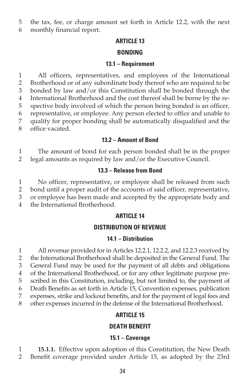- the tax, fee, or charge amount set forth in Article 12.2, with the next 5
- monthly financial report. 6

# **ARTICLE 13**

## **BONDING**

## **13.1 – Requirement**

All officers, representatives, and employees of the International Brotherhood or of any subordinate body thereof who are required to be bonded by law and/or this Constitution shall be bonded through the International Brotherhood and the cost thereof shall be borne by the respective body involved of which the person being bonded is an officer, representative, or employee. Any person elected to office and unable to qualify for proper bonding shall be automatically disqualified and the office vacated. 1 2 3 4 5 6 7 8

## **13.2 – Amount of Bond**

The amount of bond for each person bonded shall be in the proper legal amounts as required by law and/or the Executive Council. 1 2

## **13.3 – Release from Bond**

No officer, representative, or employee shall be released from such 1

bond until a proper audit of the accounts of said officer, representative, 2

or employee has been made and accepted by the appropriate body and 3

the International Brotherhood. 4

# **ARTICLE 14**

## **DISTRIBUTION OF REVENUE**

## **14.1 – Distribution**

All revenue provided for in Articles 12.2.1, 12.2.2, and 12.2.3 received by the International Brotherhood shall be deposited in the General Fund. The General Fund may be used for the payment of all debts and obligations of the International Brotherhood, or for any other legitimate purpose prescribed in this Constitution, including, but not limited to, the payment of Death Benefits as set forth in Article 15, Convention expenses, publication expenses, strike and lockout benefits, and for the payment of legal fees and other expenses incurred in the defense of the International Brotherhood. 1 2 3 4 5 6 7 8

## **ARTICLE 15**

## **DEATH BENEFIT**

## **15.1 – Coverage**

**15.1.1.** Effective upon adoption of this Constitution, the New Death Benefit coverage provided under Article 15, as adopted by the 23rd 1 2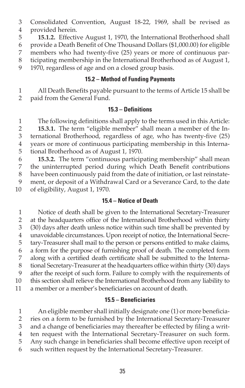Consolidated Convention, August 18-22, 1969, shall be revised as provided herein. 3 4

**15.1.2.** Effective August 1, 1970, the International Brotherhood shall provide a Death Benefit of One Thousand Dollars (\$1,000.00) for eligible members who had twenty-five (25) years or more of continuous participating membership in the International Brotherhood as of August 1, 1970, regardless of age and on a closed group basis. 5 6 7 8 9

### **15.2 – Method of Funding Payments**

All Death Benefits payable pursuant to the terms of Article 15 shall be paid from the General Fund. 1 2

#### **15.3 – Definitions**

The following definitions shall apply to the terms used in this Article: **15.3.1.** The term "eligible member" shall mean a member of the International Brotherhood, regardless of age, who has twenty-five (25) years or more of continuous participating membership in this International Brotherhood as of August 1, 1970. 1 2 3 4 5

**15.3.2.** The term "continuous participating membership" shall mean the uninterrupted period during which Death Benefit contributions have been continuously paid from the date of initiation, or last reinstatement, or deposit of a Withdrawal Card or a Severance Card, to the date of eligibility, August 1, 1970. 6 7 8 9 10

#### **15.4 – Notice of Death**

Notice of death shall be given to the International Secretary-Treasurer at the headquarters office of the International Brotherhood within thirty (30) days after death unless notice within such time shall be prevented by unavoidable circumstances. Upon receipt of notice, the International Secretary-Treasurer shall mail to the person or persons entitled to make claims, a form for the purpose of furnishing proof of death. The completed form along with a certified death certificate shall be submitted to the International Secretary-Treasurer at the headquarters office within thirty (30) days after the receipt of such form. Failure to comply with the requirements of this section shall relieve the International Brotherhood from any liability to a member or a member's beneficiaries on account of death. 1 2 3 4 5 6 7 8 9 10 11

### **15.5 – Beneficiaries**

An eligible member shall initially designate one (1) or more beneficiaries on a form to be furnished by the International Secretary-Treasurer and a change of beneficiaries may thereafter be effected by filing a written request with the International Secretary-Treasurer on such form. Any such change in beneficiaries shall become effective upon receipt of such written request by the International Secretary-Treasurer. 1 2 3 4 5 6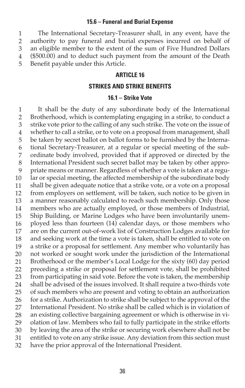#### **15.6 – Funeral and Burial Expense**

The International Secretary-Treasurer shall, in any event, have the authority to pay funeral and burial expenses incurred on behalf of an eligible member to the extent of the sum of Five Hundred Dollars (\$500.00) and to deduct such payment from the amount of the Death Benefit payable under this Article. 1 2 3 4 5

### **ARTICLE 16**

#### **STRIKES AND STRIKE BENEFITS**

#### **16.1 – Strike Vote**

It shall be the duty of any subordinate body of the International Brotherhood, which is contemplating engaging in a strike, to conduct a strike vote prior to the calling of any such strike. The vote on the issue of whether to call a strike, or to vote on a proposal from management, shall be taken by secret ballot on ballot forms to be furnished by the International Secretary-Treasurer, at a regular or special meeting of the subordinate body involved, provided that if approved or directed by the International President such secret ballot may be taken by other appropriate means or manner. Regardless of whether a vote is taken at a regular or special meeting, the affected membership of the subordinate body shall be given adequate notice that a strike vote, or a vote on a proposal from employers on settlement, will be taken, such notice to be given in a manner reasonably calculated to reach such membership. Only those members who are actually employed, or those members of Industrial, Ship Building, or Marine Lodges who have been involuntarily unemployed less than fourteen (14) calendar days, or those members who are on the current out-of-work list of Construction Lodges available for and seeking work at the time a vote is taken, shall be entitled to vote on a strike or a proposal for settlement. Any member who voluntarily has not worked or sought work under the jurisdiction of the International Brotherhood or the member's Local Lodge for the sixty (60) day period preceding a strike or proposal for settlement vote, shall be prohibited from participating in said vote. Before the vote is taken, the membership shall be advised of the issues involved. It shall require a two-thirds vote of such members who are present and voting to obtain an authorization for a strike. Authorization to strike shall be subject to the approval of the International President. No strike shall be called which is in violation of an existing collective bargaining agreement or which is otherwise in violation of law. Members who fail to fully participate in the strike efforts by leaving the area of the strike or securing work elsewhere shall not be entitled to vote on any strike issue. Any deviation from this section must have the prior approval of the International President. 1 2 3 4 5 6 7 8 9 10 11 12 13 14 15 16 17 18 19 20 21 22 23 24 25 26 27 28 29 30 31 32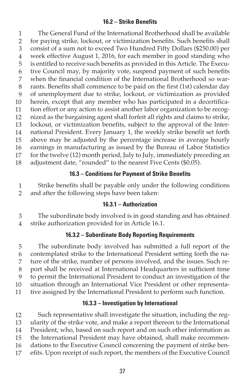## **16.2 – Strike Benefits**

The General Fund of the International Brotherhood shall be available for paying strike, lockout, or victimization benefits. Such benefits shall consist of a sum not to exceed Two Hundred Fifty Dollars (\$250.00) per week effective August 1, 2016, for each member in good standing who is entitled to receive such benefits as provided in this Article. The Executive Council may, by majority vote, suspend payment of such benefits when the financial condition of the International Brotherhood so warrants. Benefits shall commence to be paid on the first (1st) calendar day of unemployment due to strike, lockout, or victimization as provided herein, except that any member who has participated in a decertification effort or any action to assist another labor organization to be recognized as the bargaining agent shall forfeit all rights and claims to strike, lockout, or victimization benefits, subject to the approval of the International President. Every January 1, the weekly strike benefit set forth above may be adjusted by the percentage increase in average hourly earnings in manufacturing as issued by the Bureau of Labor Statistics for the twelve (12) month period, July to July, immediately preceding an adjustment date, "rounded" to the nearest Five Cents (\$0.05). 1 2 3 4 5 6 7 8 9 10 11 12 13 14 15 16 17 18

### **16.3 – Conditions for Payment of Strike Benefits**

Strike benefits shall be payable only under the following conditions and after the following steps have been taken: 1 2

#### **16.3.1 – Authorization**

The subordinate body involved is in good standing and has obtained strike authorization provided for in Article 16.1. 3 4

#### **16.3.2 – Subordinate Body Reporting Requirements**

The subordinate body involved has submitted a full report of the contemplated strike to the International President setting forth the nature of the strike, number of persons involved, and the issues. Such report shall be received at International Headquarters in sufficient time to permit the International President to conduct an investigation of the situation through an International Vice President or other representative assigned by the International President to perform such function. 5 6 7 8 9 10 11

#### **16.3.3 – Investigation by International**

Such representative shall investigate the situation, including the regularity of the strike vote, and make a report thereon to the International President, who, based on such report and on such other information as the International President may have obtained, shall make recommendations to the Executive Council concerning the payment of strike benefits. Upon receipt of such report, the members of the Executive Council 12 13 14 15 16 17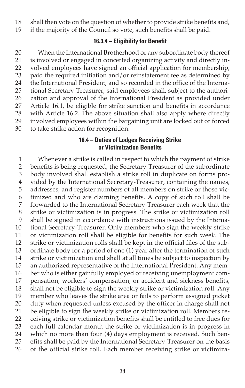- shall then vote on the question of whether to provide strike benefits and, 18
- if the majority of the Council so vote, such benefits shall be paid. 19

### **16.3.4 – Eligibility for Benefit**

When the International Brotherhood or any subordinate body thereof is involved or engaged in concerted organizing activity and directly involved employees have signed an official application for membership, paid the required initiation and/or reinstatement fee as determined by the International President, and so recorded in the office of the International Secretary-Treasurer, said employees shall, subject to the authorization and approval of the International President as provided under Article 16.1, be eligible for strike sanction and benefits in accordance with Article 16.2. The above situation shall also apply where directly involved employees within the bargaining unit are locked out or forced to take strike action for recognition. 20 21 22 23 24 25 26 27 28 29 30

### **16.4 – Duties of Lodges Receiving Strike or Victimization Benefits**

Whenever a strike is called in respect to which the payment of strike benefits is being requested, the Secretary-Treasurer of the subordinate body involved shall establish a strike roll in duplicate on forms provided by the International Secretary-Treasurer, containing the names, addresses, and register numbers of all members on strike or those victimized and who are claiming benefits. A copy of such roll shall be forwarded to the International Secretary-Treasurer each week that the strike or victimization is in progress. The strike or victimization roll shall be signed in accordance with instructions issued by the International Secretary-Treasurer. Only members who sign the weekly strike or victimization roll shall be eligible for benefits for such week. The strike or victimization rolls shall be kept in the official files of the subordinate body for a period of one (1) year after the termination of such strike or victimization and shall at all times be subject to inspection by an authorized representative of the International President. Any member who is either gainfully employed or receiving unemployment compensation, workers' compensation, or accident and sickness benefits, shall not be eligible to sign the weekly strike or victimization roll. Any member who leaves the strike area or fails to perform assigned picket duty when requested unless excused by the officer in charge shall not be eligible to sign the weekly strike or victimization roll. Members receiving strike or victimization benefits shall be entitled to free dues for each full calendar month the strike or victimization is in progress in which no more than four (4) days employment is received. Such benefits shall be paid by the International Secretary-Treasurer on the basis of the official strike roll. Each member receiving strike or victimiza- 1 2 3 4 5 6 7 8 9 10 11 12 13 14 15 16 17 18 19 20 21 22 23 24 25 26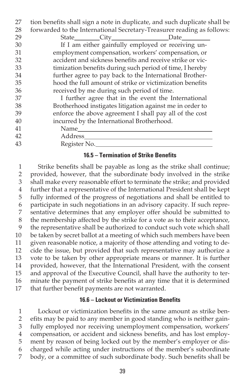tion benefits shall sign a note in duplicate, and such duplicate shall be forwarded to the International Secretary-Treasurer reading as follows: State\_\_\_\_\_\_\_\_City\_\_\_\_\_\_\_\_\_\_\_\_\_\_\_\_\_\_Date\_ If I am either gainfully employed or receiving unemployment compensation, workers' compensation, or accident and sickness benefits and receive strike or victimization benefits during such period of time, I hereby further agree to pay back to the International Brotherhood the full amount of strike or victimization benefits received by me during such period of time. I further agree that in the event the International Brotherhood instigates litigation against me in order to enforce the above agreement I shall pay all of the cost incurred by the International Brotherhood. Name Address Register No. 27 28 29 30 31 32 33 34 35 36 37 38 39 40 41 42 43

#### **16.5 – Termination of Strike Benefits**

Strike benefits shall be payable as long as the strike shall continue; provided, however, that the subordinate body involved in the strike shall make every reasonable effort to terminate the strike; and provided further that a representative of the International President shall be kept fully informed of the progress of negotiations and shall be entitled to participate in such negotiations in an advisory capacity. If such representative determines that any employer offer should be submitted to the membership affected by the strike for a vote as to their acceptance, the representative shall be authorized to conduct such vote which shall be taken by secret ballot at a meeting of which such members have been given reasonable notice, a majority of those attending and voting to decide the issue, but provided that such representative may authorize a vote to be taken by other appropriate means or manner. It is further provided, however, that the International President, with the consent and approval of the Executive Council, shall have the authority to terminate the payment of strike benefits at any time that it is determined that further benefit payments are not warranted. 1 2 3 4 5 6 7 8 9 10 11 12 13 14 15 16 17

#### **16.6 – Lockout or Victimization Benefits**

Lockout or victimization benefits in the same amount as strike benefits may be paid to any member in good standing who is neither gainfully employed nor receiving unemployment compensation, workers' compensation, or accident and sickness benefits, and has lost employment by reason of being locked out by the member's employer or discharged while acting under instructions of the member's subordinate body, or a committee of such subordinate body. Such benefits shall be 1 2 3 4 5 6 7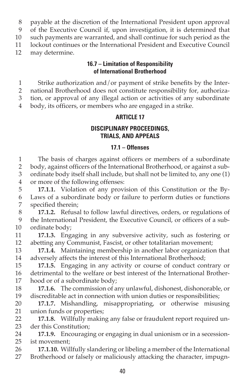- payable at the discretion of the International President upon approval 8
- of the Executive Council if, upon investigation, it is determined that 9
- such payments are warranted, and shall continue for such period as the 10
- lockout continues or the International President and Executive Council 11
- may determine. 12

### **16.7 – Limitation of Responsibility of International Brotherhood**

Strike authorization and/or payment of strike benefits by the Inter-1

national Brotherhood does not constitute responsibility for, authoriza-2

tion, or approval of any illegal action or activities of any subordinate 3

body, its officers, or members who are engaged in a strike. 4

## **ARTICLE 17**

## **DISCIPLINARY PROCEEDINGS, TRIALS, AND APPEALS**

#### **17.1 – Offenses**

The basis of charges against officers or members of a subordinate body, against officers of the International Brotherhood, or against a subordinate body itself shall include, but shall not be limited to, any one (1) or more of the following offenses: 1 2 3 4

**17.1.1.** Violation of any provision of this Constitution or the By-Laws of a subordinate body or failure to perform duties or functions specified therein; 5 6 7

**17.1.2.** Refusal to follow lawful directives, orders, or regulations of the International President, the Executive Council, or officers of a subordinate body; 8 9 10

**17.1.3.** Engaging in any subversive activity, such as fostering or abetting any Communist, Fascist, or other totalitarian movement; 11 12

**17.1.4.** Maintaining membership in another labor organization that adversely affects the interest of this International Brotherhood; 13 14

**17.1.5.** Engaging in any activity or course of conduct contrary or detrimental to the welfare or best interest of the International Brotherhood or of a subordinate body; 15 16 17

**17.1.6.** The commission of any unlawful, dishonest, dishonorable, or discreditable act in connection with union duties or responsibilities; 18 19

**17.1.7.** Mishandling, misappropriating, or otherwise misusing union funds or properties; 20 21

**17.1.8.** Willfully making any false or fraudulent report required under this Constitution; 22 23

**17.1.9.** Encouraging or engaging in dual unionism or in a secessionist movement; 24 25

**17.1.10.** Willfully slandering or libeling a member of the International Brotherhood or falsely or maliciously attacking the character, impugn-26 27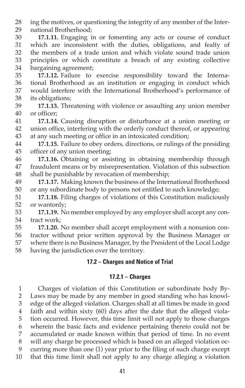ing the motives, or questioning the integrity of any member of the International Brotherhood; 28 29

**17.1.11.** Engaging in or fomenting any acts or course of conduct which are inconsistent with the duties, obligations, and fealty of the members of a trade union and which violate sound trade union principles or which constitute a breach of any existing collective bargaining agreement; 30 31 32 33 34

**17.1.12.** Failure to exercise responsibility toward the International Brotherhood as an institution or engaging in conduct which would interfere with the International Brotherhood's performance of its obligations; 35 36 37 38

**17.1.13.** Threatening with violence or assaulting any union member or officer; 39 40

**17.1.14.** Causing disruption or disturbance at a union meeting or union office, interfering with the orderly conduct thereof, or appearing at any such meeting or office in an intoxicated condition; 41 42 43

**17.1.15.** Failure to obey orders, directions, or rulings of the presiding officer of any union meeting; 44 45

**17.1.16.** Obtaining or assisting in obtaining membership through fraudulent means or by misrepresentation. Violation of this subsection shall be punishable by revocation of membership; 46 47 48

**17.1.17.** Making known the business of the International Brotherhood or any subordinate body to persons not entitled to such knowledge; 49 50

**17.1.18.** Filing charges of violations of this Constitution maliciously or wantonly; 51 52

**17.1.19.** No member employed by any employer shall accept any contract work; 53 54

**17.1.20.** No member shall accept employment with a nonunion contractor without prior written approval by the Business Manager or where there is no Business Manager, by the President of the Local Lodge having the jurisdiction over the territory. 55 56 57 58

## **17.2 – Charges and Notice of Trial**

## **17.2.1 – Charges**

Charges of violation of this Constitution or subordinate body By-Laws may be made by any member in good standing who has knowledge of the alleged violation. Charges shall at all times be made in good faith and within sixty (60) days after the date that the alleged violation occurred. However, this time limit will not apply to those charges wherein the basic facts and evidence pertaining thereto could not be accumulated or made known within that period of time. In no event will any charge be processed which is based on an alleged violation occurring more than one (1) year prior to the filing of such charge except that this time limit shall not apply to any charge alleging a violation 1 2 3 4 5 6 7 8 9  10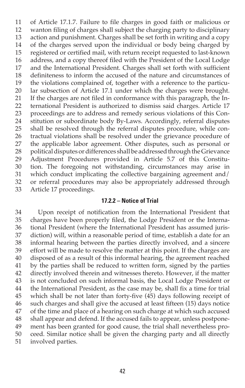of Article 17.1.7. Failure to file charges in good faith or malicious or wanton filing of charges shall subject the charging party to disciplinary action and punishment. Charges shall be set forth in writing and a copy of the charges served upon the individual or body being charged by registered or certified mail, with return receipt requested to last-known address, and a copy thereof filed with the President of the Local Lodge and the International President. Charges shall set forth with sufficient definiteness to inform the accused of the nature and circumstances of the violations complained of, together with a reference to the particular subsection of Article 17.1 under which the charges were brought. If the charges are not filed in conformance with this paragraph, the International President is authorized to dismiss said charges. Article 17 proceedings are to address and remedy serious violations of this Constitution or subordinate body By-Laws. Accordingly, referral disputes shall be resolved through the referral disputes procedure, while contractual violations shall be resolved under the grievance procedure of the applicable labor agreement. Other disputes, such as personal or political disputes or differences shall be addressed through the Grievance Adjustment Procedures provided in Article 5.7 of this Constitution. The foregoing not withstanding, circumstances may arise in which conduct implicating the collective bargaining agreement and/ or referral procedures may also be appropriately addressed through Article 17 proceedings. 11 12 13 14 15 16 17 18 19 20 21 22 23 24 25 26 27 28 29 30 31 32 33

#### **17.2.2 – Notice of Trial**

Upon receipt of notification from the International President that charges have been properly filed, the Lodge President or the International President (where the International President has assumed jurisdiction) will, within a reasonable period of time, establish a date for an informal hearing between the parties directly involved, and a sincere effort will be made to resolve the matter at this point. If the charges are disposed of as a result of this informal hearing, the agreement reached by the parties shall be reduced to written form, signed by the parties directly involved therein and witnesses thereto. However, if the matter is not concluded on such informal basis, the Local Lodge President or the International President, as the case may be, shall fix a time for trial which shall be not later than forty-five (45) days following receipt of such charges and shall give the accused at least fifteen (15) days notice of the time and place of a hearing on such charge at which such accused shall appear and defend. If the accused fails to appear, unless postponement has been granted for good cause, the trial shall nevertheless proceed. Similar notice shall be given the charging party and all directly involved parties. 34 35 36 37 38 39 40 41 42 43 44 45 46 47 48 49 50 51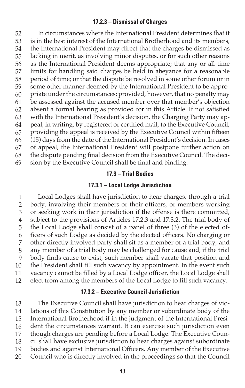#### **17.2.3 – Dismissal of Charges**

In circumstances where the International President determines that it is in the best interest of the International Brotherhood and its members, the International President may direct that the charges be dismissed as lacking in merit, as involving minor disputes, or for such other reasons as the International President deems appropriate; that any or all time limits for handling said charges be held in abeyance for a reasonable period of time; or that the dispute be resolved in some other forum or in some other manner deemed by the International President to be appropriate under the circumstances; provided, however, that no penalty may be assessed against the accused member over that member's objection absent a formal hearing as provided for in this Article. If not satisfied with the International President's decision, the Charging Party may appeal, in writing, by registered or certified mail, to the Executive Council, providing the appeal is received by the Executive Council within fifteen (15) days from the date of the International President's decision. In cases of appeal, the International President will postpone further action on the dispute pending final decision from the Executive Council. The decision by the Executive Council shall be final and binding. 52 53 54 55 56 57 58 59 60 61 62 63 64 65 66 67 68 69

### **17.3 – Trial Bodies**

#### **17.3.1 – Local Lodge Jurisdiction**

Local Lodges shall have jurisdiction to hear charges, through a trial body, involving their members or their officers, or members working or seeking work in their jurisdiction if the offense is there committed, subject to the provisions of Articles 17.2.3 and 17.3.2. The trial body of the Local Lodge shall consist of a panel of three (3) of the elected officers of such Lodge as decided by the elected officers. No charging or other directly involved party shall sit as a member of a trial body, and any member of a trial body may be challenged for cause and, if the trial body finds cause to exist, such member shall vacate that position and the President shall fill such vacancy by appointment. In the event such vacancy cannot be filled by a Local Lodge officer, the Local Lodge shall elect from among the members of the Local Lodge to fill such vacancy. 1 2 3 4 5 6 7 8 9 10 11 12

### **17.3.2 – Executive Council Jurisdiction**

The Executive Council shall have jurisdiction to hear charges of violations of this Constitution by any member or subordinate body of the International Brotherhood if in the judgment of the International President the circumstances warrant. It can exercise such jurisdiction even though charges are pending before a Local Lodge. The Executive Council shall have exclusive jurisdiction to hear charges against subordinate bodies and against International Officers. Any member of the Executive Council who is directly involved in the proceedings so that the Council 13 14 15 16 17 18 19 20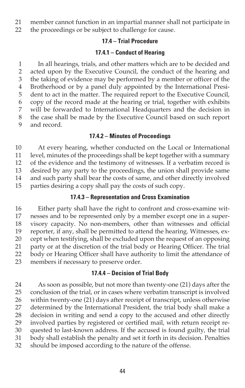- member cannot function in an impartial manner shall not participate in 21
- the proceedings or be subject to challenge for cause. 22

## **17.4 – Trial Procedure**

## **17.4.1 – Conduct of Hearing**

In all hearings, trials, and other matters which are to be decided and acted upon by the Executive Council, the conduct of the hearing and the taking of evidence may be performed by a member or officer of the Brotherhood or by a panel duly appointed by the International President to act in the matter. The required report to the Executive Council, copy of the record made at the hearing or trial, together with exhibits will be forwarded to International Headquarters and the decision in the case shall be made by the Executive Council based on such report and record. 1 2 3 4 5 6 7 8 9

## **17.4.2 – Minutes of Proceedings**

At every hearing, whether conducted on the Local or International level, minutes of the proceedings shall be kept together with a summary of the evidence and the testimony of witnesses. If a verbatim record is desired by any party to the proceedings, the union shall provide same and such party shall bear the costs of same, and other directly involved parties desiring a copy shall pay the costs of such copy. 10 11 12 13 14 15

## **17.4.3 – Representation and Cross Examination**

Either party shall have the right to confront and cross-examine witnesses and to be represented only by a member except one in a supervisory capacity. No non-members, other than witnesses and official reporter, if any, shall be permitted to attend the hearing. Witnesses, except when testifying, shall be excluded upon the request of an opposing party or at the discretion of the trial body or Hearing Officer. The trial body or Hearing Officer shall have authority to limit the attendance of members if necessary to preserve order. 16 17 18 19 20 21 22 23

## **17.4.4 – Decision of Trial Body**

As soon as possible, but not more than twenty-one (21) days after the conclusion of the trial, or in cases where verbatim transcript is involved within twenty-one (21) days after receipt of transcript, unless otherwise determined by the International President, the trial body shall make a decision in writing and send a copy to the accused and other directly involved parties by registered or certified mail, with return receipt requested to last-known address. If the accused is found guilty, the trial body shall establish the penalty and set it forth in its decision. Penalties should be imposed according to the nature of the offense. 24 25 26 27 28 29 30 31 32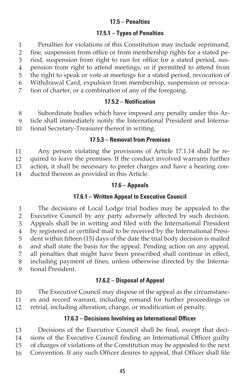## **17.5 – Penalties**

## **17.5.1 – Types of Penalties**

Penalties for violations of this Constitution may include reprimand, fine, suspension from office or from membership rights for a stated period, suspension from right to run for office for a stated period, suspension from right to attend meetings, or if permitted to attend from the right to speak or vote at meetings for a stated period, revocation of Withdrawal Card, expulsion from membership, suspension or revoca- 1 2 3 4 5 6 7

tion of charter, or a combination of any of the foregoing.

## **17.5.2 – Notification**

Subordinate bodies which have imposed any penalty under this Ar-8

ticle shall immediately notify the International President and Interna-9

tional Secretary-Treasurer thereof in writing. 10

# **17.5.3 – Removal from Premises**

Any person violating the provisions of Article 17.1.14 shall be re-11

quired to leave the premises. If the conduct involved warrants further 12

action, it shall be necessary to prefer charges and have a hearing con-13

ducted thereon as provided in this Article. 14

### **17.6 – Appeals**

## **17.6.1 – Written Appeal to Executive Council**

The decisions of Local Lodge trial bodies may be appealed to the Executive Council by any party adversely affected by such decision. Appeals shall be in writing and filed with the International President by registered or certified mail to be received by the International President within fifteen (15) days of the date the trial body decision is mailed and shall state the basis for the appeal. Pending action on any appeal, all penalties that might have been prescribed shall continue in effect, including payment of fines, unless otherwise directed by the International President. 1 2 3 4 5 6 7 8 9

## **17.6.2 – Disposal of Appeal**

The Executive Council may dispose of the appeal as the circumstances and record warrant, including remand for further proceedings or retrial, including alteration, change, or modification of penalty. 10 11 12

## **17.6.3 – Decisions Involving an International Officer**

Decisions of the Executive Council shall be final, except that decisions of the Executive Council finding an International Officer guilty of charges of violations of the Constitution may be appealed to the next Convention. If any such Officer desires to appeal, that Officer shall file 13 14 15 16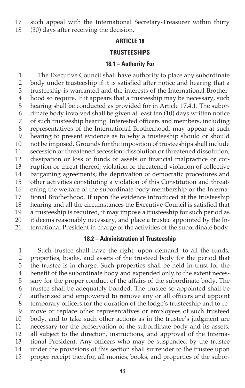- such appeal with the International Secretary-Treasurer within thirty 17
- (30) days after receiving the decision. 18

### **ARTICLE 18**

### **TRUSTEESHIPS**

#### **18.1 – Authority For**

The Executive Council shall have authority to place any subordinate body under trusteeship if it is satisfied after notice and hearing that a trusteeship is warranted and the interests of the International Brotherhood so require. If it appears that a trusteeship may be necessary, such hearing shall be conducted as provided for in Article 17.4.1. The subordinate body involved shall be given at least ten (10) days written notice of such trusteeship hearing. Interested officers and members, including representatives of the International Brotherhood, may appear at such hearing to present evidence as to why a trusteeship should or should not be imposed. Grounds for the imposition of trusteeships shall include secession or threatened secession; dissolution or threatened dissolution; dissipation or loss of funds or assets or financial malpractice or corruption or threat thereof; violation or threatened violation of collective bargaining agreements; the deprivation of democratic procedures and other activities constituting a violation of this Constitution and threatening the welfare of the subordinate body membership or the International Brotherhood. If upon the evidence introduced at the trusteeship hearing and all the circumstances the Executive Council is satisfied that a trusteeship is required, it may impose a trusteeship for such period as it deems reasonably necessary, and place a trustee appointed by the International President in charge of the activities of the subordinate body. 1 2 3 4 5 6 7 8 9 10 11 12 13 14 15 16 17 18 19 20 21

#### **18.2 – Administration of Trusteeship**

Such trustee shall have the right, upon demand, to all the funds, properties, books, and assets of the trusteed body for the period that the trustee is in charge. Such properties shall be held in trust for the benefit of the subordinate body and expended only to the extent necessary for the proper conduct of the affairs of the subordinate body. The trustee shall be adequately bonded. The trustee so appointed shall be authorized and empowered to remove any or all officers and appoint temporary officers for the duration of the lodge's trusteeship and to remove or replace other representatives or employees of such trusteed body, and to take such other actions as in the trustee's judgment are necessary for the preservation of the subordinate body and its assets, all subject to the direction, instructions, and approval of the International President. Any officers who may be suspended by the trustee under the provisions of this section shall surrender to the trustee upon proper receipt therefor, all monies, books, and properties of the subor- 1 2 3 4 5 6 7 8 9 10 11 12 13 14 15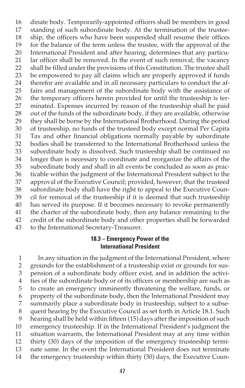dinate body. Temporarily-appointed officers shall be members in good standing of such subordinate body. At the termination of the trusteeship, the officers who have been suspended shall resume their offices for the balance of the term unless the trustee, with the approval of the International President and after hearing, determines that any particular officer shall be removed. In the event of such removal, the vacancy shall be filled under the provisions of this Constitution. The trustee shall be empowered to pay all claims which are properly approved if funds therefor are available and in all necessary particulars to conduct the affairs and management of the subordinate body with the assistance of the temporary officers herein provided for until the trusteeship is terminated. Expenses incurred by reason of the trusteeship shall be paid out of the funds of the subordinate body, if they are available, otherwise they shall be borne by the International Brotherhood. During the period of trusteeship, no funds of the trusteed body except normal Per Capita Tax and other financial obligations normally payable by subordinate bodies shall be transferred to the International Brotherhood unless the subordinate body is dissolved. Such trusteeship shall be continued no longer than is necessary to coordinate and reorganize the affairs of the subordinate body and shall in all events be concluded as soon as practicable within the judgment of the International President subject to the approval of the Executive Council; provided, however, that the trusteed subordinate body shall have the right to appeal to the Executive Council for removal of the trusteeship if it is deemed that such trusteeship has served its purpose. If it becomes necessary to revoke permanently the charter of the subordinate body, then any balance remaining to the credit of the subordinate body and other properties shall be forwarded to the International Secretary-Treasurer. 16 17 18 19 20 21 22 23 24 25 26 27 28 29 30 31 32 33 34 35 36 37 38 39 40 41 42 43

#### **18.3 – Emergency Power of the International President**

In any situation in the judgment of the International President, where grounds for the establishment of a trusteeship exist or grounds for suspension of a subordinate body officer exist, and in addition the activities of the subordinate body or of its officers or membership are such as to create an emergency imminently threatening the welfare, funds, or property of the subordinate body, then the International President may summarily place a subordinate body in trusteeship, subject to a subsequent hearing by the Executive Council as set forth in Article 18.1. Such hearing shall be held within fifteen (15) days after the imposition of such emergency trusteeship. If in the International President's judgment the situation warrants, the International President may at any time within thirty (30) days of the imposition of the emergency trusteeship terminate same. In the event the International President does not terminate the emergency trusteeship within thirty (30) days, the Executive Coun- 1 2 3 4 5 6 7 8 9 10 11 12 13 14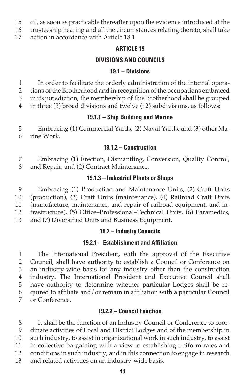- cil, as soon as practicable thereafter upon the evidence introduced at the 15
- trusteeship hearing and all the circumstances relating thereto, shall take 16
- action in accordance with Article 18.1. 17

# **ARTICLE 19**

# **DIVISIONS AND COUNCILS**

# **19.1 – Divisions**

- In order to facilitate the orderly administration of the internal opera-1
- tions of the Brotherhood and in recognition of the occupations embraced 2
- in its jurisdiction, the membership of this Brotherhood shall be grouped 3
- in three (3) broad divisions and twelve (12) subdivisions, as follows: 4

# **19.1.1 – Ship Building and Marine**

Embracing (1) Commercial Yards, (2) Naval Yards, and (3) other Marine Work. 5 6

# **19.1.2 – Construction**

Embracing (1) Erection, Dismantling, Conversion, Quality Control, and Repair, and (2) Contract Maintenance. 7 8

# **19.1.3 – Industrial Plants or Shops**

Embracing (1) Production and Maintenance Units, (2) Craft Units 9

(production), (3) Craft Units (maintenance), (4) Railroad Craft Units 10

(manufacture, maintenance, and repair of railroad equipment, and infrastructure), (5) Office–Professional–Technical Units, (6) Paramedics, 11 12

- 
- and (7) Diversified Units and Business Equipment. 13

# **19.2 – Industry Councils**

# **19.2.1 – Establishment and Affiliation**

The International President, with the approval of the Executive Council, shall have authority to establish a Council or Conference on an industry-wide basis for any industry other than the construction industry. The International President and Executive Council shall have authority to determine whether particular Lodges shall be required to affiliate and/or remain in affiliation with a particular Council or Conference. 1 2 3 4 5 6 7

## **19.2.2 – Council Function**

It shall be the function of an Industry Council or Conference to coordinate activities of Local and District Lodges and of the membership in 8 9

such industry, to assist in organizational work in such industry, to assist 10

- in collective bargaining with a view to establishing uniform rates and 11
- conditions in such industry, and in this connection to engage in research 12
- and related activities on an industry-wide basis. 13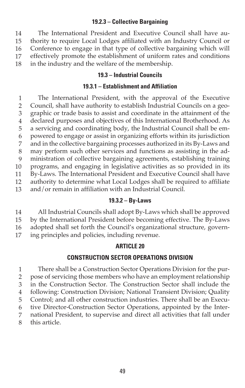## **19.2.3 – Collective Bargaining**

The International President and Executive Council shall have authority to require Local Lodges affiliated with an Industry Council or Conference to engage in that type of collective bargaining which will effectively promote the establishment of uniform rates and conditions in the industry and the welfare of the membership. 14 15 16 17 18

### **19.3 – Industrial Councils**

#### **19.3.1 – Establishment and Affiliation**

The International President, with the approval of the Executive Council, shall have authority to establish Industrial Councils on a geographic or trade basis to assist and coordinate in the attainment of the declared purposes and objectives of this International Brotherhood. As a servicing and coordinating body, the Industrial Council shall be empowered to engage or assist in organizing efforts within its jurisdiction and in the collective bargaining processes authorized in its By-Laws and may perform such other services and functions as assisting in the administration of collective bargaining agreements, establishing training programs, and engaging in legislative activities as so provided in its By-Laws. The International President and Executive Council shall have authority to determine what Local Lodges shall be required to affiliate and/or remain in affiliation with an Industrial Council. 1 2 3 4 5 6 7 8 9 10 11 12 13

#### **19.3.2 – By-Laws**

All Industrial Councils shall adopt By-Laws which shall be approved by the International President before becoming effective. The By-Laws adopted shall set forth the Council's organizational structure, governing principles and policies, including revenue. 14 15 16 17

## **ARTICLE 20**

## **CONSTRUCTION SECTOR OPERATIONS DIVISION**

There shall be a Construction Sector Operations Division for the purpose of servicing those members who have an employment relationship in the Construction Sector. The Construction Sector shall include the following: Construction Division; National Transient Division; Quality Control; and all other construction industries. There shall be an Executive Director-Construction Sector Operations, appointed by the International President, to supervise and direct all activities that fall under this article. 1 2 3 4 5 6 7 8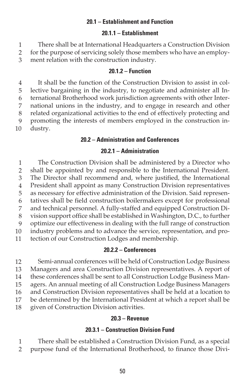## **20.1 – Establishment and Function**

## **20.1.1 – Establishment**

There shall be at International Headquarters a Construction Division for the purpose of servicing solely those members who have an employment relation with the construction industry. 1 2 3

### **20.1.2 – Function**

It shall be the function of the Construction Division to assist in collective bargaining in the industry, to negotiate and administer all International Brotherhood work jurisdiction agreements with other International unions in the industry, and to engage in research and other related organizational activities to the end of effectively protecting and promoting the interests of members employed in the construction industry. 4 5 6 7 8 9 10

## **20.2 – Administration and Conferences**

## **20.2.1 – Administration**

The Construction Division shall be administered by a Director who shall be appointed by and responsible to the International President. The Director shall recommend and, where justified, the International President shall appoint as many Construction Division representatives as necessary for effective administration of the Division. Said representatives shall be field construction boilermakers except for professional and technical personnel. A fully-staffed and equipped Construction Division support office shall be established in Washington, D.C., to further optimize our effectiveness in dealing with the full range of construction industry problems and to advance the service, representation, and protection of our Construction Lodges and membership. 1 2 3 4 5 6 7 8 9 10 11

## **20.2.2 – Conferences**

Semi-annual conferences will be held of Construction Lodge Business Managers and area Construction Division representatives. A report of these conferences shall be sent to all Construction Lodge Business Managers. An annual meeting of all Construction Lodge Business Managers and Construction Division representatives shall be held at a location to be determined by the International President at which a report shall be given of Construction Division activities. 12 13 14 15 16 17 18

## **20.3 – Revenue**

## **20.3.1 – Construction Division Fund**

There shall be established a Construction Division Fund, as a special purpose fund of the International Brotherhood, to finance those Divi- 1 2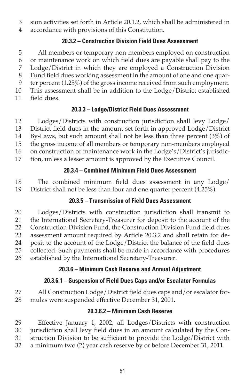- sion activities set forth in Article 20.1.2, which shall be administered in 3
- accordance with provisions of this Constitution. 4

# **20.3.2 – Construction Division Field Dues Assessment**

All members or temporary non-members employed on construction or maintenance work on which field dues are payable shall pay to the Lodge/District in which they are employed a Construction Division Fund field dues working assessment in the amount of one and one quarter percent (1.25%) of the gross income received from such employment. This assessment shall be in addition to the Lodge/District established 5 6 7 8 9 10

field dues. 11

# **20.3.3 – Lodge/District Field Dues Assessment**

Lodges/Districts with construction jurisdiction shall levy Lodge/ District field dues in the amount set forth in approved Lodge/District By-Laws, but such amount shall not be less than three percent (3%) of the gross income of all members or temporary non-members employed on construction or maintenance work in the Lodge's/District's jurisdic-12 13 14 15 16

tion, unless a lesser amount is approved by the Executive Council. 17

# **20.3.4 – Combined Minimum Field Dues Assessment**

The combined minimum field dues assessment in any Lodge/ District shall not be less than four and one quarter percent (4.25%). 18 19

# **20.3.5 – Transmission of Field Dues Assessment**

Lodges/Districts with construction jurisdiction shall transmit to the International Secretary-Treasurer for deposit to the account of the Construction Division Fund, the Construction Division Fund field dues assessment amount required by Article 20.3.2 and shall retain for deposit to the account of the Lodge/District the balance of the field dues collected. Such payments shall be made in accordance with procedures established by the International Secretary-Treasurer. 20 21 22 23 24 25 26

# **20.3.6 – Minimum Cash Reserve and Annual Adjustment**

# **20.3.6.1 – Suspension of Field Dues Caps and/or Escalator Formulas**

All Construction Lodge/District field dues caps and/or escalator formulas were suspended effective December 31, 2001. 27 28

## **20.3.6.2 – Minimum Cash Reserve**

Effective January 1, 2002, all Lodges/Districts with construction jurisdiction shall levy field dues in an amount calculated by the Construction Division to be sufficient to provide the Lodge/District with 29 30 31

a minimum two (2) year cash reserve by or before December 31, 2011. 32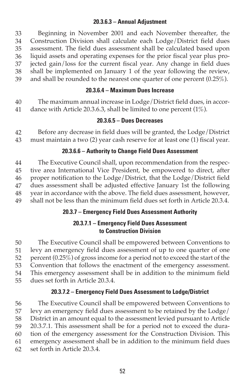## **20.3.6.3 – Annual Adjustment**

Beginning in November 2001 and each November thereafter, the Construction Division shall calculate each Lodge/District field dues assessment. The field dues assessment shall be calculated based upon liquid assets and operating expenses for the prior fiscal year plus projected gain/loss for the current fiscal year. Any change in field dues shall be implemented on January 1 of the year following the review, and shall be rounded to the nearest one quarter of one percent (0.25%). 33 34 35 36 37 38 39

### **20.3.6.4 – Maximum Dues Increase**

The maximum annual increase in Lodge/District field dues, in accordance with Article 20.3.6.3, shall be limited to one percent (1%). 40 41

## **20.3.6.5 – Dues Decreases**

Before any decrease in field dues will be granted, the Lodge/District must maintain a two (2) year cash reserve for at least one (1) fiscal year. 42 43

## **20.3.6.6 – Authority to Change Field Dues Assessment**

The Executive Council shall, upon recommendation from the respective area International Vice President, be empowered to direct, after proper notification to the Lodge/District, that the Lodge/District field dues assessment shall be adjusted effective January 1st the following year in accordance with the above. The field dues assessment, however, shall not be less than the minimum field dues set forth in Article 20.3.4. 44 45 46 47 48 49

## **20.3.7 – Emergency Field Dues Assessment Authority**

## **20.3.7.1 – Emergency Field Dues Assessment to Construction Division**

The Executive Council shall be empowered between Conventions to levy an emergency field dues assessment of up to one quarter of one percent (0.25%) of gross income for a period not to exceed the start of the Convention that follows the enactment of the emergency assessment. This emergency assessment shall be in addition to the minimum field dues set forth in Article 20.3.4. 50 51 52 53 54 55

## **20.3.7.2 – Emergency Field Dues Assessment to Lodge/District**

The Executive Council shall be empowered between Conventions to levy an emergency field dues assessment to be retained by the Lodge/ District in an amount equal to the assessment levied pursuant to Article 20.3.7.1. This assessment shall be for a period not to exceed the duration of the emergency assessment for the Construction Division. This emergency assessment shall be in addition to the minimum field dues set forth in Article 20.3.4. 56 57 58 59 60 61 62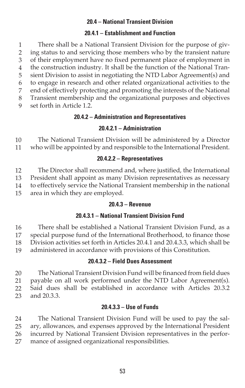## **20.4 – National Transient Division**

## **20.4.1 – Establishment and Function**

There shall be a National Transient Division for the purpose of giving status to and servicing those members who by the transient nature of their employment have no fixed permanent place of employment in the construction industry. It shall be the function of the National Transient Division to assist in negotiating the NTD Labor Agreement(s) and to engage in research and other related organizational activities to the end of effectively protecting and promoting the interests of the National Transient membership and the organizational purposes and objectives 1 2 3 4 5 6 7 8

set forth in Article 1.2. 9

## **20.4.2 – Administration and Representatives**

### **20.4.2.1 – Administration**

The National Transient Division will be administered by a Director who will be appointed by and responsible to the International President. 10 11

### **20.4.2.2 – Representatives**

The Director shall recommend and, where justified, the International 12

President shall appoint as many Division representatives as necessary 13

to effectively service the National Transient membership in the national 14

area in which they are employed. 15

## **20.4.3 – Revenue**

## **20.4.3.1 – National Transient Division Fund**

There shall be established a National Transient Division Fund, as a special purpose fund of the International Brotherhood, to finance those Division activities set forth in Articles 20.4.1 and 20.4.3.3, which shall be administered in accordance with provisions of this Constitution. 16 17 18 19

## **20.4.3.2 – Field Dues Assessment**

The National Transient Division Fund will be financed from field dues payable on all work performed under the NTD Labor Agreement(s). Said dues shall be established in accordance with Articles 20.3.2 and 20.3.3. 20 21 22 23

## **20.4.3.3 – Use of Funds**

The National Transient Division Fund will be used to pay the salary, allowances, and expenses approved by the International President incurred by National Transient Division representatives in the performance of assigned organizational responsibilities. 24 25 26 27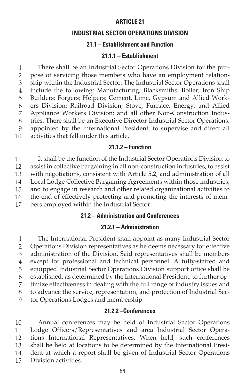#### **ARTICLE 21**

#### **INDUSTRIAL SECTOR OPERATIONS DIVISION**

#### **21.1 – Establishment and Function**

#### **21.1.1 – Establishment**

There shall be an Industrial Sector Operations Division for the purpose of servicing those members who have an employment relationship within the Industrial Sector. The Industrial Sector Operations shall include the following: Manufacturing; Blacksmiths; Boiler; Iron Ship Builders; Forgers; Helpers; Cement, Lime, Gypsum and Allied Workers Division; Railroad Division; Stove, Furnace, Energy, and Allied Appliance Workers Division; and all other Non-Construction Industries. There shall be an Executive Director-Industrial Sector Operations, appointed by the International President, to supervise and direct all activities that fall under this article. 1 2 3 4 5 6 7 8 9 10

#### **21.1.2 – Function**

It shall be the function of the Industrial Sector Operations Division to assist in collective bargaining in all non-construction industries, to assist with negotiations, consistent with Article 5.2, and administration of all Local Lodge Collective Bargaining Agreements within those industries, and to engage in research and other related organizational activities to the end of effectively protecting and promoting the interests of members employed within the Industrial Sector. 11 12 13 14 15 16 17

### **21.2 – Administration and Conferences**

#### **21.2.1 – Administration**

The International President shall appoint as many Industrial Sector Operations Division representatives as he deems necessary for effective administration of the Division. Said representatives shall be members except for professional and technical personnel. A fully-staffed and equipped Industrial Sector Operations Division support office shall be established, as determined by the International President, to further optimize effectiveness in dealing with the full range of industry issues and to advance the service, representation, and protection of Industrial Sector Operations Lodges and membership. 1 2 3 4 5 6 7 8 9

#### **21.2.2 –Conferences**

Annual conferences may be held of Industrial Sector Operations Lodge Officers/Representatives and area Industrial Sector Operations International Representatives. When held, such conferences shall be held at locations to be determined by the International President at which a report shall be given of Industrial Sector Operations Division activities. 10 11 12 13 14 15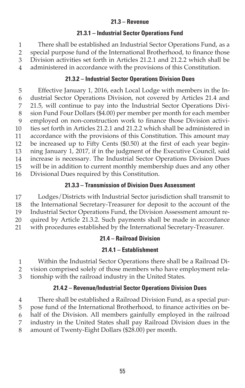## **21.3 – Revenue**

## **21.3.1 – Industrial Sector Operations Fund**

There shall be established an Industrial Sector Operations Fund, as a special purpose fund of the International Brotherhood, to finance those Division activities set forth in Articles 21.2.1 and 21.2.2 which shall be administered in accordance with the provisions of this Constitution. 1 2 3 4

## **21.3.2 – Industrial Sector Operations Division Dues**

Effective January 1, 2016, each Local Lodge with members in the Industrial Sector Operations Division, not covered by Articles 21.4 and 21.5, will continue to pay into the Industrial Sector Operations Division Fund Four Dollars (\$4.00) per member per month for each member employed on non-construction work to finance those Division activities set forth in Articles 21.2.1 and 21.2.2 which shall be administered in accordance with the provisions of this Constitution. This amount may be increased up to Fifty Cents (\$0.50) at the first of each year beginning January 1, 2017, if in the judgment of the Executive Council, said increase is necessary. The Industrial Sector Operations Division Dues will be in addition to current monthly membership dues and any other Divisional Dues required by this Constitution. 5 6 7 8 9 10 11 12 13 14 15 16

## **21.3.3 – Transmission of Division Dues Assessment**

Lodges/Districts with Industrial Sector jurisdiction shall transmit to the International Secretary-Treasurer for deposit to the account of the Industrial Sector Operations Fund, the Division Assessment amount required by Article 21.3.2. Such payments shall be made in accordance with procedures established by the International Secretary-Treasurer. 17 18 19 20 21

## **21.4 – Railroad Division**

## **21.4.1 – Establishment**

Within the Industrial Sector Operations there shall be a Railroad Division comprised solely of those members who have employment relationship with the railroad industry in the United States. 1 2 3

## **21.4.2 – Revenue/Industrial Sector Operations Division Dues**

There shall be established a Railroad Division Fund, as a special purpose fund of the International Brotherhood, to finance activities on behalf of the Division. All members gainfully employed in the railroad industry in the United States shall pay Railroad Division dues in the amount of Twenty-Eight Dollars (\$28.00) per month. 4 5 6 7 8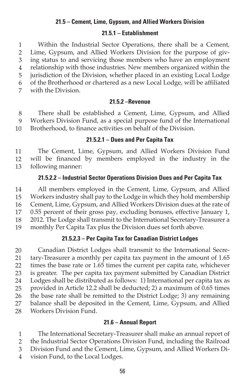## **21.5 – Cement, Lime, Gypsum, and Allied Workers Division**

#### **21.5.1 – Establishment**

Within the Industrial Sector Operations, there shall be a Cement, Lime, Gypsum, and Allied Workers Division for the purpose of giving status to and servicing those members who have an employment relationship with those industries. New members organized within the jurisdiction of the Division, whether placed in an existing Local Lodge of the Brotherhood or chartered as a new Local Lodge, will be affiliated with the Division. 1 2 3 4 5 6

7

#### **21.5.2 –Revenue**

There shall be established a Cement, Lime, Gypsum, and Allied Workers Division Fund, as a special purpose fund of the International Brotherhood, to finance activities on behalf of the Division. 8 9 10

### **21.5.2.1 – Dues and Per Capita Tax**

The Cement, Lime, Gypsum, and Allied Workers Division Fund will be financed by members employed in the industry in the following manner: 11 12 13

### **21.5.2.2 – Industrial Sector Operations Division Dues and Per Capita Tax**

All members employed in the Cement, Lime, Gypsum, and Allied Workers industry shall pay to the Lodge in which they hold membership Cement, Lime, Gypsum, and Allied Workers Division dues at the rate of 0.55 percent of their gross pay, excluding bonuses, effective January 1, 2012. The Lodge shall transmit to the International Secretary-Treasurer a 14 15 16 17 18

monthly Per Capita Tax plus the Division dues set forth above. 19

# **21.5.2.3 – Per Capita Tax for Canadian District Lodges**

Canadian District Lodges shall transmit to the International Secretary-Treasurer a monthly per capita tax payment in the amount of 1.65 times the base rate or 1.65 times the current per capita rate, whichever is greater. The per capita tax payment submitted by Canadian District Lodges shall be distributed as follows: 1) International per capita tax as provided in Article 12.2 shall be deducted; 2) a maximum of 0.65 times the base rate shall be remitted to the District Lodge; 3) any remaining balance shall be deposited in the Cement, Lime, Gypsum, and Allied Workers Division Fund. 20 21 22 23 24 25 26 27 28

### **21.6 – Annual Report**

The International Secretary-Treasurer shall make an annual report of the Industrial Sector Operations Division Fund, including the Railroad Division Fund and the Cement, Lime, Gypsum, and Allied Workers Division Fund, to the Local Lodges. 1 2 3 4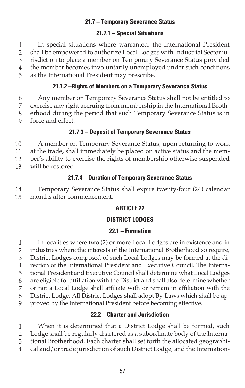## **21.7 – Temporary Severance Status**

## **21.7.1 – Special Situations**

In special situations where warranted, the International President shall be empowered to authorize Local Lodges with Industrial Sector jurisdiction to place a member on Temporary Severance Status provided the member becomes involuntarily unemployed under such conditions as the International President may prescribe. 1 2 3 4 5

# **21.7.2 –Rights of Members on a Temporary Severance Status**

Any member on Temporary Severance Status shall not be entitled to exercise any right accruing from membership in the International Brotherhood during the period that such Temporary Severance Status is in force and effect. 6 7 8 9

## **21.7.3 – Deposit of Temporary Severance Status**

A member on Temporary Severance Status, upon returning to work at the trade, shall immediately be placed on active status and the mem-10 11

ber's ability to exercise the rights of membership otherwise suspended 12

will be restored. 13

# **21.7.4 – Duration of Temporary Severance Status**

Temporary Severance Status shall expire twenty-four (24) calendar months after commencement. 14 15

# **ARTICLE 22**

# **DISTRICT LODGES**

## **22.1 – Formation**

In localities where two (2) or more Local Lodges are in existence and in industries where the interests of the International Brotherhood so require, District Lodges composed of such Local Lodges may be formed at the direction of the International President and Executive Council. The International President and Executive Council shall determine what Local Lodges are eligible for affiliation with the District and shall also determine whether or not a Local Lodge shall affiliate with or remain in affiliation with the District Lodge. All District Lodges shall adopt By-Laws which shall be approved by the International President before becoming effective. 1 2 3 4 5 6 7 8 9

## **22.2 – Charter and Jurisdiction**

When it is determined that a District Lodge shall be formed, such Lodge shall be regularly chartered as a subordinate body of the International Brotherhood. Each charter shall set forth the allocated geographical and/or trade jurisdiction of such District Lodge, and the Internation- 1 2 3 4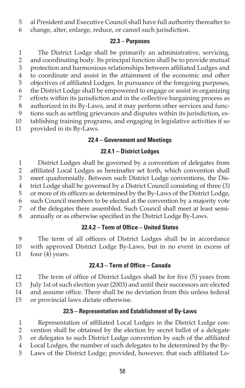- al President and Executive Council shall have full authority thereafter to 5
- change, alter, enlarge, reduce, or cancel such jurisdiction. 6

## **22.3 – Purposes**

The District Lodge shall be primarily an administrative, servicing, and coordinating body. Its principal function shall be to provide mutual protection and harmonious relationships between affiliated Lodges and to coordinate and assist in the attainment of the economic and other objectives of affiliated Lodges. In pursuance of the foregoing purposes, the District Lodge shall be empowered to engage or assist in organizing efforts within its jurisdiction and in the collective bargaining process as authorized in its By-Laws, and it may perform other services and functions such as settling grievances and disputes within its jurisdiction, establishing training programs, and engaging in legislative activities if so 1 2 3 4 5 6 7 8 9 10

provided in its By-Laws. 11

## **22.4 – Government and Meetings**

### **22.4.1 – District Lodges**

District Lodges shall be governed by a convention of delegates from affiliated Local Lodges as hereinafter set forth, which convention shall meet quadrennially. Between such District Lodge conventions, the District Lodge shall be governed by a District Council consisting of three (3) or more of its officers as determined by the By-Laws of the District Lodge, such Council members to be elected at the convention by a majority vote of the delegates there assembled. Such Council shall meet at least semiannually or as otherwise specified in the District Lodge By-Laws. 1 2 3 4 5 6 7 8

## **22.4.2 – Term of Office – United States**

The term of all officers of District Lodges shall be in accordance with approved District Lodge By-Laws, but in no event in excess of four (4) years. 9 10 11

## **22.4.3 – Term of Office – Canada**

The term of office of District Lodges shall be for five (5) years from July 1st of such election year (2003) and until their successors are elected and assume office. There shall be no deviation from this unless federal or provincial laws dictate otherwise. 12 13 14 15

## **22.5 – Representation and Establishment of By-Laws**

Representation of affiliated Local Lodges in the District Lodge convention shall be obtained by the election by secret ballot of a delegate or delegates to such District Lodge convention by each of the affiliated Local Lodges, the number of such delegates to be determined by the By- 1 2 3 4

Laws of the District Lodge; provided, however, that each affiliated Lo-5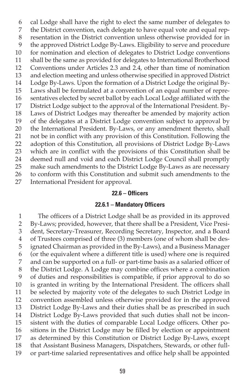cal Lodge shall have the right to elect the same number of delegates to the District convention, each delegate to have equal vote and equal representation in the District convention unless otherwise provided for in the approved District Lodge By-Laws. Eligibility to serve and procedure for nomination and election of delegates to District Lodge conventions shall be the same as provided for delegates to International Brotherhood Conventions under Articles 2.3 and 2.4, other than time of nomination and election meeting and unless otherwise specified in approved District Lodge By-Laws. Upon the formation of a District Lodge the original By-Laws shall be formulated at a convention of an equal number of representatives elected by secret ballot by each Local Lodge affiliated with the District Lodge subject to the approval of the International President. By-Laws of District Lodges may thereafter be amended by majority action of the delegates at a District Lodge convention subject to approval by the International President. By-Laws, or any amendment thereto, shall not be in conflict with any provision of this Constitution. Following the adoption of this Constitution, all provisions of District Lodge By-Laws which are in conflict with the provisions of this Constitution shall be deemed null and void and each District Lodge Council shall promptly make such amendments to the District Lodge By-Laws as are necessary to conform with this Constitution and submit such amendments to the International President for approval. 6 7 8 9 10 11 12 13 14 15 16 17 18 19 20 21 22 23 24 25 26 27

#### **22.6 – Officers**

#### **22.6.1 – Mandatory Officers**

The officers of a District Lodge shall be as provided in its approved By-Laws; provided, however, that there shall be a President, Vice President, Secretary-Treasurer, Recording Secretary, Inspector, and a Board of Trustees comprised of three (3) members (one of whom shall be designated Chairman as provided in the By-Laws), and a Business Manager (or the equivalent where a different title is used) where one is required and can be supported on a full- or part-time basis as a salaried officer of the District Lodge. A Lodge may combine offices where a combination of duties and responsibilities is compatible, if prior approval to do so is granted in writing by the International President. The officers shall be selected by majority vote of the delegates to such District Lodge in convention assembled unless otherwise provided for in the approved District Lodge By-Laws and their duties shall be as prescribed in such District Lodge By-Laws provided that such duties shall not be inconsistent with the duties of comparable Local Lodge officers. Other positions in the District Lodge may be filled by election or appointment as determined by this Constitution or District Lodge By-Laws, except that Assistant Business Managers, Dispatchers, Stewards, or other fullor part-time salaried representatives and office help shall be appointed 1 2 3 4 5 6 7 8 9 10 11 12 13 14 15 16 17 18 19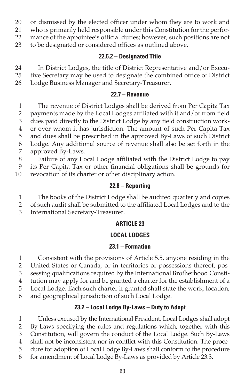- or dismissed by the elected officer under whom they are to work and 20
- who is primarily held responsible under this Constitution for the perfor-21
- mance of the appointee's official duties; however, such positions are not 22
- to be designated or considered offices as outlined above. 23

### **22.6.2 – Designated Title**

In District Lodges, the title of District Representative and/or Executive Secretary may be used to designate the combined office of District 24 25

Lodge Business Manager and Secretary-Treasurer. 26

## **22.7 – Revenue**

The revenue of District Lodges shall be derived from Per Capita Tax 1

payments made by the Local Lodges affiliated with it and/or from field 2

dues paid directly to the District Lodge by any field construction work-3

er over whom it has jurisdiction. The amount of such Per Capita Tax 4

and dues shall be prescribed in the approved By-Laws of such District 5

- Lodge. Any additional source of revenue shall also be set forth in the approved By-Laws. 6 7
- Failure of any Local Lodge affiliated with the District Lodge to pay 8

its Per Capita Tax or other financial obligations shall be grounds for 9

revocation of its charter or other disciplinary action. 10

## **22.8 – Reporting**

- The books of the District Lodge shall be audited quarterly and copies 1
- of such audit shall be submitted to the affiliated Local Lodges and to the 2
- International Secretary-Treasurer. 3

## **ARTICLE 23**

## **LOCAL LODGES**

## **23.1 – Formation**

Consistent with the provisions of Article 5.5, anyone residing in the United States or Canada, or in territories or possessions thereof, possessing qualifications required by the International Brotherhood Constitution may apply for and be granted a charter for the establishment of a Local Lodge. Each such charter if granted shall state the work, location, 1 2 3 4 5

and geographical jurisdiction of such Local Lodge. 6

# **23.2 – Local Lodge By-Laws – Duty to Adopt**

Unless excused by the International President, Local Lodges shall adopt 1

By-Laws specifying the rules and regulations which, together with this 2

Constitution, will govern the conduct of the Local Lodge. Such By-Laws 3

- shall not be inconsistent nor in conflict with this Constitution. The proce-4
- dure for adoption of Local Lodge By-Laws shall conform to the procedure 5
- for amendment of Local Lodge By-Laws as provided by Article 23.3. 6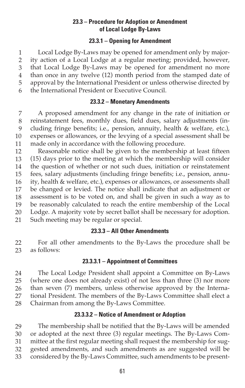# **23.3 – Procedure for Adoption or Amendment of Local Lodge By-Laws**

# **23.3.1 – Opening for Amendment**

Local Lodge By-Laws may be opened for amendment only by majority action of a Local Lodge at a regular meeting; provided, however, that Local Lodge By-Laws may be opened for amendment no more than once in any twelve (12) month period from the stamped date of approval by the International President or unless otherwise directed by the International President or Executive Council. 1 2 3 4 5 6

## **23.3.2 – Monetary Amendments**

A proposed amendment for any change in the rate of initiation or reinstatement fees, monthly dues, field dues, salary adjustments (including fringe benefits; i.e., pension, annuity, health & welfare, etc.), expenses or allowances, or the levying of a special assessment shall be made only in accordance with the following procedure. 7 8 9 10 11

Reasonable notice shall be given to the membership at least fifteen (15) days prior to the meeting at which the membership will consider the question of whether or not such dues, initiation or reinstatement fees, salary adjustments (including fringe benefits; i.e., pension, annuity, health & welfare, etc.), expenses or allowances, or assessments shall be changed or levied. The notice shall indicate that an adjustment or assessment is to be voted on, and shall be given in such a way as to be reasonably calculated to reach the entire membership of the Local Lodge. A majority vote by secret ballot shall be necessary for adoption. Such meeting may be regular or special. 12 13 14 15 16 17 18 19 20 21

## **23.3.3 – All Other Amendments**

For all other amendments to the By-Laws the procedure shall be as follows: 22 23

## **23.3.3.1 – Appointment of Committees**

The Local Lodge President shall appoint a Committee on By-Laws (where one does not already exist) of not less than three (3) nor more than seven (7) members, unless otherwise approved by the International President. The members of the By-Laws Committee shall elect a Chairman from among the By-Laws Committee. 24 25 26 27 28

## **23.3.3.2 – Notice of Amendment or Adoption**

The membership shall be notified that the By-Laws will be amended or adopted at the next three (3) regular meetings. The By-Laws Committee at the first regular meeting shall request the membership for suggested amendments, and such amendments as are suggested will be considered by the By-Laws Committee, such amendments to be present-29 30 31 32 33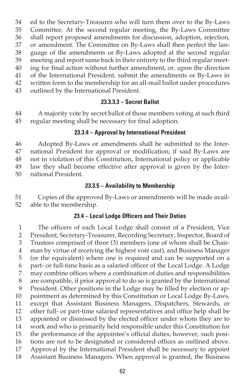ed to the Secretary-Treasurer who will turn them over to the By-Laws Committee. At the second regular meeting, the By-Laws Committee shall report proposed amendments for discussion, adoption, rejection, or amendment. The Committee on By-Laws shall then perfect the language of the amendments or By-Laws adopted at the second regular meeting and report same back in their entirety to the third regular meeting for final action without further amendment, or, upon the direction of the International President, submit the amendments or By-Laws in written form to the membership for an all-mail ballot under procedures 34 35 36 37 38 39 40 41 42

outlined by the International President. 43

#### **23.3.3.3 – Secret Ballot**

A majority vote by secret ballot of those members voting at such third regular meeting shall be necessary for final adoption. 44 45

#### **23.3.4 – Approval by International President**

Adopted By-Laws or amendments shall be submitted to the International President for approval or modification; if said By-Laws are not in violation of this Constitution, International policy or applicable law they shall become effective after approval is given by the International President. 46 47 48 49 50

#### **23.3.5 – Availability to Membership**

Copies of the approved By-Laws or amendments will be made available to the membership. 51 52

# **23.4 – Local Lodge Officers and Their Duties**

The officers of each Local Lodge shall consist of a President, Vice President, Secretary-Treasurer, Recording Secretary, Inspector, Board of Trustees comprised of three (3) members (one of whom shall be Chairman by virtue of receiving the highest vote cast), and Business Manager (or the equivalent) where one is required and can be supported on a part- or full-time basis as a salaried officer of the Local Lodge. A Lodge may combine offices where a combination of duties and responsibilities are compatible, if prior approval to do so is granted by the International President. Other positions in the Lodge may be filled by election or appointment as determined by this Constitution or Local Lodge By-Laws, except that Assistant Business Managers, Dispatchers, Stewards, or other full- or part-time salaried representatives and office help shall be appointed or dismissed by the elected officer under whom they are to work and who is primarily held responsible under this Constitution for the performance of the appointee's official duties; however, such positions are not to be designated or considered offices as outlined above. Approval by the International President shall be necessary to appoint Assistant Business Managers. When approval is granted, the Business 1 2 3 4 5 6 7 8 9 10 11 12 13 14 15 16 17 18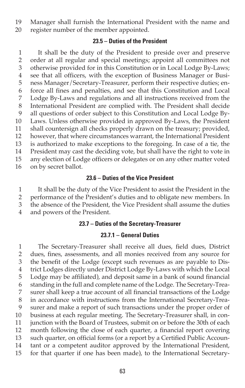- Manager shall furnish the International President with the name and 19
- register number of the member appointed. 20

# **23.5 – Duties of the President**

It shall be the duty of the President to preside over and preserve order at all regular and special meetings; appoint all committees not otherwise provided for in this Constitution or in Local Lodge By-Laws; see that all officers, with the exception of Business Manager or Business Manager/Secretary-Treasurer, perform their respective duties; enforce all fines and penalties, and see that this Constitution and Local Lodge By-Laws and regulations and all instructions received from the International President are complied with. The President shall decide all questions of order subject to this Constitution and Local Lodge By-Laws. Unless otherwise provided in approved By-Laws, the President shall countersign all checks properly drawn on the treasury; provided, however, that where circumstances warrant, the International President is authorized to make exceptions to the foregoing. In case of a tie, the President may cast the deciding vote, but shall have the right to vote in any election of Lodge officers or delegates or on any other matter voted on by secret ballot. 1 2 3 4 5 6 7 8 9 10 11 12 13 14 15 16

#### **23.6 – Duties of the Vice President**

It shall be the duty of the Vice President to assist the President in the performance of the President's duties and to obligate new members. In the absence of the President, the Vice President shall assume the duties 1 2 3

and powers of the President. 4

#### **23.7 – Duties of the Secretary-Treasurer**

#### **23.7.1 – General Duties**

The Secretary-Treasurer shall receive all dues, field dues, District dues, fines, assessments, and all monies received from any source for the benefit of the Lodge (except such revenues as are payable to District Lodges directly under District Lodge By-Laws with which the Local Lodge may be affiliated), and deposit same in a bank of sound financial standing in the full and complete name of the Lodge. The Secretary-Treasurer shall keep a true account of all financial transactions of the Lodge in accordance with instructions from the International Secretary-Treasurer and make a report of such transactions under the proper order of business at each regular meeting. The Secretary-Treasurer shall, in conjunction with the Board of Trustees, submit on or before the 30th of each month following the close of each quarter, a financial report covering such quarter, on official forms (or a report by a Certified Public Accountant or a competent auditor approved by the International President, for that quarter if one has been made), to the International Secretary- 1 2 3 4 5 6 7 8 9 10 11 12 13 14 15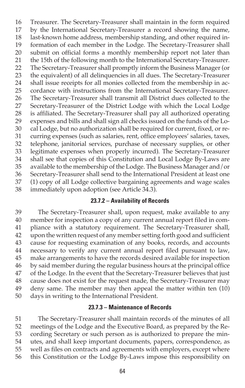Treasurer. The Secretary-Treasurer shall maintain in the form required by the International Secretary-Treasurer a record showing the name, last-known home address, membership standing, and other required information of each member in the Lodge. The Secretary-Treasurer shall submit on official forms a monthly membership report not later than the 15th of the following month to the International Secretary-Treasurer. The Secretary-Treasurer shall promptly inform the Business Manager (or the equivalent) of all delinquencies in all dues. The Secretary-Treasurer shall issue receipts for all monies collected from the membership in accordance with instructions from the International Secretary-Treasurer. The Secretary-Treasurer shall transmit all District dues collected to the Secretary-Treasurer of the District Lodge with which the Local Lodge is affiliated. The Secretary-Treasurer shall pay all authorized operating expenses and bills and shall sign all checks issued on the funds of the Local Lodge, but no authorization shall be required for current, fixed, or recurring expenses (such as salaries, rent, office employees' salaries, taxes, telephone, janitorial services, purchase of necessary supplies, or other legitimate expenses when properly incurred). The Secretary-Treasurer shall see that copies of this Constitution and Local Lodge By-Laws are available to the membership of the Lodge. The Business Manager and/or Secretary-Treasurer shall send to the International President at least one (1) copy of all Lodge collective bargaining agreements and wage scales immediately upon adoption (see Article 34.3). 16 17 18 19 20 21 22 23 24 25 26 27 28 29 30 31 32 33 34 35 36 37 38

#### **23.7.2 – Availability of Records**

The Secretary-Treasurer shall, upon request, make available to any member for inspection a copy of any current annual report filed in compliance with a statutory requirement. The Secretary-Treasurer shall, upon the written request of any member setting forth good and sufficient cause for requesting examination of any books, records, and accounts necessary to verify any current annual report filed pursuant to law, make arrangements to have the records desired available for inspection by said member during the regular business hours at the principal office of the Lodge. In the event that the Secretary-Treasurer believes that just cause does not exist for the request made, the Secretary-Treasurer may deny same. The member may then appeal the matter within ten (10) days in writing to the International President. 39 40 41 42 43 44 45 46 47 48 49 50

#### **23.7.3 – Maintenance of Records**

The Secretary-Treasurer shall maintain records of the minutes of all meetings of the Lodge and the Executive Board, as prepared by the Recording Secretary or such person as is authorized to prepare the minutes, and shall keep important documents, papers, correspondence, as well as files on contracts and agreements with employers, except where this Constitution or the Lodge By-Laws impose this responsibility on 51 52 53 54 55 56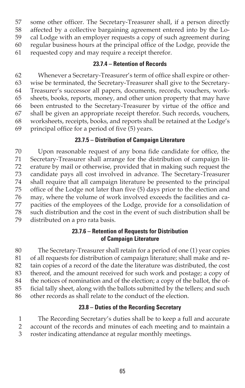some other officer. The Secretary-Treasurer shall, if a person directly affected by a collective bargaining agreement entered into by the Local Lodge with an employer requests a copy of such agreement during regular business hours at the principal office of the Lodge, provide the requested copy and may require a receipt therefor. 57 58 59 60 61

# **23.7.4 – Retention of Records**

Whenever a Secretary-Treasurer's term of office shall expire or otherwise be terminated, the Secretary-Treasurer shall give to the Secretary-Treasurer's successor all papers, documents, records, vouchers, worksheets, books, reports, money, and other union property that may have been entrusted to the Secretary-Treasurer by virtue of the office and shall be given an appropriate receipt therefor. Such records, vouchers, worksheets, receipts, books, and reports shall be retained at the Lodge's principal office for a period of five (5) years. 62 63 64 65 66 67 68 69

# **23.7.5 – Distribution of Campaign Literature**

Upon reasonable request of any bona fide candidate for office, the Secretary-Treasurer shall arrange for the distribution of campaign literature by mail or otherwise, provided that in making such request the candidate pays all cost involved in advance. The Secretary-Treasurer shall require that all campaign literature be presented to the principal office of the Lodge not later than five (5) days prior to the election and may, where the volume of work involved exceeds the facilities and capacities of the employees of the Lodge, provide for a consolidation of such distribution and the cost in the event of such distribution shall be distributed on a pro rata basis. 70 71 72 73 74 75 76 77 78 79

# **23.7.6 – Retention of Requests for Distribution of Campaign Literature**

The Secretary-Treasurer shall retain for a period of one (1) year copies of all requests for distribution of campaign literature; shall make and retain copies of a record of the date the literature was distributed, the cost thereof, and the amount received for such work and postage; a copy of the notices of nomination and of the election; a copy of the ballot, the official tally sheet, along with the ballots submitted by the tellers; and such other records as shall relate to the conduct of the election. 80 81 82 83 84 85 86

# **23.8 – Duties of the Recording Secretary**

The Recording Secretary's duties shall be to keep a full and accurate account of the records and minutes of each meeting and to maintain a 1 2 3

roster indicating attendance at regular monthly meetings.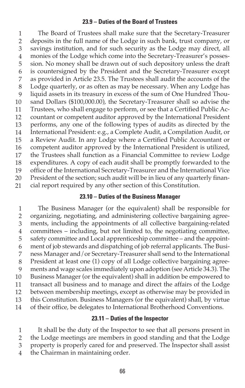#### **23.9 – Duties of the Board of Trustees**

The Board of Trustees shall make sure that the Secretary-Treasurer deposits in the full name of the Lodge in such bank, trust company, or savings institution, and for such security as the Lodge may direct, all monies of the Lodge which come into the Secretary-Treasurer's possession. No money shall be drawn out of such depository unless the draft is countersigned by the President and the Secretary-Treasurer except as provided in Article 23.5. The Trustees shall audit the accounts of the Lodge quarterly, or as often as may be necessary. When any Lodge has liquid assets in its treasury in excess of the sum of One Hundred Thousand Dollars (\$100,000.00), the Secretary-Treasurer shall so advise the Trustees, who shall engage to perform, or see that a Certified Public Accountant or competent auditor approved by the International President performs, any one of the following types of audits as directed by the International President: e.g., a Complete Audit, a Compilation Audit, or a Review Audit. In any Lodge where a Certified Public Accountant or competent auditor approved by the International President is utilized, the Trustees shall function as a Financial Committee to review Lodge expenditures. A copy of each audit shall be promptly forwarded to the office of the International Secretary-Treasurer and the International Vice President of the section; such audit will be in lieu of any quarterly financial report required by any other section of this Constitution. 1 2 3 4 5 6 7 8 9 10 11 12 13 14 15 16 17 18 19 20 21

# **23.10 – Duties of the Business Manager**

The Business Manager (or the equivalent) shall be responsible for organizing, negotiating, and administering collective bargaining agreements, including the appointments of all collective bargaining-related committees – including, but not limited to, the negotiating committee, safety committee and Local apprenticeship committee – and the appointment of job stewards and dispatching of job referral applicants. The Business Manager and/or Secretary-Treasurer shall send to the International President at least one (1) copy of all Lodge collective bargaining agreements and wage scales immediately upon adoption (see Article 34.3). The Business Manager (or the equivalent) shall in addition be empowered to transact all business and to manage and direct the affairs of the Lodge between membership meetings, except as otherwise may be provided in this Constitution. Business Managers (or the equivalent) shall, by virtue of their office, be delegates to International Brotherhood Conventions. 1 2 3 4 5 6 7 8 9 10 11 12 13 14

#### **23.11 – Duties of the Inspector**

It shall be the duty of the Inspector to see that all persons present in the Lodge meetings are members in good standing and that the Lodge property is properly cared for and preserved. The Inspector shall assist the Chairman in maintaining order. 1 2 3 4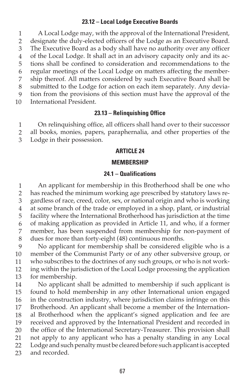#### **23.12 – Local Lodge Executive Boards**

A Local Lodge may, with the approval of the International President, designate the duly-elected officers of the Lodge as an Executive Board. The Executive Board as a body shall have no authority over any officer of the Local Lodge. It shall act in an advisory capacity only and its actions shall be confined to consideration and recommendations to the regular meetings of the Local Lodge on matters affecting the membership thereof. All matters considered by such Executive Board shall be submitted to the Lodge for action on each item separately. Any deviation from the provisions of this section must have the approval of the International President. 1 2 3 4 5 6 7 8 9 10

#### **23.13 – Relinquishing Office**

On relinquishing office, all officers shall hand over to their successor all books, monies, papers, paraphernalia, and other properties of the Lodge in their possession. 1 2 3

#### **ARTICLE 24**

#### **MEMBERSHIP**

#### **24.1 – Qualifications**

An applicant for membership in this Brotherhood shall be one who has reached the minimum working age prescribed by statutory laws regardless of race, creed, color, sex, or national origin and who is working at some branch of the trade or employed in a shop, plant, or industrial facility where the International Brotherhood has jurisdiction at the time of making application as provided in Article 11, and who, if a former member, has been suspended from membership for non-payment of dues for more than forty-eight (48) continuous months. 1 2 3 4 5 6 7 8

No applicant for membership shall be considered eligible who is a member of the Communist Party or of any other subversive group, or who subscribes to the doctrines of any such groups, or who is not working within the jurisdiction of the Local Lodge processing the application for membership. 9 10 11 12 13

No applicant shall be admitted to membership if such applicant is found to hold membership in any other International union engaged in the construction industry, where jurisdiction claims infringe on this Brotherhood. An applicant shall become a member of the International Brotherhood when the applicant's signed application and fee are received and approved by the International President and recorded in the office of the International Secretary-Treasurer. This provision shall not apply to any applicant who has a penalty standing in any Local Lodge and such penalty must be cleared before such applicant is accepted and recorded. 14 15 16 17 18 19 20 21 22 23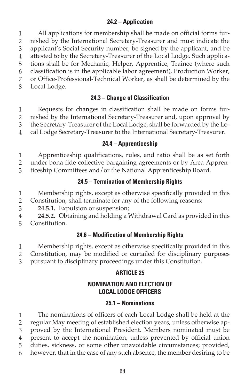# **24.2 – Application**

All applications for membership shall be made on official forms furnished by the International Secretary-Treasurer and must indicate the applicant's Social Security number, be signed by the applicant, and be attested to by the Secretary-Treasurer of the Local Lodge. Such applications shall be for Mechanic, Helper, Apprentice, Trainee (where such classification is in the applicable labor agreement), Production Worker, or Office-Professional-Technical Worker, as shall be determined by the Local Lodge. 1 2 3 4 5 6 7 8

#### **24.3 – Change of Classification**

Requests for changes in classification shall be made on forms furnished by the International Secretary-Treasurer and, upon approval by the Secretary-Treasurer of the Local Lodge, shall be forwarded by the Lo- 1 2 3

cal Lodge Secretary-Treasurer to the International Secretary-Treasurer. 4

#### **24.4 – Apprenticeship**

Apprenticeship qualifications, rules, and ratio shall be as set forth 1

under bona fide collective bargaining agreements or by Area Appren-2

ticeship Committees and/or the National Apprenticeship Board. 3

# **24.5 – Termination of Membership Rights**

- Membership rights, except as otherwise specifically provided in this 1
- Constitution, shall terminate for any of the following reasons: 2
- **24.5.1.** Expulsion or suspension; 3

**24.5.2.** Obtaining and holding a Withdrawal Card as provided in this **Constitution**  4 5

#### **24.6 – Modification of Membership Rights**

Membership rights, except as otherwise specifically provided in this Constitution, may be modified or curtailed for disciplinary purposes 1 2

pursuant to disciplinary proceedings under this Constitution. 3

#### **ARTICLE 25**

#### **NOMINATION AND ELECTION OF LOCAL LODGE OFFICERS**

#### **25.1 – Nominations**

The nominations of officers of each Local Lodge shall be held at the regular May meeting of established election years, unless otherwise approved by the International President. Members nominated must be present to accept the nomination, unless prevented by official union duties, sickness, or some other unavoidable circumstances; provided, however, that in the case of any such absence, the member desiring to be 1 2 3 4 5 6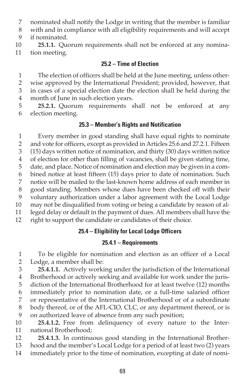- nominated shall notify the Lodge in writing that the member is familiar 7
- with and in compliance with all eligibility requirements and will accept 8
- if nominated. 9
- **25.1.1.** Quorum requirements shall not be enforced at any nomination meeting. 10 11

#### **25.2 – Time of Election**

The election of officers shall be held at the June meeting, unless otherwise approved by the International President; provided, however, that in cases of a special election date the election shall be held during the month of June in such election years. 1 2 3 4

**25.2.1.** Quorum requirements shall not be enforced at any election meeting. 5 6

# **25.3 – Member's Rights and Notification**

Every member in good standing shall have equal rights to nominate and vote for officers, except as provided in Articles 25.6 and 27.2.1. Fifteen (15) days written notice of nomination, and thirty (30) days written notice of election for other than filling of vacancies, shall be given stating time, date, and place. Notice of nomination and election may be given in a combined notice at least fifteen (15) days prior to date of nomination. Such notice will be mailed to the last-known home address of each member in good standing. Members whose dues have been checked off with their voluntary authorization under a labor agreement with the Local Lodge may not be disqualified from voting or being a candidate by reason of alleged delay or default in the payment of dues. All members shall have the right to support the candidate or candidates of their choice. **25.4 – Eligibility for Local Lodge Officers** 1 2 3 4 5 6 7 8 9 10 11 12

# **25.4.1 – Requirements**

To be eligible for nomination and election as an officer of a Local Lodge, a member shall be: 1 2

**25.4.1.1.** Actively working under the jurisdiction of the International Brotherhood or actively seeking and available for work under the jurisdiction of the International Brotherhood for at least twelve (12) months immediately prior to nomination date, or a full-time salaried officer or representative of the International Brotherhood or of a subordinate body thereof, or of the AFL-CIO, CLC, or any department thereof, or is on authorized leave of absence from any such position; 3 4 5 6 7 8 9

**25.4.1.2.** Free from delinquency of every nature to the International Brotherhood; 10 11

**25.4.1.3.** In continuous good standing in the International Brotherhood and the member's Local Lodge for a period of at least two (2) years immediately prior to the time of nomination, excepting at date of nomi-12 13 14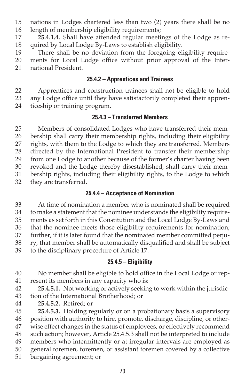nations in Lodges chartered less than two (2) years there shall be no length of membership eligibility requirements; 15 16

**25.4.1.4.** Shall have attended regular meetings of the Lodge as required by Local Lodge By-Laws to establish eligibility. 17 18

There shall be no deviation from the foregoing eligibility requirements for Local Lodge office without prior approval of the International President. 19 20 21

## **25.4.2 – Apprentices and Trainees**

Apprentices and construction trainees shall not be eligible to hold any Lodge office until they have satisfactorily completed their apprenticeship or training program. 22 23 24

## **25.4.3 – Transferred Members**

Members of consolidated Lodges who have transferred their membership shall carry their membership rights, including their eligibility rights, with them to the Lodge to which they are transferred. Members directed by the International President to transfer their membership from one Lodge to another because of the former's charter having been revoked and the Lodge thereby disestablished, shall carry their membership rights, including their eligibility rights, to the Lodge to which they are transferred. 25 26 27 28 29 30 31 32

# **25.4.4 – Acceptance of Nomination**

At time of nomination a member who is nominated shall be required to make a statement that the nominee understands the eligibility requirements as set forth in this Constitution and the Local Lodge By-Laws and that the nominee meets those eligibility requirements for nomination; further, if it is later found that the nominated member committed perjury, that member shall be automatically disqualified and shall be subject 33 34 35 36 37 38

to the disciplinary procedure of Article 17. 39

# **25.4.5 – Eligibility**

No member shall be eligible to hold office in the Local Lodge or represent its members in any capacity who is: 40 41

**25.4.5.1.** Not working or actively seeking to work within the jurisdiction of the International Brotherhood; or 42 43

**25.4.5.2.** Retired; or 44

**25.4.5.3.** Holding regularly or on a probationary basis a supervisory position with authority to hire, promote, discharge, discipline, or otherwise effect changes in the status of employees, or effectively recommend such action; however, Article 25.4.5.3 shall not be interpreted to include members who intermittently or at irregular intervals are employed as 45 46 47 48 49

general foremen, foremen, or assistant foremen covered by a collective 50

bargaining agreement; or 51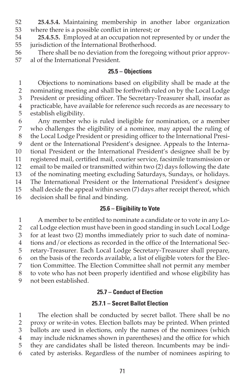- **25.4.5.4.** Maintaining membership in another labor organization where there is a possible conflict in interest; or 52 53
- **25.4.5.5.** Employed at an occupation not represented by or under the jurisdiction of the International Brotherhood. 54 55
- There shall be no deviation from the foregoing without prior approval of the International President. 56 57

#### **25.5 – Objections**

Objections to nominations based on eligibility shall be made at the nominating meeting and shall be forthwith ruled on by the Local Lodge President or presiding officer. The Secretary-Treasurer shall, insofar as practicable, have available for reference such records as are necessary to establish eligibility. 1 2 3 4 5

Any member who is ruled ineligible for nomination, or a member who challenges the eligibility of a nominee, may appeal the ruling of the Local Lodge President or presiding officer to the International President or the International President's designee. Appeals to the International President or the International President's designee shall be by registered mail, certified mail, courier service, facsimile transmission or email to be mailed or transmitted within two (2) days following the date of the nominating meeting excluding Saturdays, Sundays, or holidays. The International President or the International President's designee shall decide the appeal within seven (7) days after receipt thereof, which decision shall be final and binding. 6 7 8 9 10 11 12 13 14 15 16

# **25.6 – Eligibility to Vote**

A member to be entitled to nominate a candidate or to vote in any Local Lodge election must have been in good standing in such Local Lodge for at least two (2) months immediately prior to such date of nominations and/or elections as recorded in the office of the International Secretary-Treasurer. Each Local Lodge Secretary-Treasurer shall prepare, on the basis of the records available, a list of eligible voters for the Election Committee. The Election Committee shall not permit any member to vote who has not been properly identified and whose eligibility has not been established. 1 2 3 4 5 6 7 8 9

#### **25.7 – Conduct of Election**

#### **25.7.1 – Secret Ballot Election**

The election shall be conducted by secret ballot. There shall be no proxy or write-in votes. Election ballots may be printed. When printed ballots are used in elections, only the names of the nominees (which may include nicknames shown in parentheses) and the office for which they are candidates shall be listed thereon. Incumbents may be indicated by asterisks. Regardless of the number of nominees aspiring to 1 2 3 4 5 6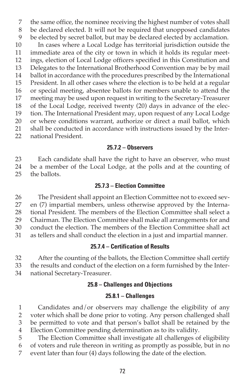the same office, the nominee receiving the highest number of votes shall be declared elected. It will not be required that unopposed candidates be elected by secret ballot, but may be declared elected by acclamation. In cases where a Local Lodge has territorial jurisdiction outside the immediate area of the city or town in which it holds its regular meetings, election of Local Lodge officers specified in this Constitution and Delegates to the International Brotherhood Convention may be by mail ballot in accordance with the procedures prescribed by the International President. In all other cases where the election is to be held at a regular or special meeting, absentee ballots for members unable to attend the meeting may be used upon request in writing to the Secretary-Treasurer of the Local Lodge, received twenty (20) days in advance of the election. The International President may, upon request of any Local Lodge or where conditions warrant, authorize or direct a mail ballot, which shall be conducted in accordance with instructions issued by the Inter- 7 8 9 10 11 12 13 14 15 16 17 18 19 20 21

national President. 22

#### **25.7.2 – Observers**

Each candidate shall have the right to have an observer, who must be a member of the Local Lodge, at the polls and at the counting of the ballots. 23 24 25

#### **25.7.3 – Election Committee**

The President shall appoint an Election Committee not to exceed seven (7) impartial members, unless otherwise approved by the International President. The members of the Election Committee shall select a Chairman. The Election Committee shall make all arrangements for and conduct the election. The members of the Election Committee shall act as tellers and shall conduct the election in a just and impartial manner. 26 27 28 29 30 31

#### **25.7.4 – Certification of Results**

After the counting of the ballots, the Election Committee shall certify the results and conduct of the election on a form furnished by the International Secretary-Treasurer. 32 33 34

#### **25.8 – Challenges and Objections**

#### **25.8.1 – Challenges**

Candidates and/or observers may challenge the eligibility of any voter which shall be done prior to voting. Any person challenged shall be permitted to vote and that person's ballot shall be retained by the Election Committee pending determination as to its validity. 1 2 3 4

The Election Committee shall investigate all challenges of eligibility of voters and rule thereon in writing as promptly as possible, but in no event later than four (4) days following the date of the election. 5 6 7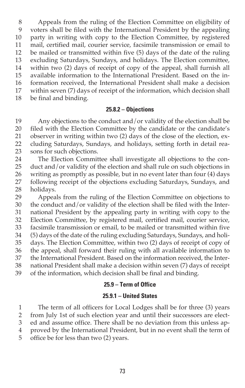Appeals from the ruling of the Election Committee on eligibility of voters shall be filed with the International President by the appealing party in writing with copy to the Election Committee, by registered mail, certified mail, courier service, facsimile transmission or email to be mailed or transmitted within five (5) days of the date of the ruling excluding Saturdays, Sundays, and holidays. The Election committee, within two (2) days of receipt of copy of the appeal, shall furnish all available information to the International President. Based on the information received, the International President shall make a decision within seven (7) days of receipt of the information, which decision shall be final and binding. 8 9 10 11 12 13 14 15 16 17 18

#### **25.8.2 – Objections**

Any objections to the conduct and/or validity of the election shall be filed with the Election Committee by the candidate or the candidate's observer in writing within two (2) days of the close of the election, excluding Saturdays, Sundays, and holidays, setting forth in detail reasons for such objections. 19 20 21 22 23

The Election Committee shall investigate all objections to the conduct and/or validity of the election and shall rule on such objections in writing as promptly as possible, but in no event later than four (4) days following receipt of the objections excluding Saturdays, Sundays, and holidays. 24 25 26 27 28

Appeals from the ruling of the Election Committee on objections to the conduct and/or validity of the election shall be filed with the International President by the appealing party in writing with copy to the Election Committee, by registered mail, certified mail, courier service, facsimile transmission or email, to be mailed or transmitted within five (5) days of the date of the ruling excluding Saturdays, Sundays, and holidays. The Election Committee, within two (2) days of receipt of copy of the appeal, shall forward their ruling with all available information to the International President. Based on the information received, the International President shall make a decision within seven (7) days of receipt of the information, which decision shall be final and binding. 29 30 31 32 33 34 35 36 37 38 39

#### **25.9 – Term of Office**

#### **25.9.1 – United States**

The term of all officers for Local Lodges shall be for three (3) years from July 1st of such election year and until their successors are elected and assume office. There shall be no deviation from this unless approved by the International President, but in no event shall the term of office be for less than two (2) years. 1 2 3 4 5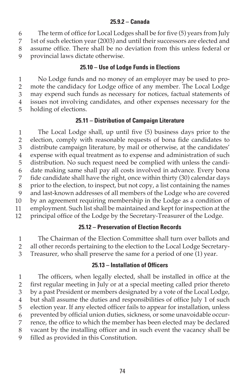The term of office for Local Lodges shall be for five (5) years from July 1st of such election year (2003) and until their successors are elected and assume office. There shall be no deviation from this unless federal or provincial laws dictate otherwise. 6 7 8 9

# **25.10 – Use of Lodge Funds in Elections**

No Lodge funds and no money of an employer may be used to promote the candidacy for Lodge office of any member. The Local Lodge may expend such funds as necessary for notices, factual statements of issues not involving candidates, and other expenses necessary for the holding of elections. 1 2 3 4 5

# **25.11 – Distribution of Campaign Literature**

The Local Lodge shall, up until five (5) business days prior to the election, comply with reasonable requests of bona fide candidates to distribute campaign literature, by mail or otherwise, at the candidates' expense with equal treatment as to expense and administration of such distribution. No such request need be complied with unless the candidate making same shall pay all costs involved in advance. Every bona fide candidate shall have the right, once within thirty (30) calendar days prior to the election, to inspect, but not copy, a list containing the names and last-known addresses of all members of the Lodge who are covered by an agreement requiring membership in the Lodge as a condition of employment. Such list shall be maintained and kept for inspection at the principal office of the Lodge by the Secretary-Treasurer of the Lodge. 1 2 3 4 5 6 7 8 9 10 11 12

## **25.12 – Preservation of Election Records**

The Chairman of the Election Committee shall turn over ballots and all other records pertaining to the election to the Local Lodge Secretary-Treasurer, who shall preserve the same for a period of one (1) year. 1 2 3

## **25.13 – Installation of Officers**

The officers, when legally elected, shall be installed in office at the first regular meeting in July or at a special meeting called prior thereto by a past President or members designated by a vote of the Local Lodge, but shall assume the duties and responsibilities of office July 1 of such election year. If any elected officer fails to appear for installation, unless prevented by official union duties, sickness, or some unavoidable occurrence, the office to which the member has been elected may be declared vacant by the installing officer and in such event the vacancy shall be filled as provided in this Constitution. 1 2 3 4 5 6 7 8 9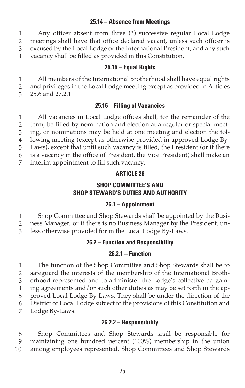## **25.14 – Absence from Meetings**

Any officer absent from three (3) successive regular Local Lodge meetings shall have that office declared vacant, unless such officer is excused by the Local Lodge or the International President, and any such vacancy shall be filled as provided in this Constitution. 1 2 3 4

# **25.15 – Equal Rights**

All members of the International Brotherhood shall have equal rights 1

and privileges in the Local Lodge meeting except as provided in Articles 2

25.6 and 27.2.1 3

# **25.16 – Filling of Vacancies**

All vacancies in Local Lodge offices shall, for the remainder of the term, be filled by nomination and election at a regular or special meeting, or nominations may be held at one meeting and election the following meeting (except as otherwise provided in approved Lodge By-Laws), except that until such vacancy is filled, the President (or if there is a vacancy in the office of President, the Vice President) shall make an interim appointment to fill such vacancy. 1 2 3 4 5 6 7

## **ARTICLE 26**

# **SHOP COMMITTEE'S AND SHOP STEWARD'S DUTIES AND AUTHORITY**

#### **26.1 – Appointment**

Shop Committee and Shop Stewards shall be appointed by the Busi-1

ness Manager, or if there is no Business Manager by the President, un-2

less otherwise provided for in the Local Lodge By-Laws. 3

# **26.2 – Function and Responsibility**

# **26.2.1 – Function**

The function of the Shop Committee and Shop Stewards shall be to safeguard the interests of the membership of the International Brotherhood represented and to administer the Lodge's collective bargaining agreements and/or such other duties as may be set forth in the approved Local Lodge By-Laws. They shall be under the direction of the District or Local Lodge subject to the provisions of this Constitution and 1 2 3 4 5 6

Lodge By-Laws. 7

## **26.2.2 – Responsibility**

Shop Committees and Shop Stewards shall be responsible for maintaining one hundred percent (100%) membership in the union among employees represented. Shop Committees and Shop Stewards 8 9 10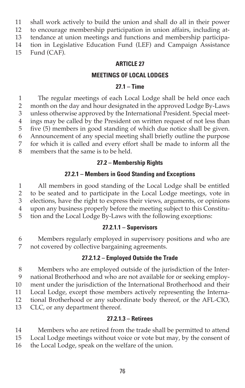- shall work actively to build the union and shall do all in their power 11
- to encourage membership participation in union affairs, including at-12
- tendance at union meetings and functions and membership participa-13
- tion in Legislative Education Fund (LEF) and Campaign Assistance 14
- Fund (CAF). 15

#### **ARTICLE 27**

#### **MEETINGS OF LOCAL LODGES**

#### **27.1 – Time**

The regular meetings of each Local Lodge shall be held once each month on the day and hour designated in the approved Lodge By-Laws unless otherwise approved by the International President. Special meetings may be called by the President on written request of not less than five (5) members in good standing of which due notice shall be given. Announcement of any special meeting shall briefly outline the purpose for which it is called and every effort shall be made to inform all the 1 2 3 4 5 6 7

members that the same is to be held. 8

#### **27.2 – Membership Rights**

#### **27.2.1 – Members in Good Standing and Exceptions**

All members in good standing of the Local Lodge shall be entitled to be seated and to participate in the Local Lodge meetings, vote in elections, have the right to express their views, arguments, or opinions upon any business properly before the meeting subject to this Constitu- 1 2 3 4

tion and the Local Lodge By-Laws with the following exceptions: 5

#### **27.2.1.1 – Supervisors**

Members regularly employed in supervisory positions and who are not covered by collective bargaining agreements. 6 7

# **27.2.1.2 – Employed Outside the Trade**

Members who are employed outside of the jurisdiction of the International Brotherhood and who are not available for or seeking employment under the jurisdiction of the International Brotherhood and their Local Lodge, except those members actively representing the International Brotherhood or any subordinate body thereof, or the AFL-CIO, CLC, or any department thereof. 8 9 10 11 12 13

#### **27.2.1.3 – Retirees**

Members who are retired from the trade shall be permitted to attend 14

- Local Lodge meetings without voice or vote but may, by the consent of 15
- the Local Lodge, speak on the welfare of the union. 16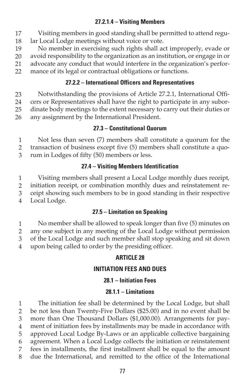# **27.2.1.4 – Visiting Members**

Visiting members in good standing shall be permitted to attend regular Local Lodge meetings without voice or vote. 17 18

No member in exercising such rights shall act improperly, evade or avoid responsibility to the organization as an institution, or engage in or advocate any conduct that would interfere in the organization's perfor-19 20 21

mance of its legal or contractual obligations or functions. 22

# **27.2.2 – International Officers and Representatives**

Notwithstanding the provisions of Article 27.2.1, International Officers or Representatives shall have the right to participate in any subordinate body meetings to the extent necessary to carry out their duties or any assignment by the International President. 23 24 25 26

#### **27.3 – Constitutional Quorum**

Not less than seven (7) members shall constitute a quorum for the transaction of business except five (5) members shall constitute a quorum in Lodges of fifty (50) members or less. 1 2 3

## **27.4 – Visiting Members Identification**

Visiting members shall present a Local Lodge monthly dues receipt, initiation receipt, or combination monthly dues and reinstatement receipt showing such members to be in good standing in their respective 1 2 3

Local Lodge. 4

## **27.5 – Limitation on Speaking**

No member shall be allowed to speak longer than five (5) minutes on any one subject in any meeting of the Local Lodge without permission of the Local Lodge and such member shall stop speaking and sit down upon being called to order by the presiding officer. 1 2 3 4

## **ARTICLE 28**

## **INITIATION FEES AND DUES**

## **28.1 – Initiation Fees**

#### **28.1.1 – Limitations**

The initiation fee shall be determined by the Local Lodge, but shall be not less than Twenty-Five Dollars (\$25.00) and in no event shall be more than One Thousand Dollars (\$1,000.00). Arrangements for payment of initiation fees by installments may be made in accordance with approved Local Lodge By-Laws or an applicable collective bargaining agreement. When a Local Lodge collects the initiation or reinstatement fees in installments, the first installment shall be equal to the amount due the International, and remitted to the office of the International 1 2 3 4 5 6 7 8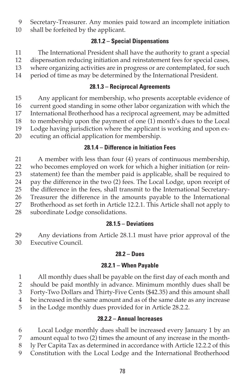- Secretary-Treasurer. Any monies paid toward an incomplete initiation 9
- shall be forfeited by the applicant. 10

# **28.1.2 – Special Dispensations**

The International President shall have the authority to grant a special 11

- dispensation reducing initiation and reinstatement fees for special cases, 12
- where organizing activities are in progress or are contemplated, for such 13
- period of time as may be determined by the International President. 14

# **28.1.3 – Reciprocal Agreements**

Any applicant for membership, who presents acceptable evidence of current good standing in some other labor organization with which the International Brotherhood has a reciprocal agreement, may be admitted to membership upon the payment of one (1) month's dues to the Local Lodge having jurisdiction where the applicant is working and upon ex-15 16 17 18 19

ecuting an official application for membership. 20

## **28.1.4 – Difference in Initiation Fees**

A member with less than four (4) years of continuous membership, who becomes employed on work for which a higher initiation (or reinstatement) fee than the member paid is applicable, shall be required to pay the difference in the two (2) fees. The Local Lodge, upon receipt of the difference in the fees, shall transmit to the International Secretary-Treasurer the difference in the amounts payable to the International Brotherhood as set forth in Article 12.2.1. This Article shall not apply to subordinate Lodge consolidations. 21 22 23 24 25 26 27 28

# **28.1.5 – Deviations**

Any deviations from Article 28.1.1 must have prior approval of the Executive Council. 29 30

## **28.2 – Dues**

## **28.2.1 – When Payable**

All monthly dues shall be payable on the first day of each month and should be paid monthly in advance. Minimum monthly dues shall be Forty-Two Dollars and Thirty-Five Cents (\$42.35) and this amount shall be increased in the same amount and as of the same date as any increase in the Lodge monthly dues provided for in Article 28.2.2. 1 2 3 4 5

## **28.2.2 – Annual Increases**

Local Lodge monthly dues shall be increased every January 1 by an amount equal to two (2) times the amount of any increase in the monthly Per Capita Tax as determined in accordance with Article 12.2.2 of this Constitution with the Local Lodge and the International Brotherhood 6 7 8 9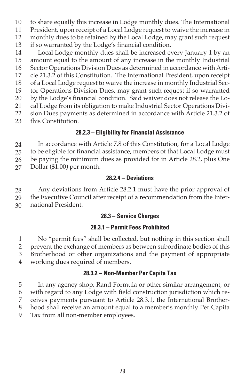to share equally this increase in Lodge monthly dues. The International 10

President, upon receipt of a Local Lodge request to waive the increase in 11

monthly dues to be retained by the Local Lodge, may grant such request if so warranted by the Lodge's financial condition. 12 13

Local Lodge monthly dues shall be increased every January 1 by an amount equal to the amount of any increase in the monthly Industrial Sector Operations Division Dues as determined in accordance with Article 21.3.2 of this Constitution. The International President, upon receipt of a Local Lodge request to waive the increase in monthly Industrial Sector Operations Division Dues, may grant such request if so warranted by the Lodge's financial condition. Said waiver does not release the Local Lodge from its obligation to make Industrial Sector Operations Division Dues payments as determined in accordance with Article 21.3.2 of this Constitution. 14 15 16 17 18 19 20 21 22 23

# **28.2.3 – Eligibility for Financial Assistance**

In accordance with Article 7.8 of this Constitution, for a Local Lodge to be eligible for financial assistance, members of that Local Lodge must be paying the minimum dues as provided for in Article 28.2, plus One Dollar (\$1.00) per month. 24 25 26 27

# **28.2.4 – Deviations**

Any deviations from Article 28.2.1 must have the prior approval of the Executive Council after receipt of a recommendation from the International President. 28 29 30

## **28.3 – Service Charges**

# **28.3.1 – Permit Fees Prohibited**

No "permit fees" shall be collected, but nothing in this section shall prevent the exchange of members as between subordinate bodies of this Brotherhood or other organizations and the payment of appropriate working dues required of members. 1 2 3 4

## **28.3.2 – Non-Member Per Capita Tax**

In any agency shop, Rand Formula or other similar arrangement, or with regard to any Lodge with field construction jurisdiction which receives payments pursuant to Article 28.3.1, the International Brotherhood shall receive an amount equal to a member's monthly Per Capita Tax from all non-member employees. 5 6 7 8 9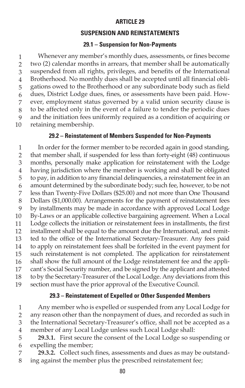## **ARTICLE 29**

# **SUSPENSION AND REINSTATEMENTS**

# **29.1 – Suspension for Non-Payments**

Whenever any member's monthly dues, assessments, or fines become two (2) calendar months in arrears, that member shall be automatically suspended from all rights, privileges, and benefits of the International Brotherhood. No monthly dues shall be accepted until all financial obligations owed to the Brotherhood or any subordinate body such as field dues, District Lodge dues, fines, or assessments have been paid. However, employment status governed by a valid union security clause is to be affected only in the event of a failure to tender the periodic dues and the initiation fees uniformly required as a condition of acquiring or retaining membership. 1 2 3 4 5 6 7 8 9 10

# **29.2 – Reinstatement of Members Suspended for Non-Payments**

In order for the former member to be recorded again in good standing, that member shall, if suspended for less than forty-eight (48) continuous months, personally make application for reinstatement with the Lodge having jurisdiction where the member is working and shall be obligated to pay, in addition to any financial delinquencies, a reinstatement fee in an amount determined by the subordinate body; such fee, however, to be not less than Twenty-Five Dollars (\$25.00) and not more than One Thousand Dollars (\$1,000.00). Arrangements for the payment of reinstatement fees by installments may be made in accordance with approved Local Lodge By-Laws or an applicable collective bargaining agreement. When a Local Lodge collects the initiation or reinstatement fees in installments, the first installment shall be equal to the amount due the International, and remitted to the office of the International Secretary-Treasurer. Any fees paid to apply on reinstatement fees shall be forfeited in the event payment for such reinstatement is not completed. The application for reinstatement shall show the full amount of the Lodge reinstatement fee and the applicant's Social Security number, and be signed by the applicant and attested to by the Secretary-Treasurer of the Local Lodge. Any deviations from this section must have the prior approval of the Executive Council. 1 2 3 4 5 6 7 8 9 10 11 12 13 14 15 16 17 18 19

# **29.3 – Reinstatement of Expelled or Other Suspended Members**

Any member who is expelled or suspended from any Local Lodge for any reason other than the nonpayment of dues, and recorded as such in the International Secretary-Treasurer's office, shall not be accepted as a member of any Local Lodge unless such Local Lodge shall: 1 2 3 4

- **29.3.1.** First secure the consent of the Local Lodge so suspending or expelling the member; 5 6
- **29.3.2.** Collect such fines, assessments and dues as may be outstanding against the member plus the prescribed reinstatement fee; 7 8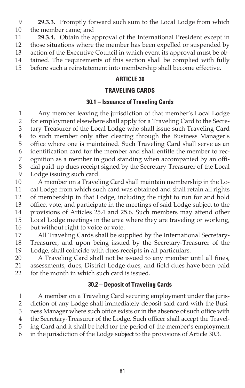**29.3.3.** Promptly forward such sum to the Local Lodge from which 9

the member came; and 10

**29.3.4.** Obtain the approval of the International President except in 11

those situations where the member has been expelled or suspended by 12

action of the Executive Council in which event its approval must be ob-13

tained. The requirements of this section shall be complied with fully 14

before such a reinstatement into membership shall become effective. 15

# **ARTICLE 30**

# **TRAVELING CARDS**

# **30.1 – Issuance of Traveling Cards**

Any member leaving the jurisdiction of that member's Local Lodge for employment elsewhere shall apply for a Traveling Card to the Secretary-Treasurer of the Local Lodge who shall issue such Traveling Card to such member only after clearing through the Business Manager's office where one is maintained. Such Traveling Card shall serve as an identification card for the member and shall entitle the member to recognition as a member in good standing when accompanied by an official paid-up dues receipt signed by the Secretary-Treasurer of the Local Lodge issuing such card. 1 2 3 4 5 6 7 8 9

A member on a Traveling Card shall maintain membership in the Local Lodge from which such card was obtained and shall retain all rights of membership in that Lodge, including the right to run for and hold office, vote, and participate in the meetings of said Lodge subject to the provisions of Articles 25.4 and 25.6. Such members may attend other Local Lodge meetings in the area where they are traveling or working, but without right to voice or vote. 10 11 12 13 14 15 16

All Traveling Cards shall be supplied by the International Secretary-Treasurer, and upon being issued by the Secretary-Treasurer of the Lodge, shall coincide with dues receipts in all particulars. 17 18 19

A Traveling Card shall not be issued to any member until all fines, assessments, dues, District Lodge dues, and field dues have been paid for the month in which such card is issued. 20 21 22

# **30.2 – Deposit of Traveling Cards**

A member on a Traveling Card securing employment under the jurisdiction of any Lodge shall immediately deposit said card with the Business Manager where such office exists or in the absence of such office with the Secretary-Treasurer of the Lodge. Such officer shall accept the Traveling Card and it shall be held for the period of the member's employment in the jurisdiction of the Lodge subject to the provisions of Article 30.3. 1 2 3 4 5 6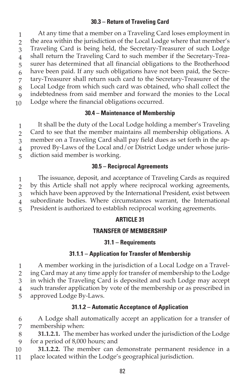# **30.3 – Return of Traveling Card**

At any time that a member on a Traveling Card loses employment in the area within the jurisdiction of the Local Lodge where that member's Traveling Card is being held, the Secretary-Treasurer of such Lodge shall return the Traveling Card to such member if the Secretary-Treasurer has determined that all financial obligations to the Brotherhood have been paid. If any such obligations have not been paid, the Secretary-Treasurer shall return such card to the Secretary-Treasurer of the Local Lodge from which such card was obtained, who shall collect the indebtedness from said member and forward the monies to the Local 1 2 3 4 5 6 7 8 9

Lodge where the financial obligations occurred. 10

# **30.4 – Maintenance of Membership**

It shall be the duty of the Local Lodge holding a member's Traveling Card to see that the member maintains all membership obligations. A member on a Traveling Card shall pay field dues as set forth in the approved By-Laws of the Local and/or District Lodge under whose jurisdiction said member is working. 1 2 3 4 5

# **30.5 – Reciprocal Agreements**

The issuance, deposit, and acceptance of Traveling Cards as required by this Article shall not apply where reciprocal working agreements, which have been approved by the International President, exist between subordinate bodies. Where circumstances warrant, the International 1 2 3 4

President is authorized to establish reciprocal working agreements. 5

# **ARTICLE 31**

# **TRANSFER OF MEMBERSHIP**

# **31.1 – Requirements**

# **31.1.1 – Application for Transfer of Membership**

A member working in the jurisdiction of a Local Lodge on a Traveling Card may at any time apply for transfer of membership to the Lodge in which the Traveling Card is deposited and such Lodge may accept such transfer application by vote of the membership or as prescribed in approved Lodge By-Laws. 1 2 3 4 5

# **31.1.2 – Automatic Acceptance of Application**

A Lodge shall automatically accept an application for a transfer of membership when: 6 7

**31.1.2.1.** The member has worked under the jurisdiction of the Lodge for a period of 8,000 hours; and 8 9

**31.1.2.2.** The member can demonstrate permanent residence in a place located within the Lodge's geographical jurisdiction. 10 11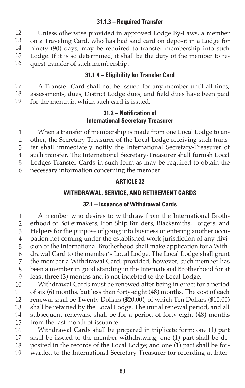#### **31.1.3 – Required Transfer**

Unless otherwise provided in approved Lodge By-Laws, a member on a Traveling Card, who has had said card on deposit in a Lodge for ninety (90) days, may be required to transfer membership into such Lodge. If it is so determined, it shall be the duty of the member to request transfer of such membership. 12 13 14 15 16

# **31.1.4 – Eligibility for Transfer Card**

A Transfer Card shall not be issued for any member until all fines, assessments, dues, District Lodge dues, and field dues have been paid for the month in which such card is issued. 17 18 19

#### **31.2 – Notification of International Secretary-Treasurer**

When a transfer of membership is made from one Local Lodge to another, the Secretary-Treasurer of the Local Lodge receiving such transfer shall immediately notify the International Secretary-Treasurer of such transfer. The International Secretary-Treasurer shall furnish Local Lodges Transfer Cards in such form as may be required to obtain the necessary information concerning the member. 1 2 3 4 5 6

#### **ARTICLE 32**

#### **WITHDRAWAL, SERVICE, AND RETIREMENT CARDS**

#### **32.1 – Issuance of Withdrawal Cards**

A member who desires to withdraw from the International Brotherhood of Boilermakers, Iron Ship Builders, Blacksmiths, Forgers, and Helpers for the purpose of going into business or entering another occupation not coming under the established work jurisdiction of any division of the International Brotherhood shall make application for a Withdrawal Card to the member's Local Lodge. The Local Lodge shall grant the member a Withdrawal Card; provided, however, such member has been a member in good standing in the International Brotherhood for at least three (3) months and is not indebted to the Local Lodge. Withdrawal Cards must be renewed after being in effect for a period of six (6) months, but less than forty-eight (48) months. The cost of each renewal shall be Twenty Dollars (\$20.00), of which Ten Dollars (\$10.00) 1 2 3 4 5 6 7 8 9 10 11

shall be retained by the Local Lodge. The initial renewal period, and all subsequent renewals, shall be for a period of forty-eight (48) months from the last month of issuance. 12 13 14 15

Withdrawal Cards shall be prepared in triplicate form: one (1) part shall be issued to the member withdrawing; one (1) part shall be deposited in the records of the Local Lodge; and one (1) part shall be forwarded to the International Secretary-Treasurer for recording at Inter-16 17 18 19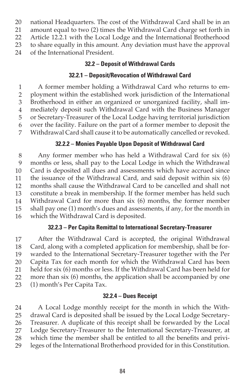national Headquarters. The cost of the Withdrawal Card shall be in an 20

amount equal to two (2) times the Withdrawal Card charge set forth in 21

Article 12.2.1 with the Local Lodge and the International Brotherhood 22

to share equally in this amount. Any deviation must have the approval 23

of the International President. 24

# **32.2 – Deposit of Withdrawal Cards**

# **32.2.1 – Deposit/Revocation of Withdrawal Card**

A former member holding a Withdrawal Card who returns to employment within the established work jurisdiction of the International Brotherhood in either an organized or unorganized facility, shall immediately deposit such Withdrawal Card with the Business Manager or Secretary-Treasurer of the Local Lodge having territorial jurisdiction over the facility. Failure on the part of a former member to deposit the Withdrawal Card shall cause it to be automatically cancelled or revoked. 1 2 3 4 5 6 7

# **32.2.2 – Monies Payable Upon Deposit of Withdrawal Card**

Any former member who has held a Withdrawal Card for six (6) months or less, shall pay to the Local Lodge in which the Withdrawal Card is deposited all dues and assessments which have accrued since the issuance of the Withdrawal Card, and said deposit within six (6) months shall cause the Withdrawal Card to be cancelled and shall not constitute a break in membership. If the former member has held such Withdrawal Card for more than six (6) months, the former member shall pay one (1) month's dues and assessments, if any, for the month in which the Withdrawal Card is deposited. 8 9 10 11 12 13 14 15 16

# **32.2.3 – Per Capita Remittal to International Secretary-Treasurer**

After the Withdrawal Card is accepted, the original Withdrawal Card, along with a completed application for membership, shall be forwarded to the International Secretary-Treasurer together with the Per Capita Tax for each month for which the Withdrawal Card has been held for six (6) months or less. If the Withdrawal Card has been held for more than six (6) months, the application shall be accompanied by one (1) month's Per Capita Tax. 17 18 19 20 21 22 23

# **32.2.4 – Dues Receipt**

A Local Lodge monthly receipt for the month in which the Withdrawal Card is deposited shall be issued by the Local Lodge Secretary-Treasurer. A duplicate of this receipt shall be forwarded by the Local Lodge Secretary-Treasurer to the International Secretary-Treasurer, at which time the member shall be entitled to all the benefits and privileges of the International Brotherhood provided for in this Constitution. 24 25 26 27 28 29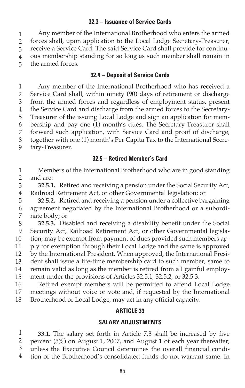# **32.3 – Issuance of Service Cards**

Any member of the International Brotherhood who enters the armed forces shall, upon application to the Local Lodge Secretary-Treasurer, receive a Service Card. The said Service Card shall provide for continuous membership standing for so long as such member shall remain in the armed forces. 1 2 3 4 5

# **32.4 – Deposit of Service Cards**

Any member of the International Brotherhood who has received a Service Card shall, within ninety (90) days of retirement or discharge from the armed forces and regardless of employment status, present the Service Card and discharge from the armed forces to the Secretary-Treasurer of the issuing Local Lodge and sign an application for membership and pay one (1) month's dues. The Secretary-Treasurer shall forward such application, with Service Card and proof of discharge, together with one (1) month's Per Capita Tax to the International Secretary-Treasurer. 1 2 3 4 5 6 7 8 9

## **32.5 – Retired Member's Card**

Members of the International Brotherhood who are in good standing and are: 1 2

**32.5.1.** Retired and receiving a pension under the Social Security Act, 3 4

Railroad Retirement Act, or other Governmental legislation; or **32.5.2.** Retired and receiving a pension under a collective bargaining 5

agreement negotiated by the International Brotherhood or a subordinate body; or 6 7

**32.5.3.** Disabled and receiving a disability benefit under the Social Security Act, Railroad Retirement Act, or other Governmental legislation; may be exempt from payment of dues provided such members apply for exemption through their Local Lodge and the same is approved by the International President. When approved, the International President shall issue a life-time membership card to such member, same to remain valid as long as the member is retired from all gainful employment under the provisions of Articles 32.5.1, 32.5.2, or 32.5.3. Retired exempt members will be permitted to attend Local Lodge 8 9 10 11 12 13 14 15 16

meetings without voice or vote and, if requested by the International Brotherhood or Local Lodge, may act in any official capacity. 17 18

## **ARTICLE 33**

## **SALARY ADJUSTMENTS**

**33.1.** The salary set forth in Article 7.3 shall be increased by five percent (5%) on August 1, 2007, and August 1 of each year thereafter; unless the Executive Council determines the overall financial condition of the Brotherhood's consolidated funds do not warrant same. In 1 2 3 4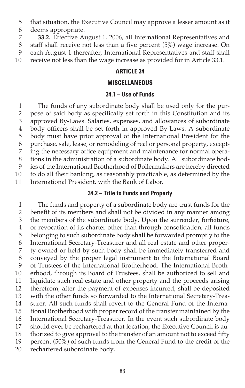- that situation, the Executive Council may approve a lesser amount as it 5
- deems appropriate. 6
- **33.2.** Effective August 1, 2006, all International Representatives and 7

staff shall receive not less than a five percent (5%) wage increase. On 8

each August 1 thereafter, International Representatives and staff shall 9

receive not less than the wage increase as provided for in Article 33.1. 10

#### **ARTICLE 34**

## **MISCELLANEOUS**

#### **34.1 – Use of Funds**

The funds of any subordinate body shall be used only for the purpose of said body as specifically set forth in this Constitution and its approved By-Laws. Salaries, expenses, and allowances of subordinate body officers shall be set forth in approved By-Laws. A subordinate body must have prior approval of the International President for the purchase, sale, lease, or remodeling of real or personal property, excepting the necessary office equipment and maintenance for normal operations in the administration of a subordinate body. All subordinate bodies of the International Brotherhood of Boilermakers are hereby directed to do all their banking, as reasonably practicable, as determined by the International President, with the Bank of Labor. 1 2 3 4 5 6 7 8 9 10 11

#### **34.2 – Title to Funds and Property**

The funds and property of a subordinate body are trust funds for the benefit of its members and shall not be divided in any manner among the members of the subordinate body. Upon the surrender, forfeiture, or revocation of its charter other than through consolidation, all funds belonging to such subordinate body shall be forwarded promptly to the International Secretary-Treasurer and all real estate and other property owned or held by such body shall be immediately transferred and conveyed by the proper legal instrument to the International Board of Trustees of the International Brotherhood. The International Brotherhood, through its Board of Trustees, shall be authorized to sell and liquidate such real estate and other property and the proceeds arising therefrom, after the payment of expenses incurred, shall be deposited with the other funds so forwarded to the International Secretary-Treasurer. All such funds shall revert to the General Fund of the International Brotherhood with proper record of the transfer maintained by the International Secretary-Treasurer. In the event such subordinate body should ever be rechartered at that location, the Executive Council is authorized to give approval to the transfer of an amount not to exceed fifty percent (50%) of such funds from the General Fund to the credit of the rechartered subordinate body. 1 2 3 4 5 6 7 8 9 10 11 12 13 14 15 16 17 18 19 20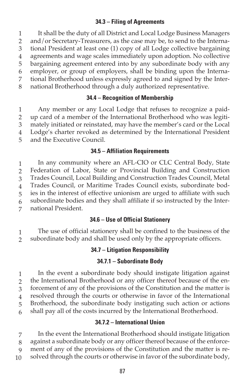# **34.3 – Filing of Agreements**

It shall be the duty of all District and Local Lodge Business Managers and/or Secretary-Treasurers, as the case may be, to send to the International President at least one (1) copy of all Lodge collective bargaining agreements and wage scales immediately upon adoption. No collective bargaining agreement entered into by any subordinate body with any employer, or group of employers, shall be binding upon the International Brotherhood unless expressly agreed to and signed by the International Brotherhood through a duly authorized representative. 1 2 3 4 5 6 7 8

## **34.4 – Recognition of Membership**

Any member or any Local Lodge that refuses to recognize a paidup card of a member of the International Brotherhood who was legitimately initiated or reinstated, may have the member's card or the Local Lodge's charter revoked as determined by the International President and the Executive Council. 1 2 3 4 5

#### **34.5 – Affiliation Requirements**

In any community where an AFL-CIO or CLC Central Body, State Federation of Labor, State or Provincial Building and Construction Trades Council, Local Building and Construction Trades Council, Metal Trades Council, or Maritime Trades Council exists, subordinate bodies in the interest of effective unionism are urged to affiliate with such subordinate bodies and they shall affiliate if so instructed by the International President. 1 2 3 4 5 6 7

#### **34.6 – Use of Official Stationery**

The use of official stationery shall be confined to the business of the subordinate body and shall be used only by the appropriate officers. 1  $\mathcal{D}$ 

# **34.7 – Litigation Responsibility**

#### **34.7.1 – Subordinate Body**

In the event a subordinate body should instigate litigation against the International Brotherhood or any officer thereof because of the enforcement of any of the provisions of the Constitution and the matter is resolved through the courts or otherwise in favor of the International Brotherhood, the subordinate body instigating such action or actions shall pay all of the costs incurred by the International Brotherhood. 1 2 3 4 5 6

#### **34.7.2 – International Union**

In the event the International Brotherhood should instigate litigation against a subordinate body or any officer thereof because of the enforcement of any of the provisions of the Constitution and the matter is resolved through the courts or otherwise in favor of the subordinate body, 7 8 9 10